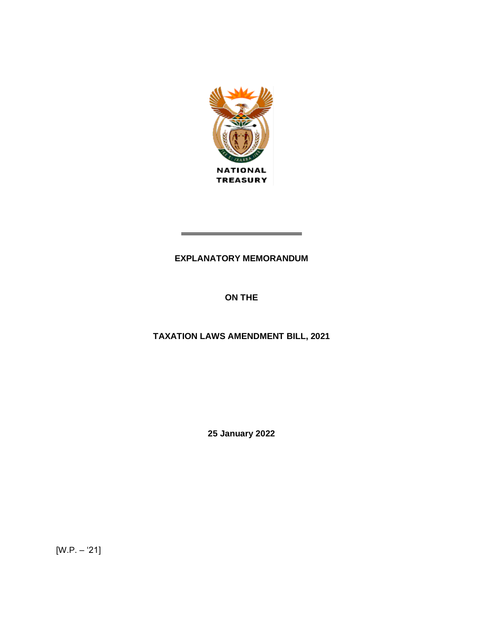

# **EXPLANATORY MEMORANDUM**

# **ON THE**

# **TAXATION LAWS AMENDMENT BILL, 2021**

**25 January 2022**

[W.P. – '21]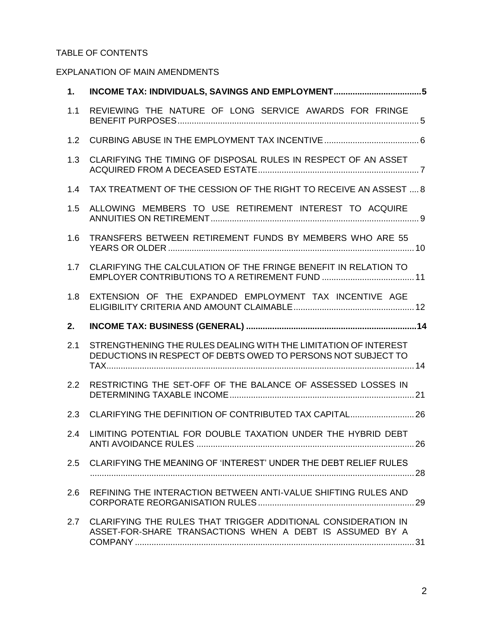# TABLE OF CONTENTS

# EXPLANATION OF MAIN AMENDMENTS

| 1.  |                                                                                                                                  |  |
|-----|----------------------------------------------------------------------------------------------------------------------------------|--|
| 1.1 | REVIEWING THE NATURE OF LONG SERVICE AWARDS FOR FRINGE                                                                           |  |
| 1.2 |                                                                                                                                  |  |
| 1.3 | CLARIFYING THE TIMING OF DISPOSAL RULES IN RESPECT OF AN ASSET                                                                   |  |
| 1.4 | TAX TREATMENT OF THE CESSION OF THE RIGHT TO RECEIVE AN ASSEST  8                                                                |  |
| 1.5 | ALLOWING MEMBERS TO USE RETIREMENT INTEREST TO ACQUIRE                                                                           |  |
| 1.6 | TRANSFERS BETWEEN RETIREMENT FUNDS BY MEMBERS WHO ARE 55                                                                         |  |
| 1.7 | CLARIFYING THE CALCULATION OF THE FRINGE BENEFIT IN RELATION TO                                                                  |  |
| 1.8 | EXTENSION OF THE EXPANDED EMPLOYMENT TAX INCENTIVE AGE                                                                           |  |
|     |                                                                                                                                  |  |
| 2.  |                                                                                                                                  |  |
| 2.1 | STRENGTHENING THE RULES DEALING WITH THE LIMITATION OF INTEREST<br>DEDUCTIONS IN RESPECT OF DEBTS OWED TO PERSONS NOT SUBJECT TO |  |
| 2.2 | RESTRICTING THE SET-OFF OF THE BALANCE OF ASSESSED LOSSES IN                                                                     |  |
| 2.3 | CLARIFYING THE DEFINITION OF CONTRIBUTED TAX CAPITAL 26                                                                          |  |
| 2.4 | LIMITING POTENTIAL FOR DOUBLE TAXATION UNDER THE HYBRID DEBT                                                                     |  |
| 2.5 | CLARIFYING THE MEANING OF 'INTEREST' UNDER THE DEBT RELIEF RULES                                                                 |  |
| 2.6 | REFINING THE INTERACTION BETWEEN ANTI-VALUE SHIFTING RULES AND                                                                   |  |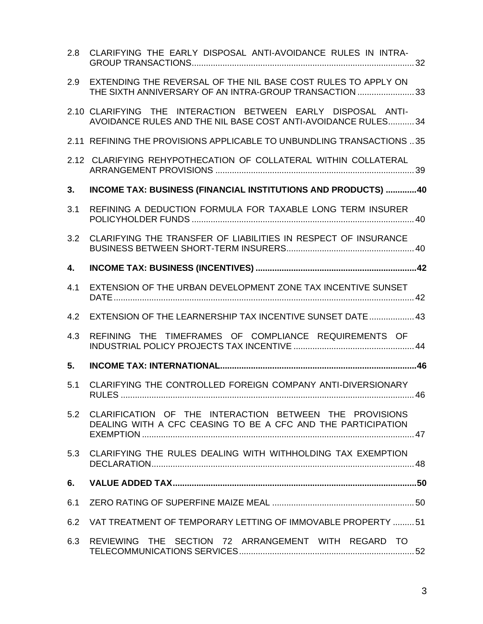| 2.8 | CLARIFYING THE EARLY DISPOSAL ANTI-AVOIDANCE RULES IN INTRA-                                                                  |  |
|-----|-------------------------------------------------------------------------------------------------------------------------------|--|
| 2.9 | EXTENDING THE REVERSAL OF THE NIL BASE COST RULES TO APPLY ON<br>THE SIXTH ANNIVERSARY OF AN INTRA-GROUP TRANSACTION 33       |  |
|     | 2.10 CLARIFYING THE INTERACTION BETWEEN EARLY DISPOSAL ANTI-<br>AVOIDANCE RULES AND THE NIL BASE COST ANTI-AVOIDANCE RULES 34 |  |
|     | 2.11 REFINING THE PROVISIONS APPLICABLE TO UNBUNDLING TRANSACTIONS  35                                                        |  |
|     | 2.12 CLARIFYING REHYPOTHECATION OF COLLATERAL WITHIN COLLATERAL                                                               |  |
| 3.  | <b>INCOME TAX: BUSINESS (FINANCIAL INSTITUTIONS AND PRODUCTS) 40</b>                                                          |  |
| 3.1 | REFINING A DEDUCTION FORMULA FOR TAXABLE LONG TERM INSURER                                                                    |  |
| 3.2 | CLARIFYING THE TRANSFER OF LIABILITIES IN RESPECT OF INSURANCE                                                                |  |
| 4.  |                                                                                                                               |  |
| 4.1 | EXTENSION OF THE URBAN DEVELOPMENT ZONE TAX INCENTIVE SUNSET                                                                  |  |
| 4.2 | EXTENSION OF THE LEARNERSHIP TAX INCENTIVE SUNSET DATE  43                                                                    |  |
| 4.3 | REFINING THE TIMEFRAMES OF COMPLIANCE REQUIREMENTS OF                                                                         |  |
| 5.  |                                                                                                                               |  |
| 5.1 | CLARIFYING THE CONTROLLED FOREIGN COMPANY ANTI-DIVERSIONARY                                                                   |  |
| 5.2 | CLARIFICATION OF THE INTERACTION BETWEEN THE PROVISIONS<br>DEALING WITH A CFC CEASING TO BE A CFC AND THE PARTICIPATION       |  |
| 5.3 | CLARIFYING THE RULES DEALING WITH WITHHOLDING TAX EXEMPTION                                                                   |  |
| 6.  |                                                                                                                               |  |
| 6.1 |                                                                                                                               |  |
| 6.2 | VAT TREATMENT OF TEMPORARY LETTING OF IMMOVABLE PROPERTY 51                                                                   |  |
| 6.3 | REVIEWING THE SECTION 72 ARRANGEMENT WITH REGARD TO                                                                           |  |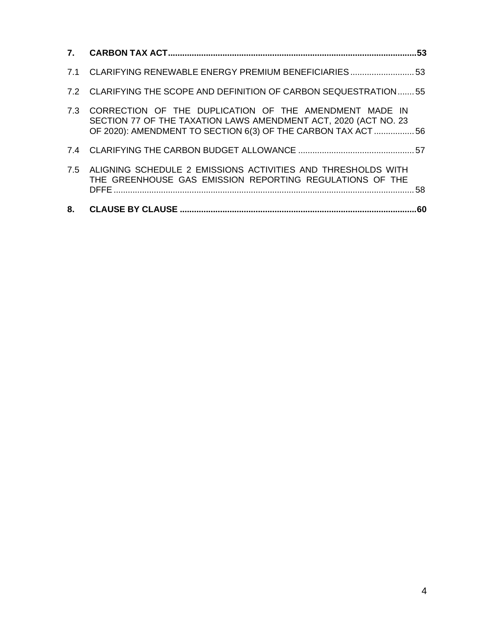|    | 7.1 CLARIFYING RENEWABLE ENERGY PREMIUM BENEFICIARIES53                                                                                                                                       |     |
|----|-----------------------------------------------------------------------------------------------------------------------------------------------------------------------------------------------|-----|
|    | 7.2 CLARIFYING THE SCOPE AND DEFINITION OF CARBON SEQUESTRATION55                                                                                                                             |     |
|    | 7.3 CORRECTION OF THE DUPLICATION OF THE AMENDMENT MADE IN<br>SECTION 77 OF THE TAXATION LAWS AMENDMENT ACT, 2020 (ACT NO. 23<br>OF 2020): AMENDMENT TO SECTION 6(3) OF THE CARBON TAX ACT 56 |     |
|    |                                                                                                                                                                                               |     |
|    | 7.5 ALIGNING SCHEDULE 2 EMISSIONS ACTIVITIES AND THRESHOLDS WITH<br>THE GREENHOUSE GAS EMISSION REPORTING REGULATIONS OF THE                                                                  | 58. |
| 8. |                                                                                                                                                                                               |     |
|    |                                                                                                                                                                                               |     |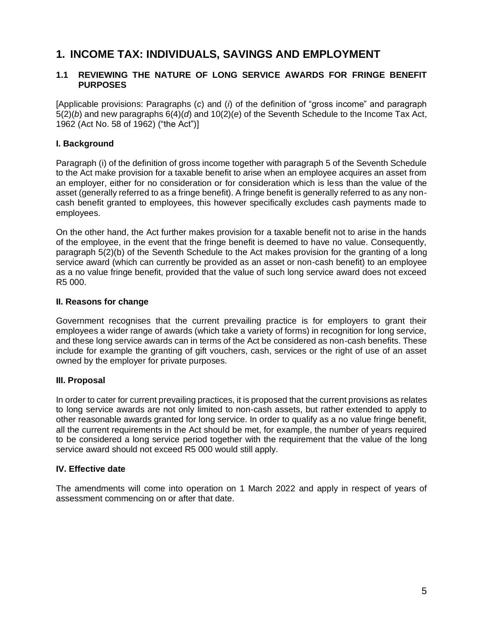# <span id="page-4-0"></span>**1. INCOME TAX: INDIVIDUALS, SAVINGS AND EMPLOYMENT**

# <span id="page-4-1"></span>**1.1 REVIEWING THE NATURE OF LONG SERVICE AWARDS FOR FRINGE BENEFIT PURPOSES**

[Applicable provisions: Paragraphs (*c*) and (*i*) of the definition of "gross income" and paragraph 5(2)(*b*) and new paragraphs 6(4)(*d*) and 10(2)(*e*) of the Seventh Schedule to the Income Tax Act, 1962 (Act No. 58 of 1962) ("the Act")]

# **I. Background**

Paragraph (i) of the definition of gross income together with paragraph 5 of the Seventh Schedule to the Act make provision for a taxable benefit to arise when an employee acquires an asset from an employer, either for no consideration or for consideration which is less than the value of the asset (generally referred to as a fringe benefit). A fringe benefit is generally referred to as any noncash benefit granted to employees, this however specifically excludes cash payments made to employees.

On the other hand, the Act further makes provision for a taxable benefit not to arise in the hands of the employee, in the event that the fringe benefit is deemed to have no value. Consequently, paragraph 5(2)(b) of the Seventh Schedule to the Act makes provision for the granting of a long service award (which can currently be provided as an asset or non-cash benefit) to an employee as a no value fringe benefit, provided that the value of such long service award does not exceed R5 000.

#### **II. Reasons for change**

Government recognises that the current prevailing practice is for employers to grant their employees a wider range of awards (which take a variety of forms) in recognition for long service, and these long service awards can in terms of the Act be considered as non-cash benefits. These include for example the granting of gift vouchers, cash, services or the right of use of an asset owned by the employer for private purposes.

#### **III. Proposal**

In order to cater for current prevailing practices, it is proposed that the current provisions as relates to long service awards are not only limited to non-cash assets, but rather extended to apply to other reasonable awards granted for long service. In order to qualify as a no value fringe benefit, all the current requirements in the Act should be met, for example, the number of years required to be considered a long service period together with the requirement that the value of the long service award should not exceed R5 000 would still apply.

#### **IV. Effective date**

The amendments will come into operation on 1 March 2022 and apply in respect of years of assessment commencing on or after that date.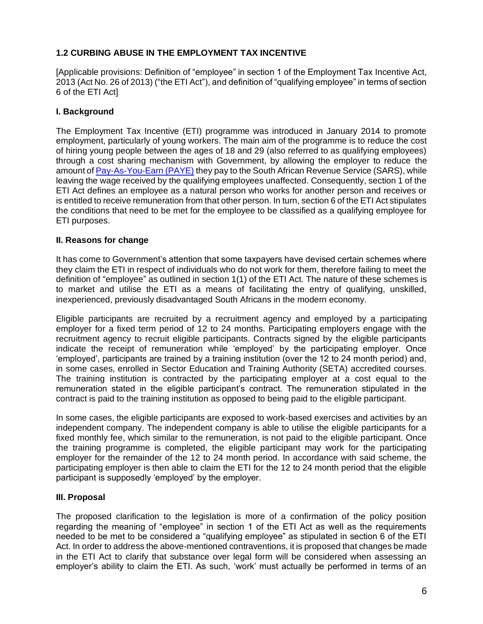# <span id="page-5-0"></span>**1.2 CURBING ABUSE IN THE EMPLOYMENT TAX INCENTIVE**

[Applicable provisions: Definition of "employee" in section 1 of the Employment Tax Incentive Act, 2013 (Act No. 26 of 2013) ("the ETI Act"), and definition of "qualifying employee" in terms of section 6 of the ETI Act]

#### **I. Background**

The Employment Tax Incentive (ETI) programme was introduced in January 2014 to promote employment, particularly of young workers. The main aim of the programme is to reduce the cost of hiring young people between the ages of 18 and 29 (also referred to as qualifying employees) through a cost sharing mechanism with Government, by allowing the employer to reduce the amount o[f Pay-As-You-Earn \(PAYE\)](https://www.sars.gov.za/TaxTypes/PAYE/Pages/default.aspx) they pay to the South African Revenue Service (SARS), while leaving the wage received by the qualifying employees unaffected. Consequently, section 1 of the ETI Act defines an employee as a natural person who works for another person and receives or is entitled to receive remuneration from that other person. In turn, section 6 of the ETI Act stipulates the conditions that need to be met for the employee to be classified as a qualifying employee for ETI purposes.

#### **II. Reasons for change**

It has come to Government's attention that some taxpayers have devised certain schemes where they claim the ETI in respect of individuals who do not work for them, therefore failing to meet the definition of "employee" as outlined in section 1(1) of the ETI Act. The nature of these schemes is to market and utilise the ETI as a means of facilitating the entry of qualifying, unskilled, inexperienced, previously disadvantaged South Africans in the modern economy.

Eligible participants are recruited by a recruitment agency and employed by a participating employer for a fixed term period of 12 to 24 months. Participating employers engage with the recruitment agency to recruit eligible participants. Contracts signed by the eligible participants indicate the receipt of remuneration while 'employed' by the participating employer. Once 'employed', participants are trained by a training institution (over the 12 to 24 month period) and, in some cases, enrolled in Sector Education and Training Authority (SETA) accredited courses. The training institution is contracted by the participating employer at a cost equal to the remuneration stated in the eligible participant's contract. The remuneration stipulated in the contract is paid to the training institution as opposed to being paid to the eligible participant.

In some cases, the eligible participants are exposed to work-based exercises and activities by an independent company. The independent company is able to utilise the eligible participants for a fixed monthly fee, which similar to the remuneration, is not paid to the eligible participant. Once the training programme is completed, the eligible participant may work for the participating employer for the remainder of the 12 to 24 month period. In accordance with said scheme, the participating employer is then able to claim the ETI for the 12 to 24 month period that the eligible participant is supposedly 'employed' by the employer.

#### **III. Proposal**

The proposed clarification to the legislation is more of a confirmation of the policy position regarding the meaning of "employee" in section 1 of the ETI Act as well as the requirements needed to be met to be considered a "qualifying employee" as stipulated in section 6 of the ETI Act. In order to address the above-mentioned contraventions, it is proposed that changes be made in the ETI Act to clarify that substance over legal form will be considered when assessing an employer's ability to claim the ETI. As such, 'work' must actually be performed in terms of an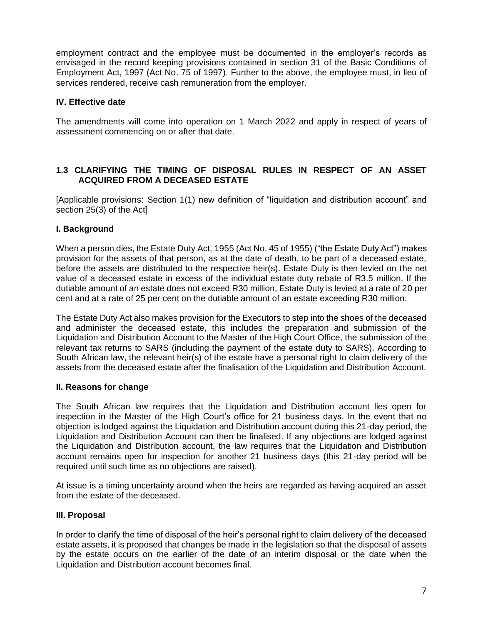employment contract and the employee must be documented in the employer's records as envisaged in the record keeping provisions contained in section 31 of the Basic Conditions of Employment Act, 1997 (Act No. 75 of 1997). Further to the above, the employee must, in lieu of services rendered, receive cash remuneration from the employer.

# **IV. Effective date**

The amendments will come into operation on 1 March 2022 and apply in respect of years of assessment commencing on or after that date.

# <span id="page-6-0"></span>**1.3 CLARIFYING THE TIMING OF DISPOSAL RULES IN RESPECT OF AN ASSET ACQUIRED FROM A DECEASED ESTATE**

[Applicable provisions: Section 1(1) new definition of "liquidation and distribution account" and section 25(3) of the Act]

# **I. Background**

When a person dies, the Estate Duty Act, 1955 (Act No. 45 of 1955) ("the Estate Duty Act") makes provision for the assets of that person, as at the date of death, to be part of a deceased estate, before the assets are distributed to the respective heir(s). Estate Duty is then levied on the net value of a deceased estate in excess of the individual estate duty rebate of R3.5 million. If the dutiable amount of an estate does not exceed R30 million, Estate Duty is levied at a rate of 20 per cent and at a rate of 25 per cent on the dutiable amount of an estate exceeding R30 million.

The Estate Duty Act also makes provision for the Executors to step into the shoes of the deceased and administer the deceased estate, this includes the preparation and submission of the Liquidation and Distribution Account to the Master of the High Court Office, the submission of the relevant tax returns to SARS (including the payment of the estate duty to SARS). According to South African law, the relevant heir(s) of the estate have a personal right to claim delivery of the assets from the deceased estate after the finalisation of the Liquidation and Distribution Account.

#### **II. Reasons for change**

The South African law requires that the Liquidation and Distribution account lies open for inspection in the Master of the High Court's office for 21 business days. In the event that no objection is lodged against the Liquidation and Distribution account during this 21-day period, the Liquidation and Distribution Account can then be finalised. If any objections are lodged against the Liquidation and Distribution account, the law requires that the Liquidation and Distribution account remains open for inspection for another 21 business days (this 21-day period will be required until such time as no objections are raised).

At issue is a timing uncertainty around when the heirs are regarded as having acquired an asset from the estate of the deceased.

#### **III. Proposal**

In order to clarify the time of disposal of the heir's personal right to claim delivery of the deceased estate assets, it is proposed that changes be made in the legislation so that the disposal of assets by the estate occurs on the earlier of the date of an interim disposal or the date when the Liquidation and Distribution account becomes final.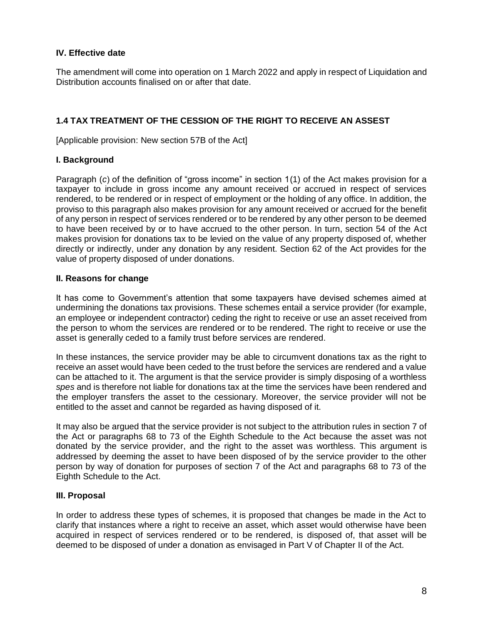The amendment will come into operation on 1 March 2022 and apply in respect of Liquidation and Distribution accounts finalised on or after that date.

# <span id="page-7-0"></span>**1.4 TAX TREATMENT OF THE CESSION OF THE RIGHT TO RECEIVE AN ASSEST**

[Applicable provision: New section 57B of the Act]

#### **I. Background**

Paragraph (*c*) of the definition of "gross income" in section 1(1) of the Act makes provision for a taxpayer to include in gross income any amount received or accrued in respect of services rendered, to be rendered or in respect of employment or the holding of any office. In addition, the proviso to this paragraph also makes provision for any amount received or accrued for the benefit of any person in respect of services rendered or to be rendered by any other person to be deemed to have been received by or to have accrued to the other person. In turn, section 54 of the Act makes provision for donations tax to be levied on the value of any property disposed of, whether directly or indirectly, under any donation by any resident. Section 62 of the Act provides for the value of property disposed of under donations.

#### **II. Reasons for change**

It has come to Government's attention that some taxpayers have devised schemes aimed at undermining the donations tax provisions. These schemes entail a service provider (for example, an employee or independent contractor) ceding the right to receive or use an asset received from the person to whom the services are rendered or to be rendered. The right to receive or use the asset is generally ceded to a family trust before services are rendered.

In these instances, the service provider may be able to circumvent donations tax as the right to receive an asset would have been ceded to the trust before the services are rendered and a value can be attached to it. The argument is that the service provider is simply disposing of a worthless *spes* and is therefore not liable for donations tax at the time the services have been rendered and the employer transfers the asset to the cessionary. Moreover, the service provider will not be entitled to the asset and cannot be regarded as having disposed of it.

It may also be argued that the service provider is not subject to the attribution rules in section 7 of the Act or paragraphs 68 to 73 of the Eighth Schedule to the Act because the asset was not donated by the service provider, and the right to the asset was worthless. This argument is addressed by deeming the asset to have been disposed of by the service provider to the other person by way of donation for purposes of section 7 of the Act and paragraphs 68 to 73 of the Eighth Schedule to the Act.

#### **III. Proposal**

In order to address these types of schemes, it is proposed that changes be made in the Act to clarify that instances where a right to receive an asset, which asset would otherwise have been acquired in respect of services rendered or to be rendered, is disposed of, that asset will be deemed to be disposed of under a donation as envisaged in Part V of Chapter II of the Act.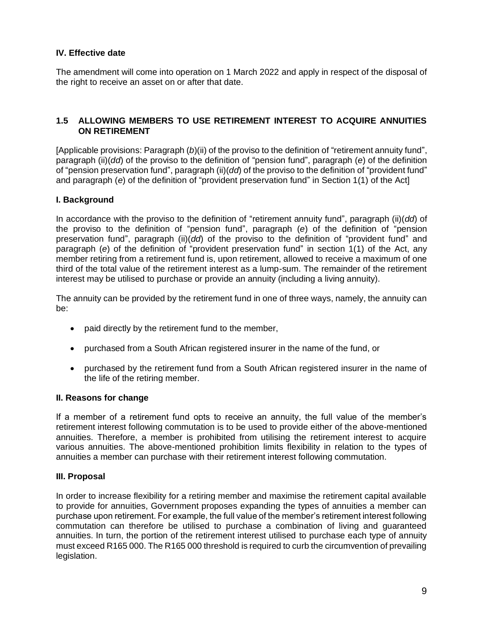The amendment will come into operation on 1 March 2022 and apply in respect of the disposal of the right to receive an asset on or after that date.

#### <span id="page-8-0"></span>**1.5 ALLOWING MEMBERS TO USE RETIREMENT INTEREST TO ACQUIRE ANNUITIES ON RETIREMENT**

[Applicable provisions: Paragraph (*b*)(ii) of the proviso to the definition of "retirement annuity fund", paragraph (ii)(*dd*) of the proviso to the definition of "pension fund", paragraph (*e*) of the definition of "pension preservation fund", paragraph (ii)(*dd*) of the proviso to the definition of "provident fund" and paragraph (*e*) of the definition of "provident preservation fund" in Section 1(1) of the Act]

#### **I. Background**

In accordance with the proviso to the definition of "retirement annuity fund", paragraph (ii)(*dd*) of the proviso to the definition of "pension fund", paragraph (*e*) of the definition of "pension preservation fund", paragraph (ii)(*dd*) of the proviso to the definition of "provident fund" and paragraph (*e*) of the definition of "provident preservation fund" in section 1(1) of the Act, any member retiring from a retirement fund is, upon retirement, allowed to receive a maximum of one third of the total value of the retirement interest as a lump-sum. The remainder of the retirement interest may be utilised to purchase or provide an annuity (including a living annuity).

The annuity can be provided by the retirement fund in one of three ways, namely, the annuity can be:

- paid directly by the retirement fund to the member,
- purchased from a South African registered insurer in the name of the fund, or
- purchased by the retirement fund from a South African registered insurer in the name of the life of the retiring member.

#### **II. Reasons for change**

If a member of a retirement fund opts to receive an annuity, the full value of the member's retirement interest following commutation is to be used to provide either of the above-mentioned annuities. Therefore, a member is prohibited from utilising the retirement interest to acquire various annuities. The above-mentioned prohibition limits flexibility in relation to the types of annuities a member can purchase with their retirement interest following commutation.

#### **III. Proposal**

In order to increase flexibility for a retiring member and maximise the retirement capital available to provide for annuities, Government proposes expanding the types of annuities a member can purchase upon retirement. For example, the full value of the member's retirement interest following commutation can therefore be utilised to purchase a combination of living and guaranteed annuities. In turn, the portion of the retirement interest utilised to purchase each type of annuity must exceed R165 000. The R165 000 threshold is required to curb the circumvention of prevailing legislation.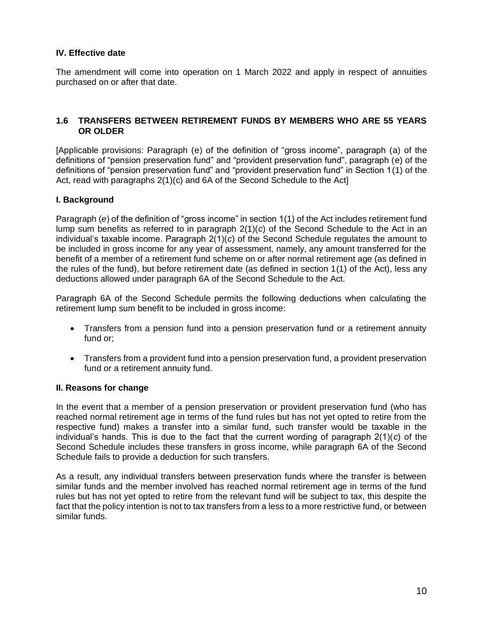The amendment will come into operation on 1 March 2022 and apply in respect of annuities purchased on or after that date.

#### <span id="page-9-0"></span>**1.6 TRANSFERS BETWEEN RETIREMENT FUNDS BY MEMBERS WHO ARE 55 YEARS OR OLDER**

[Applicable provisions: Paragraph (e) of the definition of "gross income", paragraph (a) of the definitions of "pension preservation fund" and "provident preservation fund", paragraph (e) of the definitions of "pension preservation fund" and "provident preservation fund" in Section 1(1) of the Act, read with paragraphs 2(1)(c) and 6A of the Second Schedule to the Act]

#### **I. Background**

Paragraph (*e*) of the definition of "gross income" in section 1(1) of the Act includes retirement fund lump sum benefits as referred to in paragraph 2(1)(*c*) of the Second Schedule to the Act in an individual's taxable income. Paragraph 2(1)(*c*) of the Second Schedule regulates the amount to be included in gross income for any year of assessment, namely, any amount transferred for the benefit of a member of a retirement fund scheme on or after normal retirement age (as defined in the rules of the fund), but before retirement date (as defined in section 1(1) of the Act), less any deductions allowed under paragraph 6A of the Second Schedule to the Act.

Paragraph 6A of the Second Schedule permits the following deductions when calculating the retirement lump sum benefit to be included in gross income:

- Transfers from a pension fund into a pension preservation fund or a retirement annuity fund or;
- Transfers from a provident fund into a pension preservation fund, a provident preservation fund or a retirement annuity fund.

#### **II. Reasons for change**

In the event that a member of a pension preservation or provident preservation fund (who has reached normal retirement age in terms of the fund rules but has not yet opted to retire from the respective fund) makes a transfer into a similar fund, such transfer would be taxable in the individual's hands. This is due to the fact that the current wording of paragraph 2(1)(*c*) of the Second Schedule includes these transfers in gross income, while paragraph 6A of the Second Schedule fails to provide a deduction for such transfers.

As a result, any individual transfers between preservation funds where the transfer is between similar funds and the member involved has reached normal retirement age in terms of the fund rules but has not yet opted to retire from the relevant fund will be subject to tax, this despite the fact that the policy intention is not to tax transfers from a less to a more restrictive fund, or between similar funds.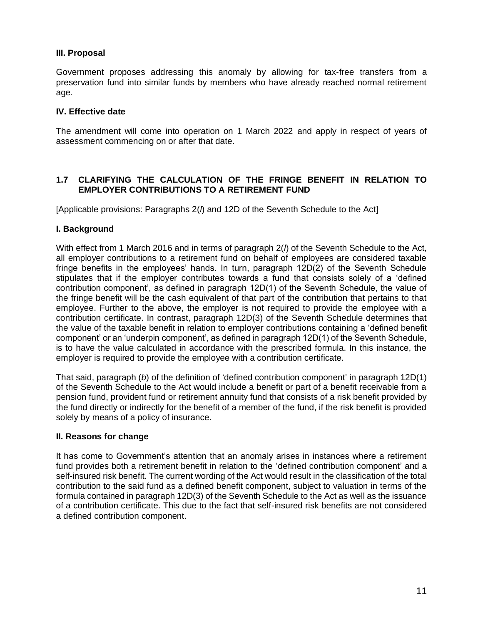# **III. Proposal**

Government proposes addressing this anomaly by allowing for tax‐free transfers from a preservation fund into similar funds by members who have already reached normal retirement age.

#### **IV. Effective date**

The amendment will come into operation on 1 March 2022 and apply in respect of years of assessment commencing on or after that date.

# <span id="page-10-0"></span>**1.7 CLARIFYING THE CALCULATION OF THE FRINGE BENEFIT IN RELATION TO EMPLOYER CONTRIBUTIONS TO A RETIREMENT FUND**

[Applicable provisions: Paragraphs 2(*l*) and 12D of the Seventh Schedule to the Act]

#### **I. Background**

With effect from 1 March 2016 and in terms of paragraph 2(*l*) of the Seventh Schedule to the Act, all employer contributions to a retirement fund on behalf of employees are considered taxable fringe benefits in the employees' hands. In turn, paragraph 12D(2) of the Seventh Schedule stipulates that if the employer contributes towards a fund that consists solely of a 'defined contribution component', as defined in paragraph 12D(1) of the Seventh Schedule, the value of the fringe benefit will be the cash equivalent of that part of the contribution that pertains to that employee. Further to the above, the employer is not required to provide the employee with a contribution certificate. In contrast, paragraph 12D(3) of the Seventh Schedule determines that the value of the taxable benefit in relation to employer contributions containing a 'defined benefit component' or an 'underpin component', as defined in paragraph 12D(1) of the Seventh Schedule, is to have the value calculated in accordance with the prescribed formula. In this instance, the employer is required to provide the employee with a contribution certificate.

That said, paragraph (*b*) of the definition of 'defined contribution component' in paragraph 12D(1) of the Seventh Schedule to the Act would include a benefit or part of a benefit receivable from a pension fund, provident fund or retirement annuity fund that consists of a risk benefit provided by the fund directly or indirectly for the benefit of a member of the fund, if the risk benefit is provided solely by means of a policy of insurance.

#### **II. Reasons for change**

It has come to Government's attention that an anomaly arises in instances where a retirement fund provides both a retirement benefit in relation to the 'defined contribution component' and a self-insured risk benefit. The current wording of the Act would result in the classification of the total contribution to the said fund as a defined benefit component, subject to valuation in terms of the formula contained in paragraph 12D(3) of the Seventh Schedule to the Act as well as the issuance of a contribution certificate. This due to the fact that self-insured risk benefits are not considered a defined contribution component.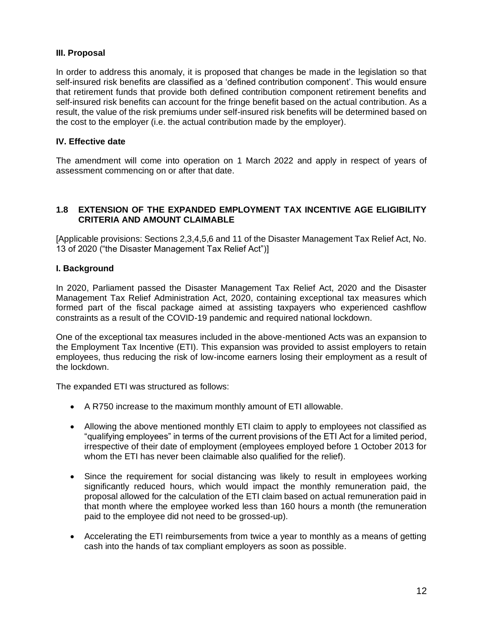# **III. Proposal**

In order to address this anomaly, it is proposed that changes be made in the legislation so that self-insured risk benefits are classified as a 'defined contribution component'. This would ensure that retirement funds that provide both defined contribution component retirement benefits and self-insured risk benefits can account for the fringe benefit based on the actual contribution. As a result, the value of the risk premiums under self-insured risk benefits will be determined based on the cost to the employer (i.e. the actual contribution made by the employer).

# **IV. Effective date**

The amendment will come into operation on 1 March 2022 and apply in respect of years of assessment commencing on or after that date.

#### <span id="page-11-0"></span>**1.8 EXTENSION OF THE EXPANDED EMPLOYMENT TAX INCENTIVE AGE ELIGIBILITY CRITERIA AND AMOUNT CLAIMABLE**

[Applicable provisions: Sections 2,3,4,5,6 and 11 of the Disaster Management Tax Relief Act, No. 13 of 2020 ("the Disaster Management Tax Relief Act")]

#### **I. Background**

In 2020, Parliament passed the Disaster Management Tax Relief Act, 2020 and the Disaster Management Tax Relief Administration Act, 2020, containing exceptional tax measures which formed part of the fiscal package aimed at assisting taxpayers who experienced cashflow constraints as a result of the COVID-19 pandemic and required national lockdown.

One of the exceptional tax measures included in the above-mentioned Acts was an expansion to the Employment Tax Incentive (ETI). This expansion was provided to assist employers to retain employees, thus reducing the risk of low-income earners losing their employment as a result of the lockdown.

The expanded ETI was structured as follows:

- A R750 increase to the maximum monthly amount of ETI allowable.
- Allowing the above mentioned monthly ETI claim to apply to employees not classified as "qualifying employees" in terms of the current provisions of the ETI Act for a limited period, irrespective of their date of employment (employees employed before 1 October 2013 for whom the ETI has never been claimable also qualified for the relief).
- Since the requirement for social distancing was likely to result in employees working significantly reduced hours, which would impact the monthly remuneration paid, the proposal allowed for the calculation of the ETI claim based on actual remuneration paid in that month where the employee worked less than 160 hours a month (the remuneration paid to the employee did not need to be grossed-up).
- Accelerating the ETI reimbursements from twice a year to monthly as a means of getting cash into the hands of tax compliant employers as soon as possible.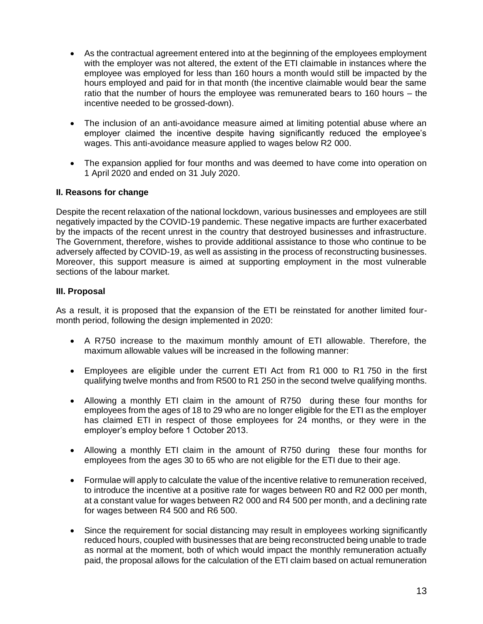- As the contractual agreement entered into at the beginning of the employees employment with the employer was not altered, the extent of the ETI claimable in instances where the employee was employed for less than 160 hours a month would still be impacted by the hours employed and paid for in that month (the incentive claimable would bear the same ratio that the number of hours the employee was remunerated bears to 160 hours – the incentive needed to be grossed-down).
- The inclusion of an anti-avoidance measure aimed at limiting potential abuse where an employer claimed the incentive despite having significantly reduced the employee's wages. This anti-avoidance measure applied to wages below R2 000.
- The expansion applied for four months and was deemed to have come into operation on 1 April 2020 and ended on 31 July 2020.

#### **II. Reasons for change**

Despite the recent relaxation of the national lockdown, various businesses and employees are still negatively impacted by the COVID-19 pandemic. These negative impacts are further exacerbated by the impacts of the recent unrest in the country that destroyed businesses and infrastructure. The Government, therefore, wishes to provide additional assistance to those who continue to be adversely affected by COVID-19, as well as assisting in the process of reconstructing businesses. Moreover, this support measure is aimed at supporting employment in the most vulnerable sections of the labour market.

#### **III. Proposal**

As a result, it is proposed that the expansion of the ETI be reinstated for another limited fourmonth period, following the design implemented in 2020:

- A R750 increase to the maximum monthly amount of ETI allowable. Therefore, the maximum allowable values will be increased in the following manner:
- Employees are eligible under the current ETI Act from R1 000 to R1 750 in the first qualifying twelve months and from R500 to R1 250 in the second twelve qualifying months.
- Allowing a monthly ETI claim in the amount of R750 during these four months for employees from the ages of 18 to 29 who are no longer eligible for the ETI as the employer has claimed ETI in respect of those employees for 24 months, or they were in the employer's employ before 1 October 2013.
- Allowing a monthly ETI claim in the amount of R750 during these four months for employees from the ages 30 to 65 who are not eligible for the ETI due to their age.
- Formulae will apply to calculate the value of the incentive relative to remuneration received, to introduce the incentive at a positive rate for wages between R0 and R2 000 per month, at a constant value for wages between R2 000 and R4 500 per month, and a declining rate for wages between R4 500 and R6 500.
- Since the requirement for social distancing may result in employees working significantly reduced hours, coupled with businesses that are being reconstructed being unable to trade as normal at the moment, both of which would impact the monthly remuneration actually paid, the proposal allows for the calculation of the ETI claim based on actual remuneration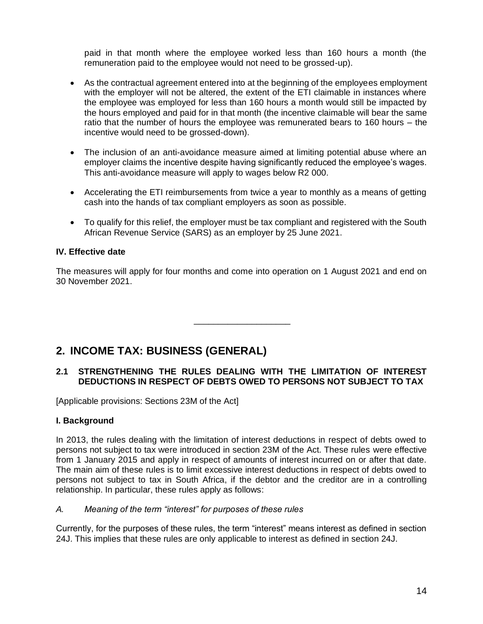paid in that month where the employee worked less than 160 hours a month (the remuneration paid to the employee would not need to be grossed-up).

- As the contractual agreement entered into at the beginning of the employees employment with the employer will not be altered, the extent of the ETI claimable in instances where the employee was employed for less than 160 hours a month would still be impacted by the hours employed and paid for in that month (the incentive claimable will bear the same ratio that the number of hours the employee was remunerated bears to 160 hours – the incentive would need to be grossed-down).
- The inclusion of an anti-avoidance measure aimed at limiting potential abuse where an employer claims the incentive despite having significantly reduced the employee's wages. This anti-avoidance measure will apply to wages below R2 000.
- Accelerating the ETI reimbursements from twice a year to monthly as a means of getting cash into the hands of tax compliant employers as soon as possible.
- To qualify for this relief, the employer must be tax compliant and registered with the South African Revenue Service (SARS) as an employer by 25 June 2021.

# **IV. Effective date**

The measures will apply for four months and come into operation on 1 August 2021 and end on 30 November 2021.

 $\frac{1}{\sqrt{2}}$  ,  $\frac{1}{\sqrt{2}}$  ,  $\frac{1}{\sqrt{2}}$  ,  $\frac{1}{\sqrt{2}}$  ,  $\frac{1}{\sqrt{2}}$  ,  $\frac{1}{\sqrt{2}}$  ,  $\frac{1}{\sqrt{2}}$  ,  $\frac{1}{\sqrt{2}}$  ,  $\frac{1}{\sqrt{2}}$  ,  $\frac{1}{\sqrt{2}}$  ,  $\frac{1}{\sqrt{2}}$  ,  $\frac{1}{\sqrt{2}}$  ,  $\frac{1}{\sqrt{2}}$  ,  $\frac{1}{\sqrt{2}}$  ,  $\frac{1}{\sqrt{2}}$ 

# <span id="page-13-0"></span>**2. INCOME TAX: BUSINESS (GENERAL)**

# <span id="page-13-1"></span>**2.1 STRENGTHENING THE RULES DEALING WITH THE LIMITATION OF INTEREST DEDUCTIONS IN RESPECT OF DEBTS OWED TO PERSONS NOT SUBJECT TO TAX**

[Applicable provisions: Sections 23M of the Act]

#### **I. Background**

In 2013, the rules dealing with the limitation of interest deductions in respect of debts owed to persons not subject to tax were introduced in section 23M of the Act. These rules were effective from 1 January 2015 and apply in respect of amounts of interest incurred on or after that date. The main aim of these rules is to limit excessive interest deductions in respect of debts owed to persons not subject to tax in South Africa, if the debtor and the creditor are in a controlling relationship. In particular, these rules apply as follows:

#### *A. Meaning of the term "interest" for purposes of these rules*

Currently, for the purposes of these rules, the term "interest" means interest as defined in section 24J. This implies that these rules are only applicable to interest as defined in section 24J.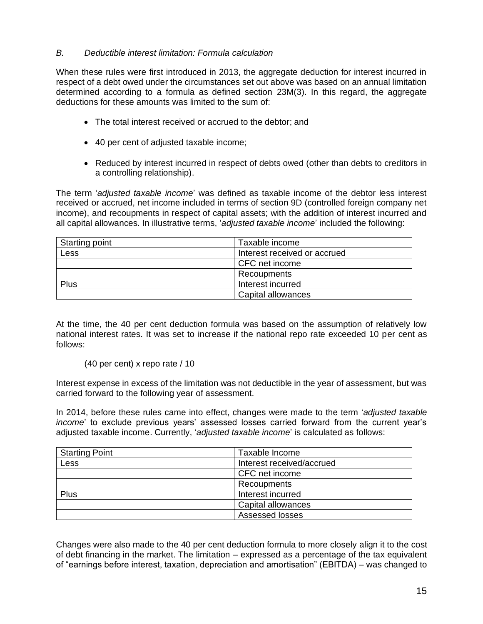#### *B. Deductible interest limitation: Formula calculation*

When these rules were first introduced in 2013, the aggregate deduction for interest incurred in respect of a debt owed under the circumstances set out above was based on an annual limitation determined according to a formula as defined section 23M(3). In this regard, the aggregate deductions for these amounts was limited to the sum of:

- The total interest received or accrued to the debtor; and
- 40 per cent of adjusted taxable income;
- Reduced by interest incurred in respect of debts owed (other than debts to creditors in a controlling relationship).

The term '*adjusted taxable income*' was defined as taxable income of the debtor less interest received or accrued, net income included in terms of section 9D (controlled foreign company net income), and recoupments in respect of capital assets; with the addition of interest incurred and all capital allowances. In illustrative terms, '*adjusted taxable income*' included the following:

| <b>Starting point</b> | Taxable income               |  |  |
|-----------------------|------------------------------|--|--|
| Less                  | Interest received or accrued |  |  |
|                       | CFC net income               |  |  |
|                       | Recoupments                  |  |  |
| Plus                  | Interest incurred            |  |  |
|                       | Capital allowances           |  |  |

At the time, the 40 per cent deduction formula was based on the assumption of relatively low national interest rates. It was set to increase if the national repo rate exceeded 10 per cent as follows:

#### (40 per cent) x repo rate / 10

Interest expense in excess of the limitation was not deductible in the year of assessment, but was carried forward to the following year of assessment.

In 2014, before these rules came into effect, changes were made to the term '*adjusted taxable income*' to exclude previous years' assessed losses carried forward from the current year's adjusted taxable income. Currently, '*adjusted taxable income*' is calculated as follows:

| <b>Starting Point</b> | Taxable Income            |  |  |
|-----------------------|---------------------------|--|--|
| Less                  | Interest received/accrued |  |  |
|                       | CFC net income            |  |  |
|                       | Recoupments               |  |  |
| Plus                  | Interest incurred         |  |  |
|                       | Capital allowances        |  |  |
|                       | Assessed losses           |  |  |

Changes were also made to the 40 per cent deduction formula to more closely align it to the cost of debt financing in the market. The limitation – expressed as a percentage of the tax equivalent of "earnings before interest, taxation, depreciation and amortisation" (EBITDA) – was changed to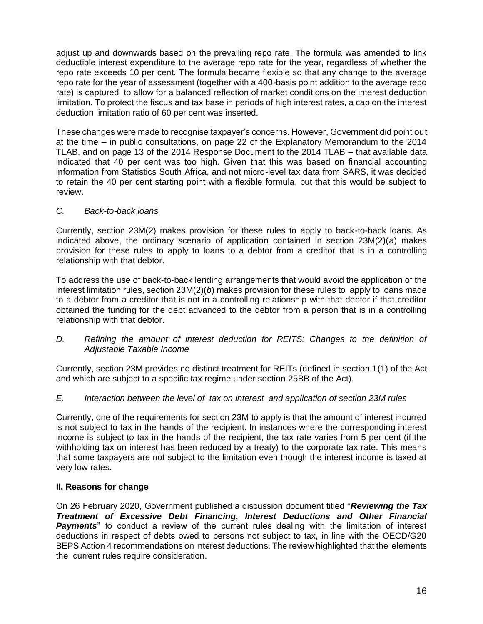adjust up and downwards based on the prevailing repo rate. The formula was amended to link deductible interest expenditure to the average repo rate for the year, regardless of whether the repo rate exceeds 10 per cent. The formula became flexible so that any change to the average repo rate for the year of assessment (together with a 400-basis point addition to the average repo rate) is captured to allow for a balanced reflection of market conditions on the interest deduction limitation. To protect the fiscus and tax base in periods of high interest rates, a cap on the interest deduction limitation ratio of 60 per cent was inserted.

These changes were made to recognise taxpayer's concerns. However, Government did point out at the time – in public consultations, on page 22 of the Explanatory Memorandum to the 2014 TLAB, and on page 13 of the 2014 Response Document to the 2014 TLAB – that available data indicated that 40 per cent was too high. Given that this was based on financial accounting information from Statistics South Africa, and not micro-level tax data from SARS, it was decided to retain the 40 per cent starting point with a flexible formula, but that this would be subject to review.

#### *C. Back-to-back loans*

Currently, section 23M(2) makes provision for these rules to apply to back-to-back loans. As indicated above, the ordinary scenario of application contained in section 23M(2)(*a*) makes provision for these rules to apply to loans to a debtor from a creditor that is in a controlling relationship with that debtor.

To address the use of back-to-back lending arrangements that would avoid the application of the interest limitation rules, section 23M(2)(*b*) makes provision for these rules to apply to loans made to a debtor from a creditor that is not in a controlling relationship with that debtor if that creditor obtained the funding for the debt advanced to the debtor from a person that is in a controlling relationship with that debtor.

*D.* Refining the amount of interest deduction for REITS: Changes to the definition of *Adjustable Taxable Income*

Currently, section 23M provides no distinct treatment for REITs (defined in section 1(1) of the Act and which are subject to a specific tax regime under section 25BB of the Act).

# *E. Interaction between the level of tax on interest and application of section 23M rules*

Currently, one of the requirements for section 23M to apply is that the amount of interest incurred is not subject to tax in the hands of the recipient. In instances where the corresponding interest income is subject to tax in the hands of the recipient, the tax rate varies from 5 per cent (if the withholding tax on interest has been reduced by a treaty) to the corporate tax rate. This means that some taxpayers are not subject to the limitation even though the interest income is taxed at very low rates.

# **II. Reasons for change**

On 26 February 2020, Government published a discussion document titled "*Reviewing the Tax Treatment of Excessive Debt Financing, Interest Deductions and Other Financial*  **Payments**" to conduct a review of the current rules dealing with the limitation of interest deductions in respect of debts owed to persons not subject to tax, in line with the OECD/G20 BEPS Action 4 recommendations on interest deductions. The review highlighted that the elements the current rules require consideration.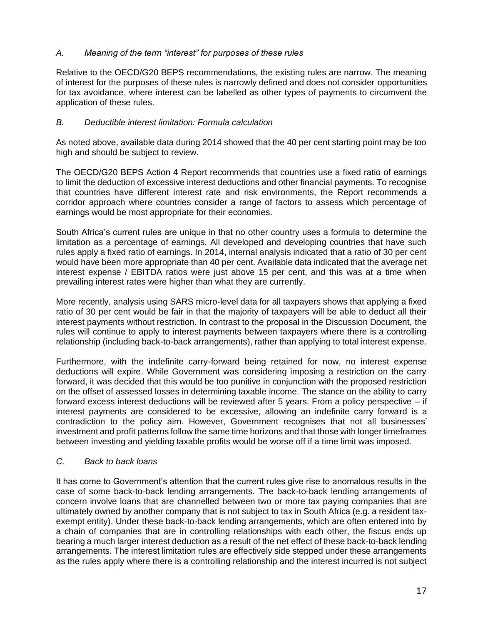# *A. Meaning of the term "interest" for purposes of these rules*

Relative to the OECD/G20 BEPS recommendations, the existing rules are narrow. The meaning of interest for the purposes of these rules is narrowly defined and does not consider opportunities for tax avoidance, where interest can be labelled as other types of payments to circumvent the application of these rules.

# *B. Deductible interest limitation: Formula calculation*

As noted above, available data during 2014 showed that the 40 per cent starting point may be too high and should be subject to review.

The OECD/G20 BEPS Action 4 Report recommends that countries use a fixed ratio of earnings to limit the deduction of excessive interest deductions and other financial payments. To recognise that countries have different interest rate and risk environments, the Report recommends a corridor approach where countries consider a range of factors to assess which percentage of earnings would be most appropriate for their economies.

South Africa's current rules are unique in that no other country uses a formula to determine the limitation as a percentage of earnings. All developed and developing countries that have such rules apply a fixed ratio of earnings. In 2014, internal analysis indicated that a ratio of 30 per cent would have been more appropriate than 40 per cent. Available data indicated that the average net interest expense / EBITDA ratios were just above 15 per cent, and this was at a time when prevailing interest rates were higher than what they are currently.

More recently, analysis using SARS micro-level data for all taxpayers shows that applying a fixed ratio of 30 per cent would be fair in that the majority of taxpayers will be able to deduct all their interest payments without restriction. In contrast to the proposal in the Discussion Document, the rules will continue to apply to interest payments between taxpayers where there is a controlling relationship (including back-to-back arrangements), rather than applying to total interest expense.

Furthermore, with the indefinite carry-forward being retained for now, no interest expense deductions will expire. While Government was considering imposing a restriction on the carry forward, it was decided that this would be too punitive in conjunction with the proposed restriction on the offset of assessed losses in determining taxable income. The stance on the ability to carry forward excess interest deductions will be reviewed after 5 years. From a policy perspective – if interest payments are considered to be excessive, allowing an indefinite carry forward is a contradiction to the policy aim. However, Government recognises that not all businesses' investment and profit patterns follow the same time horizons and that those with longer timeframes between investing and yielding taxable profits would be worse off if a time limit was imposed.

#### *C. Back to back loans*

It has come to Government's attention that the current rules give rise to anomalous results in the case of some back-to-back lending arrangements. The back-to-back lending arrangements of concern involve loans that are channelled between two or more tax paying companies that are ultimately owned by another company that is not subject to tax in South Africa (e.g. a resident taxexempt entity). Under these back-to-back lending arrangements, which are often entered into by a chain of companies that are in controlling relationships with each other, the fiscus ends up bearing a much larger interest deduction as a result of the net effect of these back-to-back lending arrangements. The interest limitation rules are effectively side stepped under these arrangements as the rules apply where there is a controlling relationship and the interest incurred is not subject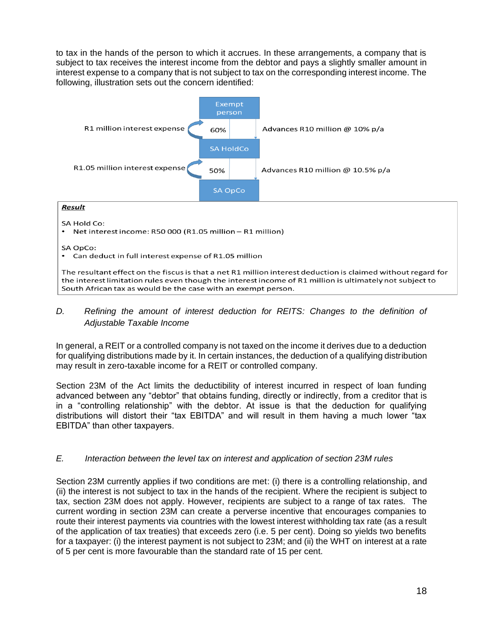to tax in the hands of the person to which it accrues. In these arrangements, a company that is subject to tax receives the interest income from the debtor and pays a slightly smaller amount in interest expense to a company that is not subject to tax on the corresponding interest income. The following, illustration sets out the concern identified:



# SA Hold Co:

• Net interest income: R50 000 (R1.05 million - R1 million)

SA OpCo:

• Can deduct in full interest expense of R1.05 million

The resultant effect on the fiscus is that a net R1 million interest deduction is claimed without regard for the interest limitation rules even though the interest income of R1 million is ultimately not subject to South African tax as would be the case with an exempt person.

### *D. Refining the amount of interest deduction for REITS: Changes to the definition of Adjustable Taxable Income*

In general, a REIT or a controlled company is not taxed on the income it derives due to a deduction for qualifying distributions made by it. In certain instances, the deduction of a qualifying distribution may result in zero-taxable income for a REIT or controlled company.

Section 23M of the Act limits the deductibility of interest incurred in respect of loan funding advanced between any "debtor" that obtains funding, directly or indirectly, from a creditor that is in a "controlling relationship" with the debtor. At issue is that the deduction for qualifying distributions will distort their "tax EBITDA" and will result in them having a much lower "tax EBITDA" than other taxpayers.

#### *E. Interaction between the level tax on interest and application of section 23M rules*

Section 23M currently applies if two conditions are met: (i) there is a controlling relationship, and (ii) the interest is not subject to tax in the hands of the recipient. Where the recipient is subject to tax, section 23M does not apply. However, recipients are subject to a range of tax rates. The current wording in section 23M can create a perverse incentive that encourages companies to route their interest payments via countries with the lowest interest withholding tax rate (as a result of the application of tax treaties) that exceeds zero (i.e. 5 per cent). Doing so yields two benefits for a taxpayer: (i) the interest payment is not subject to 23M; and (ii) the WHT on interest at a rate of 5 per cent is more favourable than the standard rate of 15 per cent.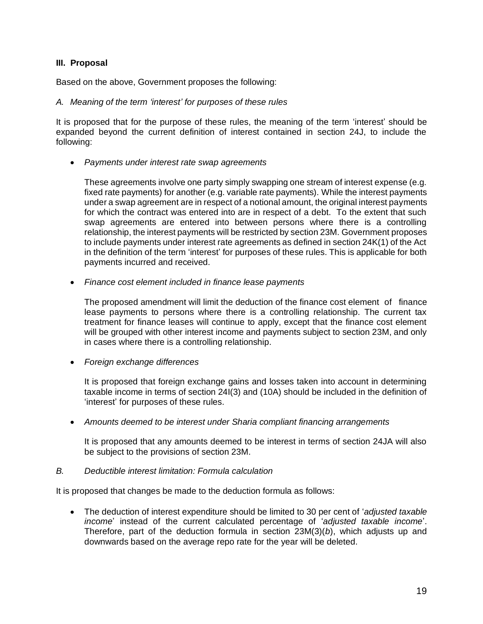#### **III. Proposal**

Based on the above, Government proposes the following:

#### *A. Meaning of the term 'interest' for purposes of these rules*

It is proposed that for the purpose of these rules, the meaning of the term 'interest' should be expanded beyond the current definition of interest contained in section 24J, to include the following:

• *Payments under interest rate swap agreements*

These agreements involve one party simply swapping one stream of interest expense (e.g. fixed rate payments) for another (e.g. variable rate payments). While the interest payments under a swap agreement are in respect of a notional amount, the original interest payments for which the contract was entered into are in respect of a debt. To the extent that such swap agreements are entered into between persons where there is a controlling relationship, the interest payments will be restricted by section 23M. Government proposes to include payments under interest rate agreements as defined in section 24K(1) of the Act in the definition of the term 'interest' for purposes of these rules. This is applicable for both payments incurred and received.

• *Finance cost element included in finance lease payments* 

The proposed amendment will limit the deduction of the finance cost element of finance lease payments to persons where there is a controlling relationship. The current tax treatment for finance leases will continue to apply, except that the finance cost element will be grouped with other interest income and payments subject to section 23M, and only in cases where there is a controlling relationship.

• *Foreign exchange differences*

It is proposed that foreign exchange gains and losses taken into account in determining taxable income in terms of section 24I(3) and (10A) should be included in the definition of 'interest' for purposes of these rules.

• *Amounts deemed to be interest under Sharia compliant financing arrangements*

It is proposed that any amounts deemed to be interest in terms of section 24JA will also be subject to the provisions of section 23M.

#### *B. Deductible interest limitation: Formula calculation*

It is proposed that changes be made to the deduction formula as follows:

• The deduction of interest expenditure should be limited to 30 per cent of '*adjusted taxable income*' instead of the current calculated percentage of '*adjusted taxable income*'. Therefore, part of the deduction formula in section 23M(3)(*b*), which adjusts up and downwards based on the average repo rate for the year will be deleted.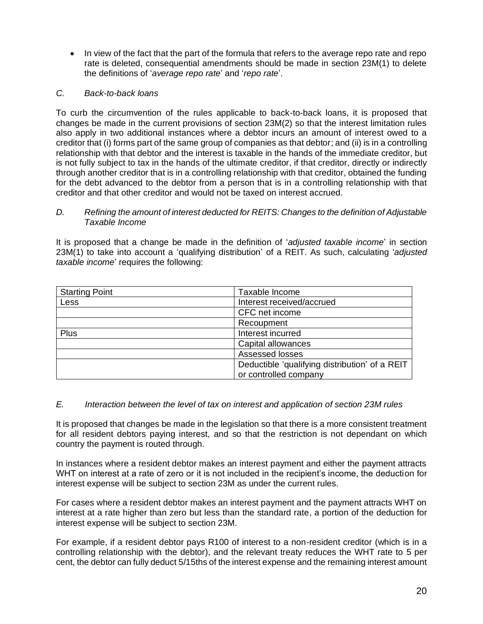• In view of the fact that the part of the formula that refers to the average repo rate and repo rate is deleted, consequential amendments should be made in section 23M(1) to delete the definitions of '*average repo rate*' and '*repo rate*'.

# *C. Back-to-back loans*

To curb the circumvention of the rules applicable to back-to-back loans, it is proposed that changes be made in the current provisions of section 23M(2) so that the interest limitation rules also apply in two additional instances where a debtor incurs an amount of interest owed to a creditor that (i) forms part of the same group of companies as that debtor; and (ii) is in a controlling relationship with that debtor and the interest is taxable in the hands of the immediate creditor, but is not fully subject to tax in the hands of the ultimate creditor, if that creditor, directly or indirectly through another creditor that is in a controlling relationship with that creditor, obtained the funding for the debt advanced to the debtor from a person that is in a controlling relationship with that creditor and that other creditor and would not be taxed on interest accrued.

#### *D. Refining the amount of interest deducted for REITS: Changes to the definition of Adjustable Taxable Income*

It is proposed that a change be made in the definition of '*adjusted taxable income*' in section 23M(1) to take into account a 'qualifying distribution' of a REIT. As such, calculating '*adjusted taxable income*' requires the following:

| <b>Starting Point</b> | Taxable Income                                 |
|-----------------------|------------------------------------------------|
| <b>Less</b>           | Interest received/accrued                      |
|                       | CFC net income                                 |
|                       | Recoupment                                     |
| Plus                  | Interest incurred                              |
|                       | Capital allowances                             |
|                       | Assessed losses                                |
|                       | Deductible 'qualifying distribution' of a REIT |
|                       | or controlled company                          |

#### *E. Interaction between the level of tax on interest and application of section 23M rules*

It is proposed that changes be made in the legislation so that there is a more consistent treatment for all resident debtors paying interest, and so that the restriction is not dependant on which country the payment is routed through.

In instances where a resident debtor makes an interest payment and either the payment attracts WHT on interest at a rate of zero or it is not included in the recipient's income, the deduction for interest expense will be subject to section 23M as under the current rules.

For cases where a resident debtor makes an interest payment and the payment attracts WHT on interest at a rate higher than zero but less than the standard rate, a portion of the deduction for interest expense will be subject to section 23M.

For example, if a resident debtor pays R100 of interest to a non-resident creditor (which is in a controlling relationship with the debtor), and the relevant treaty reduces the WHT rate to 5 per cent, the debtor can fully deduct 5/15ths of the interest expense and the remaining interest amount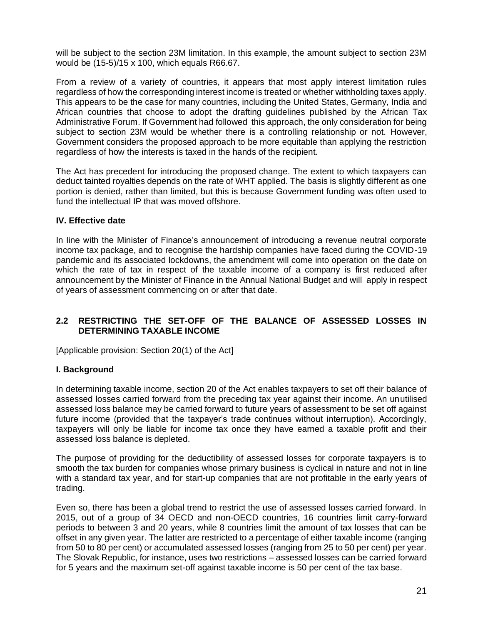will be subject to the section 23M limitation. In this example, the amount subject to section 23M would be (15-5)/15 x 100, which equals R66.67.

From a review of a variety of countries, it appears that most apply interest limitation rules regardless of how the corresponding interest income is treated or whether withholding taxes apply. This appears to be the case for many countries, including the United States, Germany, India and African countries that choose to adopt the drafting guidelines published by the African Tax Administrative Forum. If Government had followed this approach, the only consideration for being subject to section 23M would be whether there is a controlling relationship or not. However, Government considers the proposed approach to be more equitable than applying the restriction regardless of how the interests is taxed in the hands of the recipient.

The Act has precedent for introducing the proposed change. The extent to which taxpayers can deduct tainted royalties depends on the rate of WHT applied. The basis is slightly different as one portion is denied, rather than limited, but this is because Government funding was often used to fund the intellectual IP that was moved offshore.

#### **IV. Effective date**

In line with the Minister of Finance's announcement of introducing a revenue neutral corporate income tax package, and to recognise the hardship companies have faced during the COVID-19 pandemic and its associated lockdowns, the amendment will come into operation on the date on which the rate of tax in respect of the taxable income of a company is first reduced after announcement by the Minister of Finance in the Annual National Budget and will apply in respect of years of assessment commencing on or after that date.

# <span id="page-20-0"></span>**2.2 RESTRICTING THE SET-OFF OF THE BALANCE OF ASSESSED LOSSES IN DETERMINING TAXABLE INCOME**

[Applicable provision: Section 20(1) of the Act]

#### **I. Background**

In determining taxable income, section 20 of the Act enables taxpayers to set off their balance of assessed losses carried forward from the preceding tax year against their income. An unutilised assessed loss balance may be carried forward to future years of assessment to be set off against future income (provided that the taxpayer's trade continues without interruption). Accordingly, taxpayers will only be liable for income tax once they have earned a taxable profit and their assessed loss balance is depleted.

The purpose of providing for the deductibility of assessed losses for corporate taxpayers is to smooth the tax burden for companies whose primary business is cyclical in nature and not in line with a standard tax year, and for start-up companies that are not profitable in the early years of trading.

Even so, there has been a global trend to restrict the use of assessed losses carried forward. In 2015, out of a group of 34 OECD and non-OECD countries, 16 countries limit carry-forward periods to between 3 and 20 years, while 8 countries limit the amount of tax losses that can be offset in any given year. The latter are restricted to a percentage of either taxable income (ranging from 50 to 80 per cent) or accumulated assessed losses (ranging from 25 to 50 per cent) per year. The Slovak Republic, for instance, uses two restrictions – assessed losses can be carried forward for 5 years and the maximum set-off against taxable income is 50 per cent of the tax base.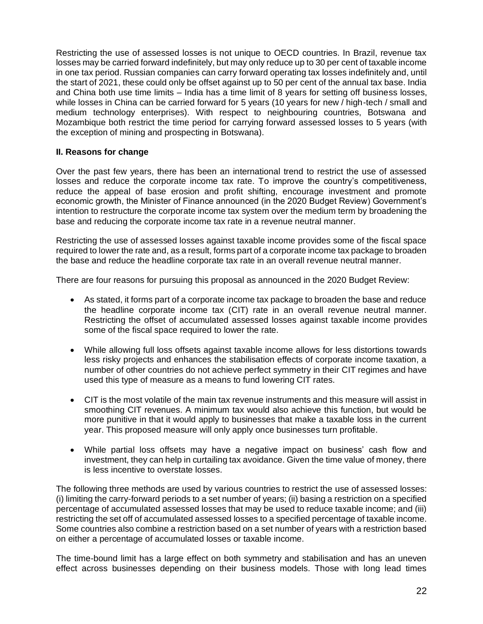Restricting the use of assessed losses is not unique to OECD countries. In Brazil, revenue tax losses may be carried forward indefinitely, but may only reduce up to 30 per cent of taxable income in one tax period. Russian companies can carry forward operating tax losses indefinitely and, until the start of 2021, these could only be offset against up to 50 per cent of the annual tax base. India and China both use time limits – India has a time limit of 8 years for setting off business losses, while losses in China can be carried forward for 5 years (10 years for new / high-tech / small and medium technology enterprises). With respect to neighbouring countries, Botswana and Mozambique both restrict the time period for carrying forward assessed losses to 5 years (with the exception of mining and prospecting in Botswana).

#### **II. Reasons for change**

Over the past few years, there has been an international trend to restrict the use of assessed losses and reduce the corporate income tax rate. To improve the country's competitiveness, reduce the appeal of base erosion and profit shifting, encourage investment and promote economic growth, the Minister of Finance announced (in the 2020 Budget Review) Government's intention to restructure the corporate income tax system over the medium term by broadening the base and reducing the corporate income tax rate in a revenue neutral manner.

Restricting the use of assessed losses against taxable income provides some of the fiscal space required to lower the rate and, as a result, forms part of a corporate income tax package to broaden the base and reduce the headline corporate tax rate in an overall revenue neutral manner.

There are four reasons for pursuing this proposal as announced in the 2020 Budget Review:

- As stated, it forms part of a corporate income tax package to broaden the base and reduce the headline corporate income tax (CIT) rate in an overall revenue neutral manner. Restricting the offset of accumulated assessed losses against taxable income provides some of the fiscal space required to lower the rate.
- While allowing full loss offsets against taxable income allows for less distortions towards less risky projects and enhances the stabilisation effects of corporate income taxation, a number of other countries do not achieve perfect symmetry in their CIT regimes and have used this type of measure as a means to fund lowering CIT rates.
- CIT is the most volatile of the main tax revenue instruments and this measure will assist in smoothing CIT revenues. A minimum tax would also achieve this function, but would be more punitive in that it would apply to businesses that make a taxable loss in the current year. This proposed measure will only apply once businesses turn profitable.
- While partial loss offsets may have a negative impact on business' cash flow and investment, they can help in curtailing tax avoidance. Given the time value of money, there is less incentive to overstate losses.

The following three methods are used by various countries to restrict the use of assessed losses: (i) limiting the carry-forward periods to a set number of years; (ii) basing a restriction on a specified percentage of accumulated assessed losses that may be used to reduce taxable income; and (iii) restricting the set off of accumulated assessed losses to a specified percentage of taxable income. Some countries also combine a restriction based on a set number of years with a restriction based on either a percentage of accumulated losses or taxable income.

The time-bound limit has a large effect on both symmetry and stabilisation and has an uneven effect across businesses depending on their business models. Those with long lead times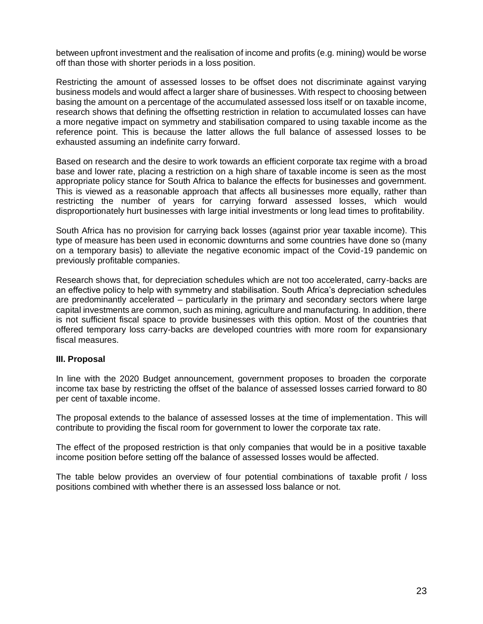between upfront investment and the realisation of income and profits (e.g. mining) would be worse off than those with shorter periods in a loss position.

Restricting the amount of assessed losses to be offset does not discriminate against varying business models and would affect a larger share of businesses. With respect to choosing between basing the amount on a percentage of the accumulated assessed loss itself or on taxable income, research shows that defining the offsetting restriction in relation to accumulated losses can have a more negative impact on symmetry and stabilisation compared to using taxable income as the reference point. This is because the latter allows the full balance of assessed losses to be exhausted assuming an indefinite carry forward.

Based on research and the desire to work towards an efficient corporate tax regime with a broad base and lower rate, placing a restriction on a high share of taxable income is seen as the most appropriate policy stance for South Africa to balance the effects for businesses and government. This is viewed as a reasonable approach that affects all businesses more equally, rather than restricting the number of years for carrying forward assessed losses, which would disproportionately hurt businesses with large initial investments or long lead times to profitability.

South Africa has no provision for carrying back losses (against prior year taxable income). This type of measure has been used in economic downturns and some countries have done so (many on a temporary basis) to alleviate the negative economic impact of the Covid-19 pandemic on previously profitable companies.

Research shows that, for depreciation schedules which are not too accelerated, carry-backs are an effective policy to help with symmetry and stabilisation. South Africa's depreciation schedules are predominantly accelerated – particularly in the primary and secondary sectors where large capital investments are common, such as mining, agriculture and manufacturing. In addition, there is not sufficient fiscal space to provide businesses with this option. Most of the countries that offered temporary loss carry-backs are developed countries with more room for expansionary fiscal measures.

#### **III. Proposal**

In line with the 2020 Budget announcement, government proposes to broaden the corporate income tax base by restricting the offset of the balance of assessed losses carried forward to 80 per cent of taxable income.

The proposal extends to the balance of assessed losses at the time of implementation. This will contribute to providing the fiscal room for government to lower the corporate tax rate.

The effect of the proposed restriction is that only companies that would be in a positive taxable income position before setting off the balance of assessed losses would be affected.

The table below provides an overview of four potential combinations of taxable profit / loss positions combined with whether there is an assessed loss balance or not.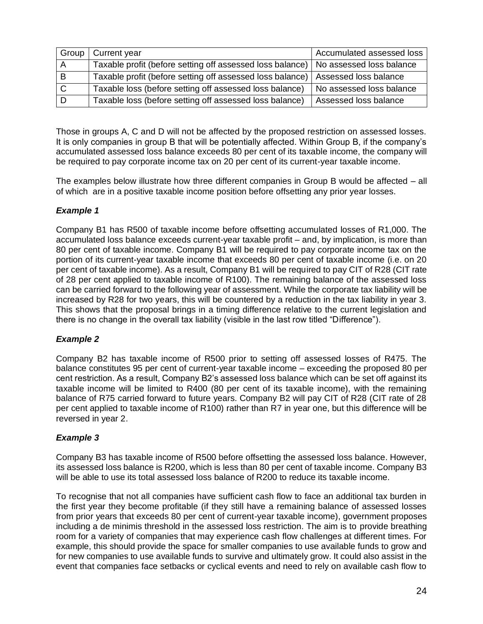| Group | Current year                                                                         | Accumulated assessed loss |
|-------|--------------------------------------------------------------------------------------|---------------------------|
|       | Taxable profit (before setting off assessed loss balance)   No assessed loss balance |                           |
| B     | Taxable profit (before setting off assessed loss balance)   Assessed loss balance    |                           |
|       | Taxable loss (before setting off assessed loss balance)                              | No assessed loss balance  |
|       | Taxable loss (before setting off assessed loss balance)                              | Assessed loss balance     |

Those in groups A, C and D will not be affected by the proposed restriction on assessed losses. It is only companies in group B that will be potentially affected. Within Group B, if the company's accumulated assessed loss balance exceeds 80 per cent of its taxable income, the company will be required to pay corporate income tax on 20 per cent of its current-year taxable income.

The examples below illustrate how three different companies in Group B would be affected – all of which are in a positive taxable income position before offsetting any prior year losses.

# *Example 1*

Company B1 has R500 of taxable income before offsetting accumulated losses of R1,000. The accumulated loss balance exceeds current-year taxable profit – and, by implication, is more than 80 per cent of taxable income. Company B1 will be required to pay corporate income tax on the portion of its current-year taxable income that exceeds 80 per cent of taxable income (i.e. on 20 per cent of taxable income). As a result, Company B1 will be required to pay CIT of R28 (CIT rate of 28 per cent applied to taxable income of R100). The remaining balance of the assessed loss can be carried forward to the following year of assessment. While the corporate tax liability will be increased by R28 for two years, this will be countered by a reduction in the tax liability in year 3. This shows that the proposal brings in a timing difference relative to the current legislation and there is no change in the overall tax liability (visible in the last row titled "Difference").

#### *Example 2*

Company B2 has taxable income of R500 prior to setting off assessed losses of R475. The balance constitutes 95 per cent of current-year taxable income – exceeding the proposed 80 per cent restriction. As a result, Company B2's assessed loss balance which can be set off against its taxable income will be limited to R400 (80 per cent of its taxable income), with the remaining balance of R75 carried forward to future years. Company B2 will pay CIT of R28 (CIT rate of 28 per cent applied to taxable income of R100) rather than R7 in year one, but this difference will be reversed in year 2.

#### *Example 3*

Company B3 has taxable income of R500 before offsetting the assessed loss balance. However, its assessed loss balance is R200, which is less than 80 per cent of taxable income. Company B3 will be able to use its total assessed loss balance of R200 to reduce its taxable income.

To recognise that not all companies have sufficient cash flow to face an additional tax burden in the first year they become profitable (if they still have a remaining balance of assessed losses from prior years that exceeds 80 per cent of current-year taxable income), government proposes including a de minimis threshold in the assessed loss restriction. The aim is to provide breathing room for a variety of companies that may experience cash flow challenges at different times. For example, this should provide the space for smaller companies to use available funds to grow and for new companies to use available funds to survive and ultimately grow. It could also assist in the event that companies face setbacks or cyclical events and need to rely on available cash flow to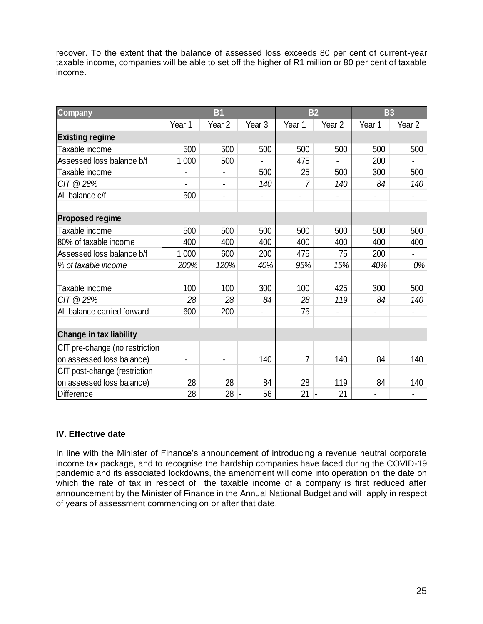recover. To the extent that the balance of assessed loss exceeds 80 per cent of current-year taxable income, companies will be able to set off the higher of R1 million or 80 per cent of taxable income.

| <b>Company</b>                 | <b>B1</b> |                   |                   | <b>B2</b>      |                   | <b>B3</b> |                   |
|--------------------------------|-----------|-------------------|-------------------|----------------|-------------------|-----------|-------------------|
|                                | Year 1    | Year <sub>2</sub> | Year <sub>3</sub> | Year 1         | Year <sub>2</sub> | Year 1    | Year <sub>2</sub> |
| <b>Existing regime</b>         |           |                   |                   |                |                   |           |                   |
| Taxable income                 | 500       | 500               | 500               | 500            | 500               | 500       | 500               |
| Assessed loss balance b/f      | 1 0 0 0   | 500               |                   | 475            |                   | 200       |                   |
| Taxable income                 |           |                   | 500               | 25             | 500               | 300       | 500               |
| CIT @ 28%                      |           |                   | 140               | 7              | 140               | 84        | 140               |
| AL balance c/f                 | 500       |                   |                   |                |                   |           |                   |
|                                |           |                   |                   |                |                   |           |                   |
| <b>Proposed regime</b>         |           |                   |                   |                |                   |           |                   |
| Taxable income                 | 500       | 500               | 500               | 500            | 500               | 500       | 500               |
| 80% of taxable income          | 400       | 400               | 400               | 400            | 400               | 400       | 400               |
| Assessed loss balance b/f      | 1 0 0 0   | 600               | 200               | 475            | 75                | 200       |                   |
| % of taxable income            | 200%      | 120%              | 40%               | 95%            | 15%               | 40%       | 0%                |
|                                |           |                   |                   |                |                   |           |                   |
| Taxable income                 | 100       | 100               | 300               | 100            | 425               | 300       | 500               |
| CIT @ 28%                      | 28        | 28                | 84                | 28             | 119               | 84        | 140               |
| AL balance carried forward     | 600       | 200               |                   | 75             |                   |           |                   |
|                                |           |                   |                   |                |                   |           |                   |
| <b>Change in tax liability</b> |           |                   |                   |                |                   |           |                   |
| CIT pre-change (no restriction |           |                   |                   |                |                   |           |                   |
| on assessed loss balance)      |           |                   | 140               | $\overline{7}$ | 140               | 84        | 140               |
| CIT post-change (restriction   |           |                   |                   |                |                   |           |                   |
| on assessed loss balance)      | 28        | 28                | 84                | 28             | 119               | 84        | 140               |
| Difference                     | 28        | 28                | 56                | 21             | 21                |           |                   |

#### **IV. Effective date**

In line with the Minister of Finance's announcement of introducing a revenue neutral corporate income tax package, and to recognise the hardship companies have faced during the COVID-19 pandemic and its associated lockdowns, the amendment will come into operation on the date on which the rate of tax in respect of the taxable income of a company is first reduced after announcement by the Minister of Finance in the Annual National Budget and will apply in respect of years of assessment commencing on or after that date.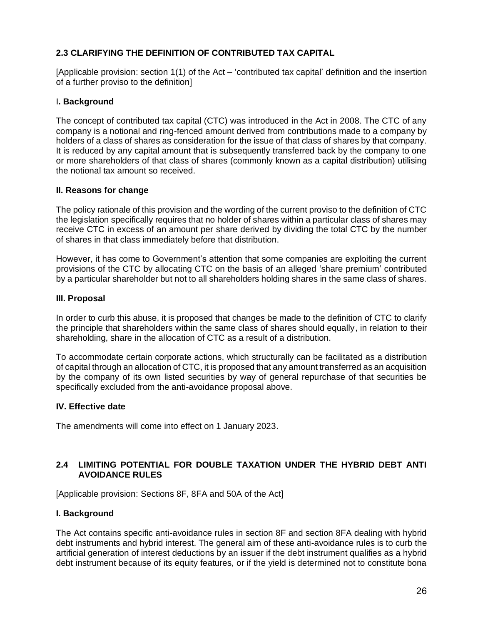# <span id="page-25-0"></span>**2.3 CLARIFYING THE DEFINITION OF CONTRIBUTED TAX CAPITAL**

[Applicable provision: section 1(1) of the Act – 'contributed tax capital' definition and the insertion of a further proviso to the definition]

# I**. Background**

The concept of contributed tax capital (CTC) was introduced in the Act in 2008. The CTC of any company is a notional and ring-fenced amount derived from contributions made to a company by holders of a class of shares as consideration for the issue of that class of shares by that company. It is reduced by any capital amount that is subsequently transferred back by the company to one or more shareholders of that class of shares (commonly known as a capital distribution) utilising the notional tax amount so received.

#### **II. Reasons for change**

The policy rationale of this provision and the wording of the current proviso to the definition of CTC the legislation specifically requires that no holder of shares within a particular class of shares may receive CTC in excess of an amount per share derived by dividing the total CTC by the number of shares in that class immediately before that distribution.

However, it has come to Government's attention that some companies are exploiting the current provisions of the CTC by allocating CTC on the basis of an alleged 'share premium' contributed by a particular shareholder but not to all shareholders holding shares in the same class of shares.

#### **III. Proposal**

In order to curb this abuse, it is proposed that changes be made to the definition of CTC to clarify the principle that shareholders within the same class of shares should equally, in relation to their shareholding, share in the allocation of CTC as a result of a distribution.

To accommodate certain corporate actions, which structurally can be facilitated as a distribution of capital through an allocation of CTC, it is proposed that any amount transferred as an acquisition by the company of its own listed securities by way of general repurchase of that securities be specifically excluded from the anti-avoidance proposal above.

#### **IV. Effective date**

The amendments will come into effect on 1 January 2023.

# <span id="page-25-1"></span>**2.4 LIMITING POTENTIAL FOR DOUBLE TAXATION UNDER THE HYBRID DEBT ANTI AVOIDANCE RULES**

[Applicable provision: Sections 8F, 8FA and 50A of the Act]

#### **I. Background**

The Act contains specific anti-avoidance rules in section 8F and section 8FA dealing with hybrid debt instruments and hybrid interest. The general aim of these anti-avoidance rules is to curb the artificial generation of interest deductions by an issuer if the debt instrument qualifies as a hybrid debt instrument because of its equity features, or if the yield is determined not to constitute bona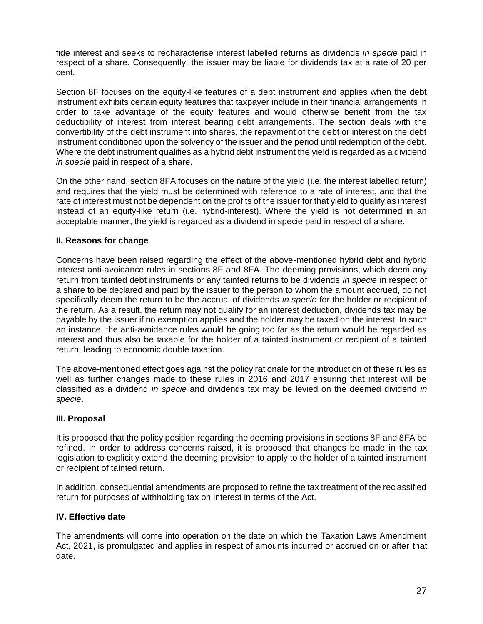fide interest and seeks to recharacterise interest labelled returns as dividends *in specie* paid in respect of a share. Consequently, the issuer may be liable for dividends tax at a rate of 20 per cent.

Section 8F focuses on the equity-like features of a debt instrument and applies when the debt instrument exhibits certain equity features that taxpayer include in their financial arrangements in order to take advantage of the equity features and would otherwise benefit from the tax deductibility of interest from interest bearing debt arrangements. The section deals with the convertibility of the debt instrument into shares, the repayment of the debt or interest on the debt instrument conditioned upon the solvency of the issuer and the period until redemption of the debt. Where the debt instrument qualifies as a hybrid debt instrument the yield is regarded as a dividend *in specie* paid in respect of a share.

On the other hand, section 8FA focuses on the nature of the yield (i.e. the interest labelled return) and requires that the yield must be determined with reference to a rate of interest, and that the rate of interest must not be dependent on the profits of the issuer for that yield to qualify as interest instead of an equity-like return (i.e. hybrid-interest). Where the yield is not determined in an acceptable manner, the yield is regarded as a dividend in specie paid in respect of a share.

#### **II. Reasons for change**

Concerns have been raised regarding the effect of the above-mentioned hybrid debt and hybrid interest anti-avoidance rules in sections 8F and 8FA. The deeming provisions, which deem any return from tainted debt instruments or any tainted returns to be dividends *in specie* in respect of a share to be declared and paid by the issuer to the person to whom the amount accrued, do not specifically deem the return to be the accrual of dividends *in specie* for the holder or recipient of the return. As a result, the return may not qualify for an interest deduction, dividends tax may be payable by the issuer if no exemption applies and the holder may be taxed on the interest. In such an instance, the anti-avoidance rules would be going too far as the return would be regarded as interest and thus also be taxable for the holder of a tainted instrument or recipient of a tainted return, leading to economic double taxation.

The above-mentioned effect goes against the policy rationale for the introduction of these rules as well as further changes made to these rules in 2016 and 2017 ensuring that interest will be classified as a dividend *in specie* and dividends tax may be levied on the deemed dividend *in specie*.

#### **III. Proposal**

It is proposed that the policy position regarding the deeming provisions in sections 8F and 8FA be refined. In order to address concerns raised, it is proposed that changes be made in the tax legislation to explicitly extend the deeming provision to apply to the holder of a tainted instrument or recipient of tainted return.

In addition, consequential amendments are proposed to refine the tax treatment of the reclassified return for purposes of withholding tax on interest in terms of the Act.

#### **IV. Effective date**

The amendments will come into operation on the date on which the Taxation Laws Amendment Act, 2021, is promulgated and applies in respect of amounts incurred or accrued on or after that date.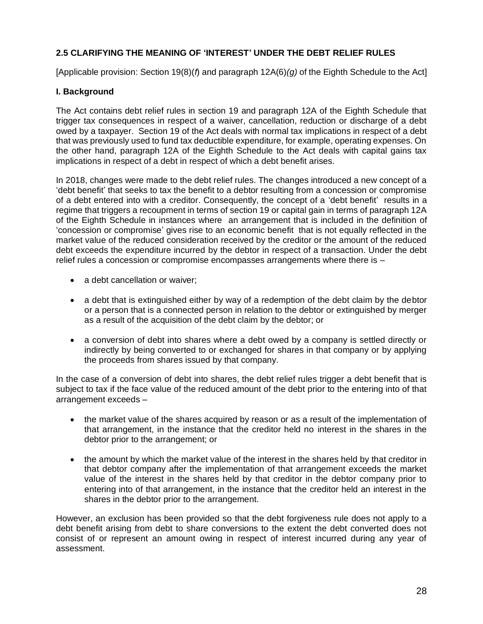# <span id="page-27-0"></span>**2.5 CLARIFYING THE MEANING OF 'INTEREST' UNDER THE DEBT RELIEF RULES**

[Applicable provision: Section 19(8)(*f*) and paragraph 12A(6)*(g)* of the Eighth Schedule to the Act]

# **I. Background**

The Act contains debt relief rules in section 19 and paragraph 12A of the Eighth Schedule that trigger tax consequences in respect of a waiver, cancellation, reduction or discharge of a debt owed by a taxpayer. Section 19 of the Act deals with normal tax implications in respect of a debt that was previously used to fund tax deductible expenditure, for example, operating expenses. On the other hand, paragraph 12A of the Eighth Schedule to the Act deals with capital gains tax implications in respect of a debt in respect of which a debt benefit arises.

In 2018, changes were made to the debt relief rules. The changes introduced a new concept of a 'debt benefit' that seeks to tax the benefit to a debtor resulting from a concession or compromise of a debt entered into with a creditor. Consequently, the concept of a 'debt benefit' results in a regime that triggers a recoupment in terms of section 19 or capital gain in terms of paragraph 12A of the Eighth Schedule in instances where an arrangement that is included in the definition of 'concession or compromise' gives rise to an economic benefit that is not equally reflected in the market value of the reduced consideration received by the creditor or the amount of the reduced debt exceeds the expenditure incurred by the debtor in respect of a transaction. Under the debt relief rules a concession or compromise encompasses arrangements where there is –

- a debt cancellation or waiver;
- a debt that is extinguished either by way of a redemption of the debt claim by the debtor or a person that is a connected person in relation to the debtor or extinguished by merger as a result of the acquisition of the debt claim by the debtor; or
- a conversion of debt into shares where a debt owed by a company is settled directly or indirectly by being converted to or exchanged for shares in that company or by applying the proceeds from shares issued by that company.

In the case of a conversion of debt into shares, the debt relief rules trigger a debt benefit that is subject to tax if the face value of the reduced amount of the debt prior to the entering into of that arrangement exceeds –

- the market value of the shares acquired by reason or as a result of the implementation of that arrangement, in the instance that the creditor held no interest in the shares in the debtor prior to the arrangement; or
- the amount by which the market value of the interest in the shares held by that creditor in that debtor company after the implementation of that arrangement exceeds the market value of the interest in the shares held by that creditor in the debtor company prior to entering into of that arrangement, in the instance that the creditor held an interest in the shares in the debtor prior to the arrangement.

However, an exclusion has been provided so that the debt forgiveness rule does not apply to a debt benefit arising from debt to share conversions to the extent the debt converted does not consist of or represent an amount owing in respect of interest incurred during any year of assessment.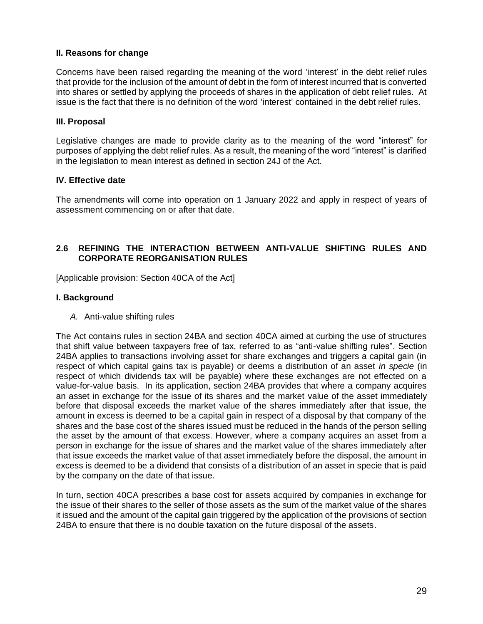# **II. Reasons for change**

Concerns have been raised regarding the meaning of the word 'interest' in the debt relief rules that provide for the inclusion of the amount of debt in the form of interest incurred that is converted into shares or settled by applying the proceeds of shares in the application of debt relief rules. At issue is the fact that there is no definition of the word 'interest' contained in the debt relief rules.

#### **III. Proposal**

Legislative changes are made to provide clarity as to the meaning of the word "interest" for purposes of applying the debt relief rules. As a result, the meaning of the word "interest" is clarified in the legislation to mean interest as defined in section 24J of the Act.

# **IV. Effective date**

The amendments will come into operation on 1 January 2022 and apply in respect of years of assessment commencing on or after that date.

# <span id="page-28-0"></span>**2.6 REFINING THE INTERACTION BETWEEN ANTI-VALUE SHIFTING RULES AND CORPORATE REORGANISATION RULES**

[Applicable provision: Section 40CA of the Act]

# **I. Background**

*A.* Anti-value shifting rules

The Act contains rules in section 24BA and section 40CA aimed at curbing the use of structures that shift value between taxpayers free of tax, referred to as "anti-value shifting rules". Section 24BA applies to transactions involving asset for share exchanges and triggers a capital gain (in respect of which capital gains tax is payable) or deems a distribution of an asset *in specie* (in respect of which dividends tax will be payable) where these exchanges are not effected on a value-for-value basis. In its application, section 24BA provides that where a company acquires an asset in exchange for the issue of its shares and the market value of the asset immediately before that disposal exceeds the market value of the shares immediately after that issue, the amount in excess is deemed to be a capital gain in respect of a disposal by that company of the shares and the base cost of the shares issued must be reduced in the hands of the person selling the asset by the amount of that excess. However, where a company acquires an asset from a person in exchange for the issue of shares and the market value of the shares immediately after that issue exceeds the market value of that asset immediately before the disposal, the amount in excess is deemed to be a dividend that consists of a distribution of an asset in specie that is paid by the company on the date of that issue.

In turn, section 40CA prescribes a base cost for assets acquired by companies in exchange for the issue of their shares to the seller of those assets as the sum of the market value of the shares it issued and the amount of the capital gain triggered by the application of the provisions of section 24BA to ensure that there is no double taxation on the future disposal of the assets.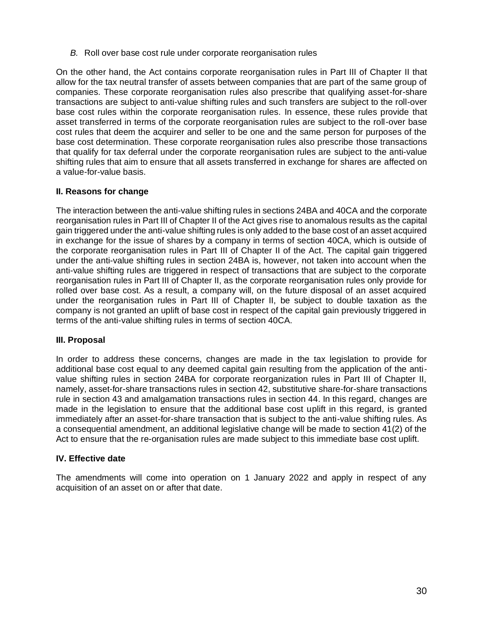*B.* Roll over base cost rule under corporate reorganisation rules

On the other hand, the Act contains corporate reorganisation rules in Part III of Chapter II that allow for the tax neutral transfer of assets between companies that are part of the same group of companies. These corporate reorganisation rules also prescribe that qualifying asset-for-share transactions are subject to anti-value shifting rules and such transfers are subject to the roll-over base cost rules within the corporate reorganisation rules. In essence, these rules provide that asset transferred in terms of the corporate reorganisation rules are subject to the roll-over base cost rules that deem the acquirer and seller to be one and the same person for purposes of the base cost determination. These corporate reorganisation rules also prescribe those transactions that qualify for tax deferral under the corporate reorganisation rules are subject to the anti-value shifting rules that aim to ensure that all assets transferred in exchange for shares are affected on a value-for-value basis.

#### **II. Reasons for change**

The interaction between the anti-value shifting rules in sections 24BA and 40CA and the corporate reorganisation rules in Part III of Chapter II of the Act gives rise to anomalous results as the capital gain triggered under the anti-value shifting rules is only added to the base cost of an asset acquired in exchange for the issue of shares by a company in terms of section 40CA, which is outside of the corporate reorganisation rules in Part III of Chapter II of the Act. The capital gain triggered under the anti-value shifting rules in section 24BA is, however, not taken into account when the anti-value shifting rules are triggered in respect of transactions that are subject to the corporate reorganisation rules in Part III of Chapter II, as the corporate reorganisation rules only provide for rolled over base cost. As a result, a company will, on the future disposal of an asset acquired under the reorganisation rules in Part III of Chapter II, be subject to double taxation as the company is not granted an uplift of base cost in respect of the capital gain previously triggered in terms of the anti-value shifting rules in terms of section 40CA.

#### **III. Proposal**

In order to address these concerns, changes are made in the tax legislation to provide for additional base cost equal to any deemed capital gain resulting from the application of the antivalue shifting rules in section 24BA for corporate reorganization rules in Part III of Chapter II, namely, asset-for-share transactions rules in section 42, substitutive share-for-share transactions rule in section 43 and amalgamation transactions rules in section 44. In this regard, changes are made in the legislation to ensure that the additional base cost uplift in this regard, is granted immediately after an asset-for-share transaction that is subject to the anti-value shifting rules. As a consequential amendment, an additional legislative change will be made to section 41(2) of the Act to ensure that the re-organisation rules are made subject to this immediate base cost uplift.

#### **IV. Effective date**

The amendments will come into operation on 1 January 2022 and apply in respect of any acquisition of an asset on or after that date.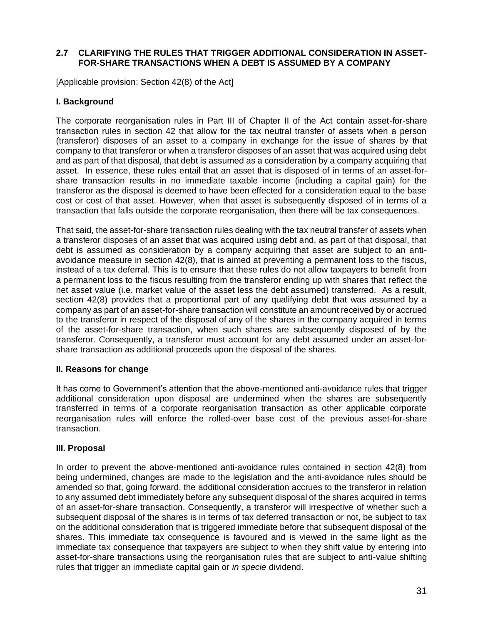### <span id="page-30-0"></span>**2.7 CLARIFYING THE RULES THAT TRIGGER ADDITIONAL CONSIDERATION IN ASSET-FOR-SHARE TRANSACTIONS WHEN A DEBT IS ASSUMED BY A COMPANY**

[Applicable provision: Section 42(8) of the Act]

#### **I. Background**

The corporate reorganisation rules in Part III of Chapter II of the Act contain asset-for-share transaction rules in section 42 that allow for the tax neutral transfer of assets when a person (transferor) disposes of an asset to a company in exchange for the issue of shares by that company to that transferor or when a transferor disposes of an asset that was acquired using debt and as part of that disposal, that debt is assumed as a consideration by a company acquiring that asset. In essence, these rules entail that an asset that is disposed of in terms of an asset-forshare transaction results in no immediate taxable income (including a capital gain) for the transferor as the disposal is deemed to have been effected for a consideration equal to the base cost or cost of that asset. However, when that asset is subsequently disposed of in terms of a transaction that falls outside the corporate reorganisation, then there will be tax consequences.

That said, the asset-for-share transaction rules dealing with the tax neutral transfer of assets when a transferor disposes of an asset that was acquired using debt and, as part of that disposal, that debt is assumed as consideration by a company acquiring that asset are subject to an antiavoidance measure in section 42(8), that is aimed at preventing a permanent loss to the fiscus, instead of a tax deferral. This is to ensure that these rules do not allow taxpayers to benefit from a permanent loss to the fiscus resulting from the transferor ending up with shares that reflect the net asset value (i.e. market value of the asset less the debt assumed) transferred. As a result, section 42(8) provides that a proportional part of any qualifying debt that was assumed by a company as part of an asset-for-share transaction will constitute an amount received by or accrued to the transferor in respect of the disposal of any of the shares in the company acquired in terms of the asset-for-share transaction, when such shares are subsequently disposed of by the transferor. Consequently, a transferor must account for any debt assumed under an asset-forshare transaction as additional proceeds upon the disposal of the shares.

#### **II. Reasons for change**

It has come to Government's attention that the above-mentioned anti-avoidance rules that trigger additional consideration upon disposal are undermined when the shares are subsequently transferred in terms of a corporate reorganisation transaction as other applicable corporate reorganisation rules will enforce the rolled-over base cost of the previous asset-for-share transaction.

#### **III. Proposal**

In order to prevent the above-mentioned anti-avoidance rules contained in section 42(8) from being undermined, changes are made to the legislation and the anti-avoidance rules should be amended so that, going forward, the additional consideration accrues to the transferor in relation to any assumed debt immediately before any subsequent disposal of the shares acquired in terms of an asset-for-share transaction. Consequently, a transferor will irrespective of whether such a subsequent disposal of the shares is in terms of tax deferred transaction or not, be subject to tax on the additional consideration that is triggered immediate before that subsequent disposal of the shares. This immediate tax consequence is favoured and is viewed in the same light as the immediate tax consequence that taxpayers are subject to when they shift value by entering into asset-for-share transactions using the reorganisation rules that are subject to anti-value shifting rules that trigger an immediate capital gain or *in specie* dividend.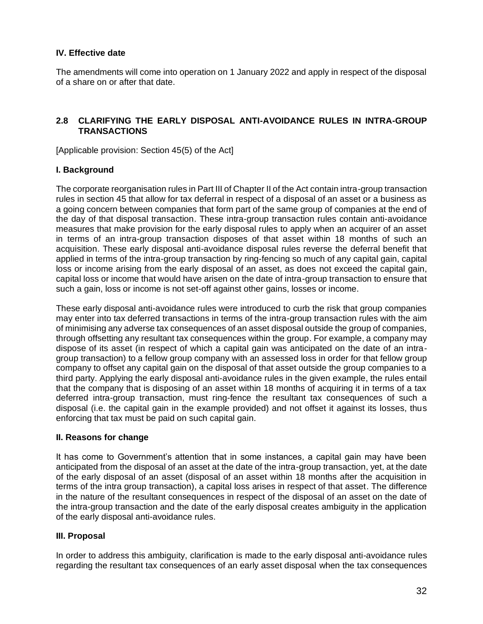The amendments will come into operation on 1 January 2022 and apply in respect of the disposal of a share on or after that date.

# <span id="page-31-0"></span>**2.8 CLARIFYING THE EARLY DISPOSAL ANTI-AVOIDANCE RULES IN INTRA-GROUP TRANSACTIONS**

[Applicable provision: Section 45(5) of the Act]

#### **I. Background**

The corporate reorganisation rules in Part III of Chapter II of the Act contain intra-group transaction rules in section 45 that allow for tax deferral in respect of a disposal of an asset or a business as a going concern between companies that form part of the same group of companies at the end of the day of that disposal transaction. These intra-group transaction rules contain anti-avoidance measures that make provision for the early disposal rules to apply when an acquirer of an asset in terms of an intra-group transaction disposes of that asset within 18 months of such an acquisition. These early disposal anti-avoidance disposal rules reverse the deferral benefit that applied in terms of the intra-group transaction by ring-fencing so much of any capital gain, capital loss or income arising from the early disposal of an asset, as does not exceed the capital gain, capital loss or income that would have arisen on the date of intra-group transaction to ensure that such a gain, loss or income is not set-off against other gains, losses or income.

These early disposal anti-avoidance rules were introduced to curb the risk that group companies may enter into tax deferred transactions in terms of the intra-group transaction rules with the aim of minimising any adverse tax consequences of an asset disposal outside the group of companies, through offsetting any resultant tax consequences within the group. For example, a company may dispose of its asset (in respect of which a capital gain was anticipated on the date of an intragroup transaction) to a fellow group company with an assessed loss in order for that fellow group company to offset any capital gain on the disposal of that asset outside the group companies to a third party. Applying the early disposal anti-avoidance rules in the given example, the rules entail that the company that is disposing of an asset within 18 months of acquiring it in terms of a tax deferred intra-group transaction, must ring-fence the resultant tax consequences of such a disposal (i.e. the capital gain in the example provided) and not offset it against its losses, thus enforcing that tax must be paid on such capital gain.

#### **II. Reasons for change**

It has come to Government's attention that in some instances, a capital gain may have been anticipated from the disposal of an asset at the date of the intra-group transaction, yet, at the date of the early disposal of an asset (disposal of an asset within 18 months after the acquisition in terms of the intra group transaction), a capital loss arises in respect of that asset. The difference in the nature of the resultant consequences in respect of the disposal of an asset on the date of the intra-group transaction and the date of the early disposal creates ambiguity in the application of the early disposal anti-avoidance rules.

#### **III. Proposal**

In order to address this ambiguity, clarification is made to the early disposal anti-avoidance rules regarding the resultant tax consequences of an early asset disposal when the tax consequences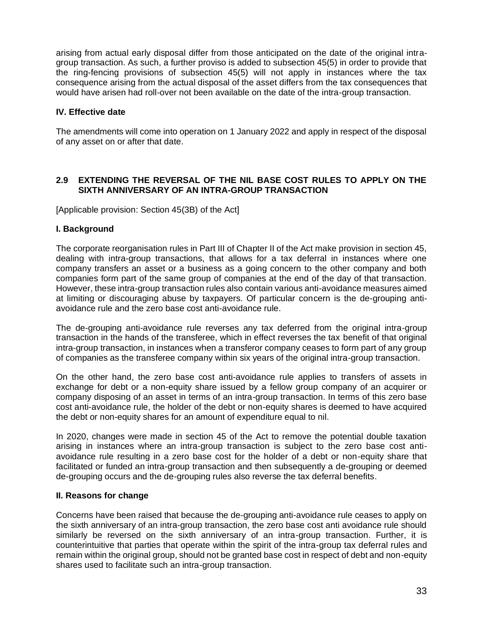arising from actual early disposal differ from those anticipated on the date of the original intragroup transaction. As such, a further proviso is added to subsection 45(5) in order to provide that the ring-fencing provisions of subsection 45(5) will not apply in instances where the tax consequence arising from the actual disposal of the asset differs from the tax consequences that would have arisen had roll-over not been available on the date of the intra-group transaction.

# **IV. Effective date**

The amendments will come into operation on 1 January 2022 and apply in respect of the disposal of any asset on or after that date.

# <span id="page-32-0"></span>**2.9 EXTENDING THE REVERSAL OF THE NIL BASE COST RULES TO APPLY ON THE SIXTH ANNIVERSARY OF AN INTRA-GROUP TRANSACTION**

[Applicable provision: Section 45(3B) of the Act]

#### **I. Background**

The corporate reorganisation rules in Part III of Chapter II of the Act make provision in section 45, dealing with intra-group transactions, that allows for a tax deferral in instances where one company transfers an asset or a business as a going concern to the other company and both companies form part of the same group of companies at the end of the day of that transaction. However, these intra-group transaction rules also contain various anti-avoidance measures aimed at limiting or discouraging abuse by taxpayers. Of particular concern is the de-grouping antiavoidance rule and the zero base cost anti-avoidance rule.

The de-grouping anti-avoidance rule reverses any tax deferred from the original intra-group transaction in the hands of the transferee, which in effect reverses the tax benefit of that original intra-group transaction, in instances when a transferor company ceases to form part of any group of companies as the transferee company within six years of the original intra-group transaction.

On the other hand, the zero base cost anti-avoidance rule applies to transfers of assets in exchange for debt or a non-equity share issued by a fellow group company of an acquirer or company disposing of an asset in terms of an intra-group transaction. In terms of this zero base cost anti-avoidance rule, the holder of the debt or non-equity shares is deemed to have acquired the debt or non-equity shares for an amount of expenditure equal to nil.

In 2020, changes were made in section 45 of the Act to remove the potential double taxation arising in instances where an intra-group transaction is subject to the zero base cost antiavoidance rule resulting in a zero base cost for the holder of a debt or non-equity share that facilitated or funded an intra-group transaction and then subsequently a de-grouping or deemed de-grouping occurs and the de-grouping rules also reverse the tax deferral benefits.

#### **II. Reasons for change**

Concerns have been raised that because the de-grouping anti-avoidance rule ceases to apply on the sixth anniversary of an intra-group transaction, the zero base cost anti avoidance rule should similarly be reversed on the sixth anniversary of an intra-group transaction. Further, it is counterintuitive that parties that operate within the spirit of the intra-group tax deferral rules and remain within the original group, should not be granted base cost in respect of debt and non-equity shares used to facilitate such an intra-group transaction.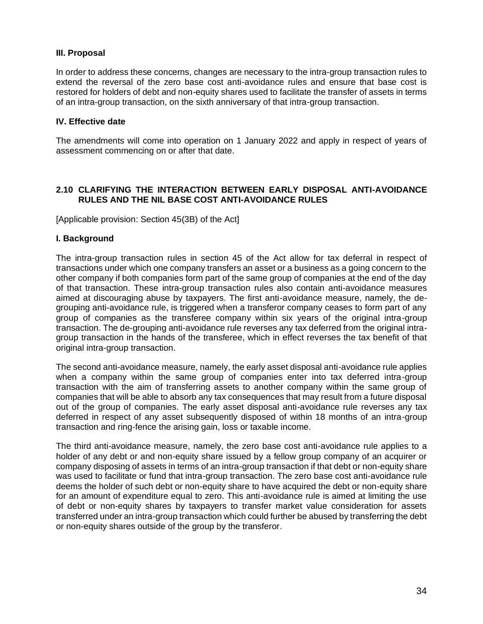### **III. Proposal**

In order to address these concerns, changes are necessary to the intra-group transaction rules to extend the reversal of the zero base cost anti-avoidance rules and ensure that base cost is restored for holders of debt and non-equity shares used to facilitate the transfer of assets in terms of an intra-group transaction, on the sixth anniversary of that intra-group transaction.

#### **IV. Effective date**

The amendments will come into operation on 1 January 2022 and apply in respect of years of assessment commencing on or after that date.

# <span id="page-33-0"></span>**2.10 CLARIFYING THE INTERACTION BETWEEN EARLY DISPOSAL ANTI-AVOIDANCE RULES AND THE NIL BASE COST ANTI-AVOIDANCE RULES**

[Applicable provision: Section 45(3B) of the Act]

#### **I. Background**

The intra-group transaction rules in section 45 of the Act allow for tax deferral in respect of transactions under which one company transfers an asset or a business as a going concern to the other company if both companies form part of the same group of companies at the end of the day of that transaction. These intra-group transaction rules also contain anti-avoidance measures aimed at discouraging abuse by taxpayers. The first anti-avoidance measure, namely, the degrouping anti-avoidance rule, is triggered when a transferor company ceases to form part of any group of companies as the transferee company within six years of the original intra-group transaction. The de-grouping anti-avoidance rule reverses any tax deferred from the original intragroup transaction in the hands of the transferee, which in effect reverses the tax benefit of that original intra-group transaction.

The second anti-avoidance measure, namely, the early asset disposal anti-avoidance rule applies when a company within the same group of companies enter into tax deferred intra-group transaction with the aim of transferring assets to another company within the same group of companies that will be able to absorb any tax consequences that may result from a future disposal out of the group of companies. The early asset disposal anti-avoidance rule reverses any tax deferred in respect of any asset subsequently disposed of within 18 months of an intra-group transaction and ring-fence the arising gain, loss or taxable income.

The third anti-avoidance measure, namely, the zero base cost anti-avoidance rule applies to a holder of any debt or and non-equity share issued by a fellow group company of an acquirer or company disposing of assets in terms of an intra-group transaction if that debt or non-equity share was used to facilitate or fund that intra-group transaction. The zero base cost anti-avoidance rule deems the holder of such debt or non-equity share to have acquired the debt or non-equity share for an amount of expenditure equal to zero. This anti-avoidance rule is aimed at limiting the use of debt or non-equity shares by taxpayers to transfer market value consideration for assets transferred under an intra-group transaction which could further be abused by transferring the debt or non-equity shares outside of the group by the transferor.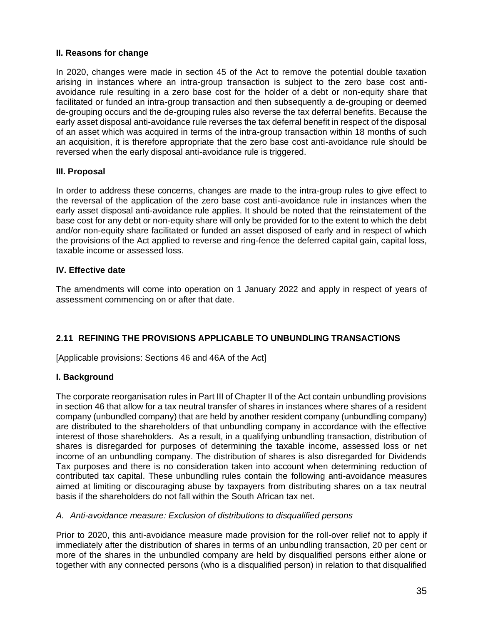# **II. Reasons for change**

In 2020, changes were made in section 45 of the Act to remove the potential double taxation arising in instances where an intra-group transaction is subject to the zero base cost antiavoidance rule resulting in a zero base cost for the holder of a debt or non-equity share that facilitated or funded an intra-group transaction and then subsequently a de-grouping or deemed de-grouping occurs and the de-grouping rules also reverse the tax deferral benefits. Because the early asset disposal anti-avoidance rule reverses the tax deferral benefit in respect of the disposal of an asset which was acquired in terms of the intra-group transaction within 18 months of such an acquisition, it is therefore appropriate that the zero base cost anti-avoidance rule should be reversed when the early disposal anti-avoidance rule is triggered.

# **III. Proposal**

In order to address these concerns, changes are made to the intra-group rules to give effect to the reversal of the application of the zero base cost anti-avoidance rule in instances when the early asset disposal anti-avoidance rule applies. It should be noted that the reinstatement of the base cost for any debt or non-equity share will only be provided for to the extent to which the debt and/or non-equity share facilitated or funded an asset disposed of early and in respect of which the provisions of the Act applied to reverse and ring-fence the deferred capital gain, capital loss, taxable income or assessed loss.

# **IV. Effective date**

The amendments will come into operation on 1 January 2022 and apply in respect of years of assessment commencing on or after that date.

# <span id="page-34-0"></span>**2.11 REFINING THE PROVISIONS APPLICABLE TO UNBUNDLING TRANSACTIONS**

[Applicable provisions: Sections 46 and 46A of the Act]

#### **I. Background**

The corporate reorganisation rules in Part III of Chapter II of the Act contain unbundling provisions in section 46 that allow for a tax neutral transfer of shares in instances where shares of a resident company (unbundled company) that are held by another resident company (unbundling company) are distributed to the shareholders of that unbundling company in accordance with the effective interest of those shareholders. As a result, in a qualifying unbundling transaction, distribution of shares is disregarded for purposes of determining the taxable income, assessed loss or net income of an unbundling company. The distribution of shares is also disregarded for Dividends Tax purposes and there is no consideration taken into account when determining reduction of contributed tax capital. These unbundling rules contain the following anti-avoidance measures aimed at limiting or discouraging abuse by taxpayers from distributing shares on a tax neutral basis if the shareholders do not fall within the South African tax net.

#### *A. Anti-avoidance measure: Exclusion of distributions to disqualified persons*

Prior to 2020, this anti-avoidance measure made provision for the roll-over relief not to apply if immediately after the distribution of shares in terms of an unbundling transaction, 20 per cent or more of the shares in the unbundled company are held by disqualified persons either alone or together with any connected persons (who is a disqualified person) in relation to that disqualified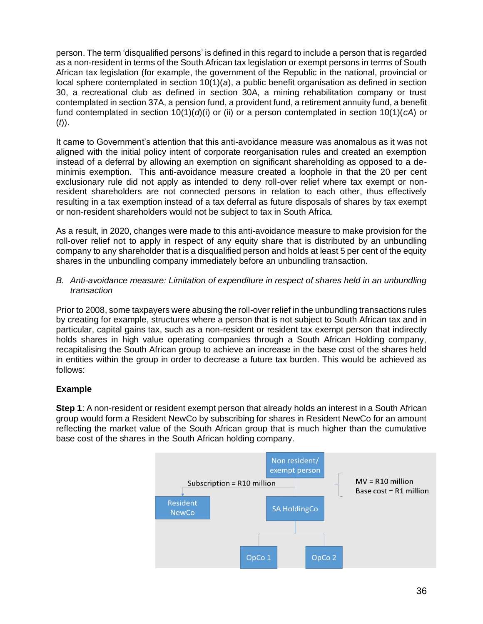person. The term 'disqualified persons' is defined in this regard to include a person that is regarded as a non-resident in terms of the South African tax legislation or exempt persons in terms of South African tax legislation (for example, the government of the Republic in the national, provincial or local sphere contemplated in section 10(1)(*a*), a public benefit organisation as defined in section 30, a recreational club as defined in section 30A, a mining rehabilitation company or trust contemplated in section 37A, a pension fund, a provident fund, a retirement annuity fund, a benefit fund contemplated in section 10(1)(*d*)(i) or (ii) or a person contemplated in section 10(1)(*cA*) or (*t*)).

It came to Government's attention that this anti-avoidance measure was anomalous as it was not aligned with the initial policy intent of corporate reorganisation rules and created an exemption instead of a deferral by allowing an exemption on significant shareholding as opposed to a deminimis exemption. This anti-avoidance measure created a loophole in that the 20 per cent exclusionary rule did not apply as intended to deny roll-over relief where tax exempt or nonresident shareholders are not connected persons in relation to each other, thus effectively resulting in a tax exemption instead of a tax deferral as future disposals of shares by tax exempt or non-resident shareholders would not be subject to tax in South Africa.

As a result, in 2020, changes were made to this anti-avoidance measure to make provision for the roll-over relief not to apply in respect of any equity share that is distributed by an unbundling company to any shareholder that is a disqualified person and holds at least 5 per cent of the equity shares in the unbundling company immediately before an unbundling transaction.

#### *B. Anti-avoidance measure: Limitation of expenditure in respect of shares held in an unbundling transaction*

Prior to 2008, some taxpayers were abusing the roll-over relief in the unbundling transactions rules by creating for example, structures where a person that is not subject to South African tax and in particular, capital gains tax, such as a non-resident or resident tax exempt person that indirectly holds shares in high value operating companies through a South African Holding company, recapitalising the South African group to achieve an increase in the base cost of the shares held in entities within the group in order to decrease a future tax burden. This would be achieved as follows:

# **Example**

**Step 1**: A non-resident or resident exempt person that already holds an interest in a South African group would form a Resident NewCo by subscribing for shares in Resident NewCo for an amount reflecting the market value of the South African group that is much higher than the cumulative base cost of the shares in the South African holding company.

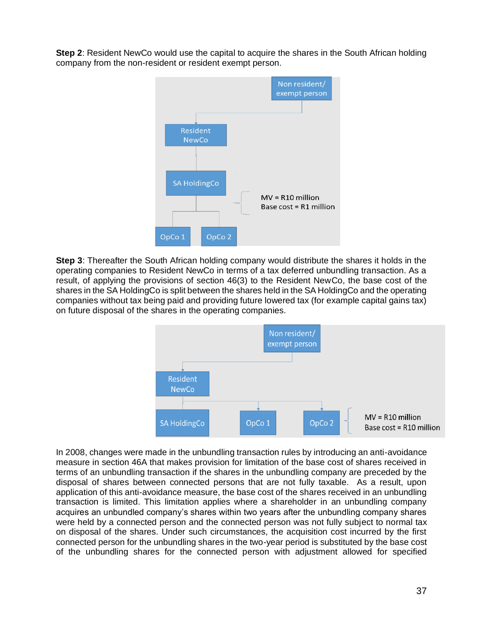**Step 2**: Resident NewCo would use the capital to acquire the shares in the South African holding company from the non-resident or resident exempt person.



**Step 3**: Thereafter the South African holding company would distribute the shares it holds in the operating companies to Resident NewCo in terms of a tax deferred unbundling transaction. As a result, of applying the provisions of section 46(3) to the Resident NewCo, the base cost of the shares in the SA HoldingCo is split between the shares held in the SA HoldingCo and the operating companies without tax being paid and providing future lowered tax (for example capital gains tax) on future disposal of the shares in the operating companies.



In 2008, changes were made in the unbundling transaction rules by introducing an anti-avoidance measure in section 46A that makes provision for limitation of the base cost of shares received in terms of an unbundling transaction if the shares in the unbundling company are preceded by the disposal of shares between connected persons that are not fully taxable. As a result, upon application of this anti-avoidance measure, the base cost of the shares received in an unbundling transaction is limited. This limitation applies where a shareholder in an unbundling company acquires an unbundled company's shares within two years after the unbundling company shares were held by a connected person and the connected person was not fully subject to normal tax on disposal of the shares. Under such circumstances, the acquisition cost incurred by the first connected person for the unbundling shares in the two-year period is substituted by the base cost of the unbundling shares for the connected person with adjustment allowed for specified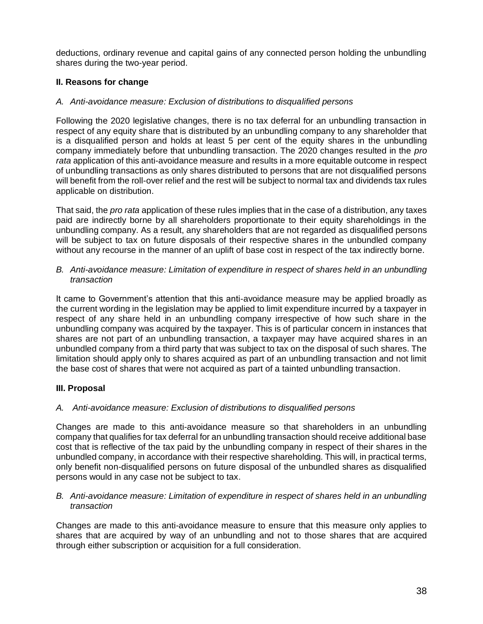deductions, ordinary revenue and capital gains of any connected person holding the unbundling shares during the two-year period.

## **II. Reasons for change**

## *A. Anti-avoidance measure: Exclusion of distributions to disqualified persons*

Following the 2020 legislative changes, there is no tax deferral for an unbundling transaction in respect of any equity share that is distributed by an unbundling company to any shareholder that is a disqualified person and holds at least 5 per cent of the equity shares in the unbundling company immediately before that unbundling transaction. The 2020 changes resulted in the *pro rata* application of this anti-avoidance measure and results in a more equitable outcome in respect of unbundling transactions as only shares distributed to persons that are not disqualified persons will benefit from the roll-over relief and the rest will be subject to normal tax and dividends tax rules applicable on distribution.

That said, the *pro rata* application of these rules implies that in the case of a distribution, any taxes paid are indirectly borne by all shareholders proportionate to their equity shareholdings in the unbundling company. As a result, any shareholders that are not regarded as disqualified persons will be subject to tax on future disposals of their respective shares in the unbundled company without any recourse in the manner of an uplift of base cost in respect of the tax indirectly borne.

*B. Anti-avoidance measure: Limitation of expenditure in respect of shares held in an unbundling transaction*

It came to Government's attention that this anti-avoidance measure may be applied broadly as the current wording in the legislation may be applied to limit expenditure incurred by a taxpayer in respect of any share held in an unbundling company irrespective of how such share in the unbundling company was acquired by the taxpayer. This is of particular concern in instances that shares are not part of an unbundling transaction, a taxpayer may have acquired shares in an unbundled company from a third party that was subject to tax on the disposal of such shares. The limitation should apply only to shares acquired as part of an unbundling transaction and not limit the base cost of shares that were not acquired as part of a tainted unbundling transaction.

## **III. Proposal**

## *A. Anti-avoidance measure: Exclusion of distributions to disqualified persons*

Changes are made to this anti-avoidance measure so that shareholders in an unbundling company that qualifies for tax deferral for an unbundling transaction should receive additional base cost that is reflective of the tax paid by the unbundling company in respect of their shares in the unbundled company, in accordance with their respective shareholding. This will, in practical terms, only benefit non-disqualified persons on future disposal of the unbundled shares as disqualified persons would in any case not be subject to tax.

#### *B. Anti-avoidance measure: Limitation of expenditure in respect of shares held in an unbundling transaction*

Changes are made to this anti-avoidance measure to ensure that this measure only applies to shares that are acquired by way of an unbundling and not to those shares that are acquired through either subscription or acquisition for a full consideration.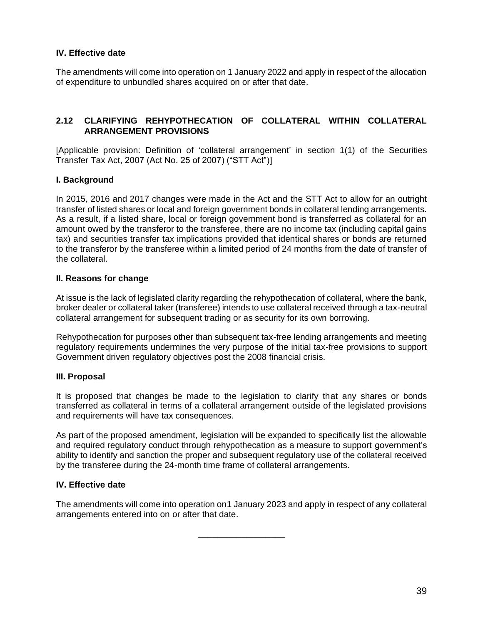## **IV. Effective date**

The amendments will come into operation on 1 January 2022 and apply in respect of the allocation of expenditure to unbundled shares acquired on or after that date.

## **2.12 CLARIFYING REHYPOTHECATION OF COLLATERAL WITHIN COLLATERAL ARRANGEMENT PROVISIONS**

[Applicable provision: Definition of 'collateral arrangement' in section 1(1) of the Securities Transfer Tax Act, 2007 (Act No. 25 of 2007) ("STT Act")]

#### **I. Background**

In 2015, 2016 and 2017 changes were made in the Act and the STT Act to allow for an outright transfer of listed shares or local and foreign government bonds in collateral lending arrangements. As a result, if a listed share, local or foreign government bond is transferred as collateral for an amount owed by the transferor to the transferee, there are no income tax (including capital gains tax) and securities transfer tax implications provided that identical shares or bonds are returned to the transferor by the transferee within a limited period of 24 months from the date of transfer of the collateral.

#### **II. Reasons for change**

At issue is the lack of legislated clarity regarding the rehypothecation of collateral, where the bank, broker dealer or collateral taker (transferee) intends to use collateral received through a tax-neutral collateral arrangement for subsequent trading or as security for its own borrowing.

Rehypothecation for purposes other than subsequent tax-free lending arrangements and meeting regulatory requirements undermines the very purpose of the initial tax-free provisions to support Government driven regulatory objectives post the 2008 financial crisis.

#### **III. Proposal**

It is proposed that changes be made to the legislation to clarify that any shares or bonds transferred as collateral in terms of a collateral arrangement outside of the legislated provisions and requirements will have tax consequences.

As part of the proposed amendment, legislation will be expanded to specifically list the allowable and required regulatory conduct through rehypothecation as a measure to support government's ability to identify and sanction the proper and subsequent regulatory use of the collateral received by the transferee during the 24-month time frame of collateral arrangements.

#### **IV. Effective date**

The amendments will come into operation on1 January 2023 and apply in respect of any collateral arrangements entered into on or after that date.

\_\_\_\_\_\_\_\_\_\_\_\_\_\_\_\_\_\_

39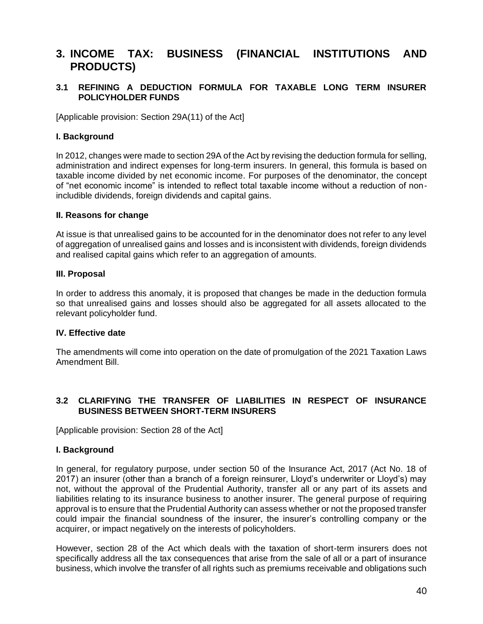# **3. INCOME TAX: BUSINESS (FINANCIAL INSTITUTIONS AND PRODUCTS)**

## **3.1 REFINING A DEDUCTION FORMULA FOR TAXABLE LONG TERM INSURER POLICYHOLDER FUNDS**

[Applicable provision: Section 29A(11) of the Act]

### **I. Background**

In 2012, changes were made to section 29A of the Act by revising the deduction formula for selling, administration and indirect expenses for long-term insurers. In general, this formula is based on taxable income divided by net economic income. For purposes of the denominator, the concept of "net economic income" is intended to reflect total taxable income without a reduction of nonincludible dividends, foreign dividends and capital gains.

#### **II. Reasons for change**

At issue is that unrealised gains to be accounted for in the denominator does not refer to any level of aggregation of unrealised gains and losses and is inconsistent with dividends, foreign dividends and realised capital gains which refer to an aggregation of amounts.

#### **III. Proposal**

In order to address this anomaly, it is proposed that changes be made in the deduction formula so that unrealised gains and losses should also be aggregated for all assets allocated to the relevant policyholder fund.

#### **IV. Effective date**

The amendments will come into operation on the date of promulgation of the 2021 Taxation Laws Amendment Bill.

## **3.2 CLARIFYING THE TRANSFER OF LIABILITIES IN RESPECT OF INSURANCE BUSINESS BETWEEN SHORT-TERM INSURERS**

[Applicable provision: Section 28 of the Act]

#### **I. Background**

In general, for regulatory purpose, under section 50 of the Insurance Act, 2017 (Act No. 18 of 2017) an insurer (other than a branch of a foreign reinsurer, Lloyd's underwriter or Lloyd's) may not, without the approval of the Prudential Authority, transfer all or any part of its assets and liabilities relating to its insurance business to another insurer. The general purpose of requiring approval is to ensure that the Prudential Authority can assess whether or not the proposed transfer could impair the financial soundness of the insurer, the insurer's controlling company or the acquirer, or impact negatively on the interests of policyholders.

However, section 28 of the Act which deals with the taxation of short-term insurers does not specifically address all the tax consequences that arise from the sale of all or a part of insurance business, which involve the transfer of all rights such as premiums receivable and obligations such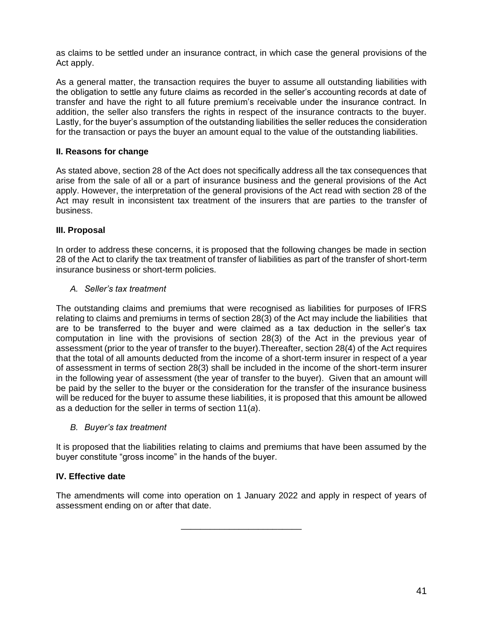as claims to be settled under an insurance contract, in which case the general provisions of the Act apply.

As a general matter, the transaction requires the buyer to assume all outstanding liabilities with the obligation to settle any future claims as recorded in the seller's accounting records at date of transfer and have the right to all future premium's receivable under the insurance contract. In addition, the seller also transfers the rights in respect of the insurance contracts to the buyer. Lastly, for the buyer's assumption of the outstanding liabilities the seller reduces the consideration for the transaction or pays the buyer an amount equal to the value of the outstanding liabilities.

## **II. Reasons for change**

As stated above, section 28 of the Act does not specifically address all the tax consequences that arise from the sale of all or a part of insurance business and the general provisions of the Act apply. However, the interpretation of the general provisions of the Act read with section 28 of the Act may result in inconsistent tax treatment of the insurers that are parties to the transfer of business.

## **III. Proposal**

In order to address these concerns, it is proposed that the following changes be made in section 28 of the Act to clarify the tax treatment of transfer of liabilities as part of the transfer of short-term insurance business or short-term policies.

## *A. Seller's tax treatment*

The outstanding claims and premiums that were recognised as liabilities for purposes of IFRS relating to claims and premiums in terms of section 28(3) of the Act may include the liabilities that are to be transferred to the buyer and were claimed as a tax deduction in the seller's tax computation in line with the provisions of section 28(3) of the Act in the previous year of assessment (prior to the year of transfer to the buyer).Thereafter, section 28(4) of the Act requires that the total of all amounts deducted from the income of a short-term insurer in respect of a year of assessment in terms of section 28(3) shall be included in the income of the short-term insurer in the following year of assessment (the year of transfer to the buyer). Given that an amount will be paid by the seller to the buyer or the consideration for the transfer of the insurance business will be reduced for the buyer to assume these liabilities, it is proposed that this amount be allowed as a deduction for the seller in terms of section 11(*a*).

## *B. Buyer's tax treatment*

It is proposed that the liabilities relating to claims and premiums that have been assumed by the buyer constitute "gross income" in the hands of the buyer.

## **IV. Effective date**

The amendments will come into operation on 1 January 2022 and apply in respect of years of assessment ending on or after that date.

\_\_\_\_\_\_\_\_\_\_\_\_\_\_\_\_\_\_\_\_\_\_\_\_\_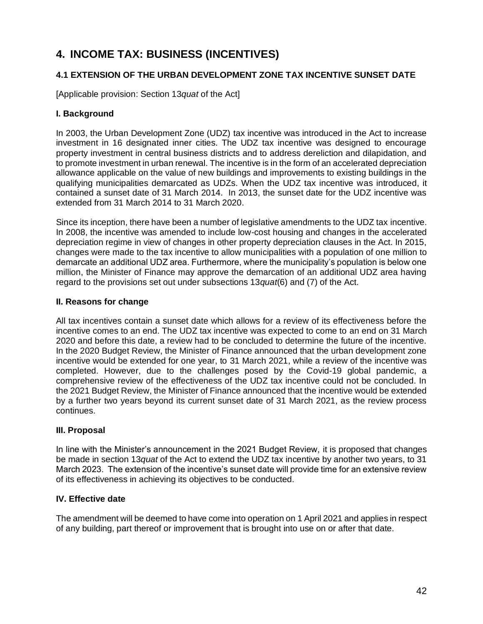# **4. INCOME TAX: BUSINESS (INCENTIVES)**

# **4.1 EXTENSION OF THE URBAN DEVELOPMENT ZONE TAX INCENTIVE SUNSET DATE**

[Applicable provision: Section 13*quat* of the Act]

## **I. Background**

In 2003, the Urban Development Zone (UDZ) tax incentive was introduced in the Act to increase investment in 16 designated inner cities. The UDZ tax incentive was designed to encourage property investment in central business districts and to address dereliction and dilapidation, and to promote investment in urban renewal. The incentive is in the form of an accelerated depreciation allowance applicable on the value of new buildings and improvements to existing buildings in the qualifying municipalities demarcated as UDZs. When the UDZ tax incentive was introduced, it contained a sunset date of 31 March 2014. In 2013, the sunset date for the UDZ incentive was extended from 31 March 2014 to 31 March 2020.

Since its inception, there have been a number of legislative amendments to the UDZ tax incentive. In 2008, the incentive was amended to include low-cost housing and changes in the accelerated depreciation regime in view of changes in other property depreciation clauses in the Act. In 2015, changes were made to the tax incentive to allow municipalities with a population of one million to demarcate an additional UDZ area. Furthermore, where the municipality's population is below one million, the Minister of Finance may approve the demarcation of an additional UDZ area having regard to the provisions set out under subsections 13*quat*(6) and (7) of the Act.

## **II. Reasons for change**

All tax incentives contain a sunset date which allows for a review of its effectiveness before the incentive comes to an end. The UDZ tax incentive was expected to come to an end on 31 March 2020 and before this date, a review had to be concluded to determine the future of the incentive. In the 2020 Budget Review, the Minister of Finance announced that the urban development zone incentive would be extended for one year, to 31 March 2021, while a review of the incentive was completed. However, due to the challenges posed by the Covid-19 global pandemic, a comprehensive review of the effectiveness of the UDZ tax incentive could not be concluded. In the 2021 Budget Review, the Minister of Finance announced that the incentive would be extended by a further two years beyond its current sunset date of 31 March 2021, as the review process continues.

## **III. Proposal**

In line with the Minister's announcement in the 2021 Budget Review, it is proposed that changes be made in section 13*quat* of the Act to extend the UDZ tax incentive by another two years, to 31 March 2023. The extension of the incentive's sunset date will provide time for an extensive review of its effectiveness in achieving its objectives to be conducted.

## **IV. Effective date**

The amendment will be deemed to have come into operation on 1 April 2021 and applies in respect of any building, part thereof or improvement that is brought into use on or after that date.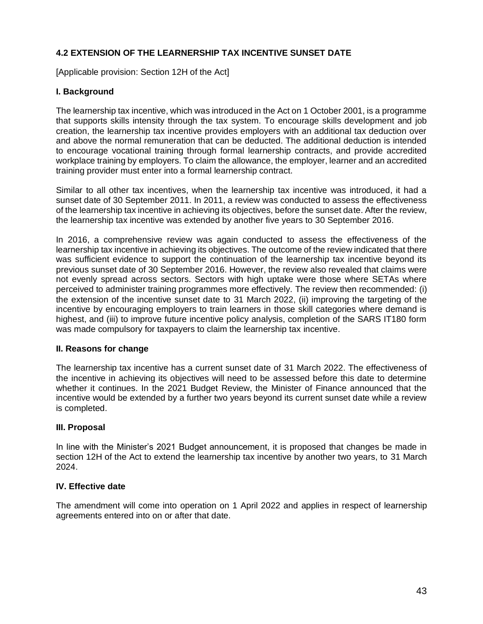# **4.2 EXTENSION OF THE LEARNERSHIP TAX INCENTIVE SUNSET DATE**

[Applicable provision: Section 12H of the Act]

## **I. Background**

The learnership tax incentive, which was introduced in the Act on 1 October 2001, is a programme that supports skills intensity through the tax system. To encourage skills development and job creation, the learnership tax incentive provides employers with an additional tax deduction over and above the normal remuneration that can be deducted. The additional deduction is intended to encourage vocational training through formal learnership contracts, and provide accredited workplace training by employers. To claim the allowance, the employer, learner and an accredited training provider must enter into a formal learnership contract.

Similar to all other tax incentives, when the learnership tax incentive was introduced, it had a sunset date of 30 September 2011. In 2011, a review was conducted to assess the effectiveness of the learnership tax incentive in achieving its objectives, before the sunset date. After the review, the learnership tax incentive was extended by another five years to 30 September 2016.

In 2016, a comprehensive review was again conducted to assess the effectiveness of the learnership tax incentive in achieving its objectives. The outcome of the review indicated that there was sufficient evidence to support the continuation of the learnership tax incentive beyond its previous sunset date of 30 September 2016. However, the review also revealed that claims were not evenly spread across sectors. Sectors with high uptake were those where SETAs where perceived to administer training programmes more effectively. The review then recommended: (i) the extension of the incentive sunset date to 31 March 2022, (ii) improving the targeting of the incentive by encouraging employers to train learners in those skill categories where demand is highest, and (iii) to improve future incentive policy analysis, completion of the SARS IT180 form was made compulsory for taxpayers to claim the learnership tax incentive.

## **II. Reasons for change**

The learnership tax incentive has a current sunset date of 31 March 2022. The effectiveness of the incentive in achieving its objectives will need to be assessed before this date to determine whether it continues. In the 2021 Budget Review, the Minister of Finance announced that the incentive would be extended by a further two years beyond its current sunset date while a review is completed.

## **III. Proposal**

In line with the Minister's 2021 Budget announcement, it is proposed that changes be made in section 12H of the Act to extend the learnership tax incentive by another two years, to 31 March 2024.

## **IV. Effective date**

The amendment will come into operation on 1 April 2022 and applies in respect of learnership agreements entered into on or after that date.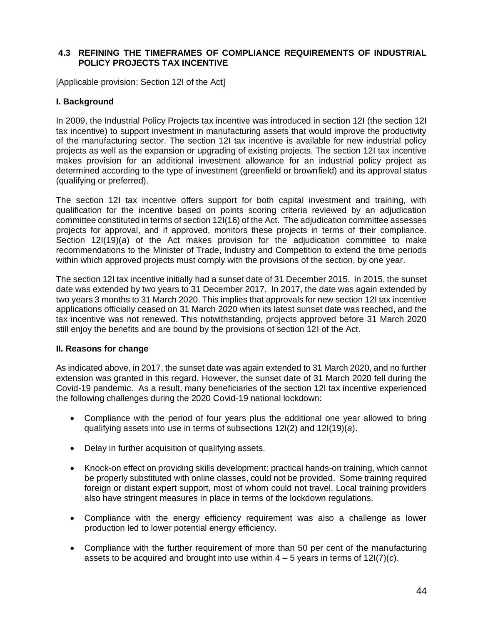## **4.3 REFINING THE TIMEFRAMES OF COMPLIANCE REQUIREMENTS OF INDUSTRIAL POLICY PROJECTS TAX INCENTIVE**

[Applicable provision: Section 12I of the Act]

## **I. Background**

In 2009, the Industrial Policy Projects tax incentive was introduced in section 12I (the section 12I tax incentive) to support investment in manufacturing assets that would improve the productivity of the manufacturing sector. The section 12I tax incentive is available for new industrial policy projects as well as the expansion or upgrading of existing projects. The section 12I tax incentive makes provision for an additional investment allowance for an industrial policy project as determined according to the type of investment (greenfield or brownfield) and its approval status (qualifying or preferred).

The section 12I tax incentive offers support for both capital investment and training, with qualification for the incentive based on points scoring criteria reviewed by an adjudication committee constituted in terms of section 12I(16) of the Act. The adjudication committee assesses projects for approval, and if approved, monitors these projects in terms of their compliance. Section 12I(19)(*a*) of the Act makes provision for the adjudication committee to make recommendations to the Minister of Trade, Industry and Competition to extend the time periods within which approved projects must comply with the provisions of the section, by one year.

The section 12I tax incentive initially had a sunset date of 31 December 2015. In 2015, the sunset date was extended by two years to 31 December 2017. In 2017, the date was again extended by two years 3 months to 31 March 2020. This implies that approvals for new section 12I tax incentive applications officially ceased on 31 March 2020 when its latest sunset date was reached, and the tax incentive was not renewed. This notwithstanding, projects approved before 31 March 2020 still enjoy the benefits and are bound by the provisions of section 12I of the Act.

## **II. Reasons for change**

As indicated above, in 2017, the sunset date was again extended to 31 March 2020, and no further extension was granted in this regard. However, the sunset date of 31 March 2020 fell during the Covid-19 pandemic. As a result, many beneficiaries of the section 12I tax incentive experienced the following challenges during the 2020 Covid-19 national lockdown:

- Compliance with the period of four years plus the additional one year allowed to bring qualifying assets into use in terms of subsections 12I(2) and 12I(19)(*a*).
- Delay in further acquisition of qualifying assets.
- Knock-on effect on providing skills development: practical hands-on training, which cannot be properly substituted with online classes, could not be provided. Some training required foreign or distant expert support, most of whom could not travel. Local training providers also have stringent measures in place in terms of the lockdown regulations.
- Compliance with the energy efficiency requirement was also a challenge as lower production led to lower potential energy efficiency.
- Compliance with the further requirement of more than 50 per cent of the manufacturing assets to be acquired and brought into use within 4 – 5 years in terms of 12I(7)(*c*).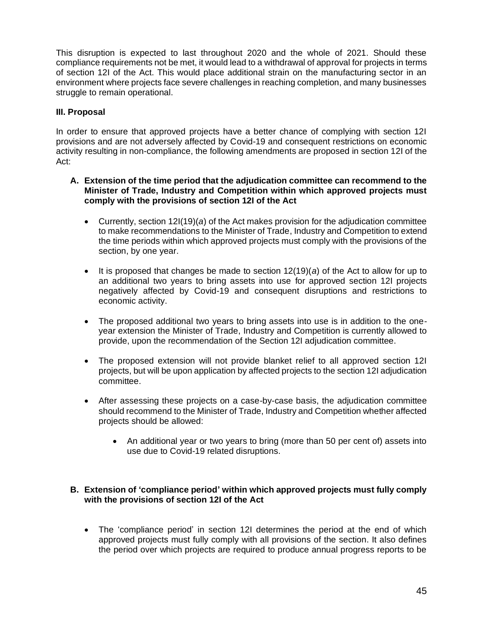This disruption is expected to last throughout 2020 and the whole of 2021. Should these compliance requirements not be met, it would lead to a withdrawal of approval for projects in terms of section 12I of the Act. This would place additional strain on the manufacturing sector in an environment where projects face severe challenges in reaching completion, and many businesses struggle to remain operational.

## **III. Proposal**

In order to ensure that approved projects have a better chance of complying with section 12I provisions and are not adversely affected by Covid-19 and consequent restrictions on economic activity resulting in non-compliance, the following amendments are proposed in section 12I of the Act:

#### **A. Extension of the time period that the adjudication committee can recommend to the Minister of Trade, Industry and Competition within which approved projects must comply with the provisions of section 12I of the Act**

- Currently, section 12I(19)(*a*) of the Act makes provision for the adjudication committee to make recommendations to the Minister of Trade, Industry and Competition to extend the time periods within which approved projects must comply with the provisions of the section, by one year.
- It is proposed that changes be made to section 12(19)(*a*) of the Act to allow for up to an additional two years to bring assets into use for approved section 12I projects negatively affected by Covid-19 and consequent disruptions and restrictions to economic activity.
- The proposed additional two years to bring assets into use is in addition to the oneyear extension the Minister of Trade, Industry and Competition is currently allowed to provide, upon the recommendation of the Section 12I adjudication committee.
- The proposed extension will not provide blanket relief to all approved section 12I projects, but will be upon application by affected projects to the section 12I adjudication committee.
- After assessing these projects on a case-by-case basis, the adjudication committee should recommend to the Minister of Trade, Industry and Competition whether affected projects should be allowed:
	- An additional year or two years to bring (more than 50 per cent of) assets into use due to Covid-19 related disruptions.

## **B. Extension of 'compliance period' within which approved projects must fully comply with the provisions of section 12I of the Act**

• The 'compliance period' in section 12I determines the period at the end of which approved projects must fully comply with all provisions of the section. It also defines the period over which projects are required to produce annual progress reports to be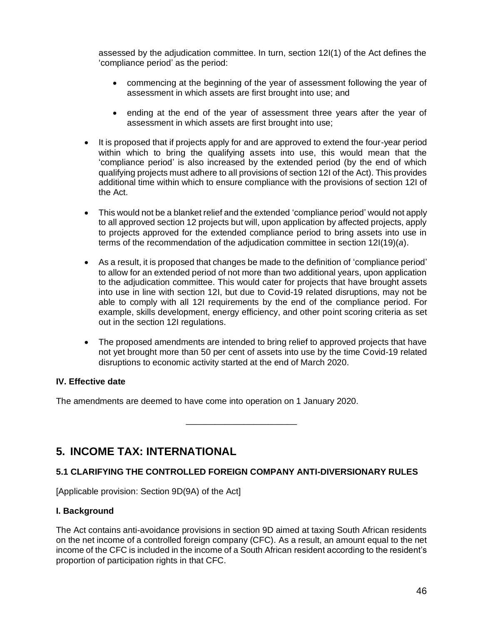assessed by the adjudication committee. In turn, section 12I(1) of the Act defines the 'compliance period' as the period:

- commencing at the beginning of the year of assessment following the year of assessment in which assets are first brought into use; and
- ending at the end of the year of assessment three years after the year of assessment in which assets are first brought into use;
- It is proposed that if projects apply for and are approved to extend the four-year period within which to bring the qualifying assets into use, this would mean that the 'compliance period' is also increased by the extended period (by the end of which qualifying projects must adhere to all provisions of section 12I of the Act). This provides additional time within which to ensure compliance with the provisions of section 12I of the Act.
- This would not be a blanket relief and the extended 'compliance period' would not apply to all approved section 12 projects but will, upon application by affected projects, apply to projects approved for the extended compliance period to bring assets into use in terms of the recommendation of the adjudication committee in section 12I(19)(*a*).
- As a result, it is proposed that changes be made to the definition of 'compliance period' to allow for an extended period of not more than two additional years, upon application to the adjudication committee. This would cater for projects that have brought assets into use in line with section 12I, but due to Covid-19 related disruptions, may not be able to comply with all 12I requirements by the end of the compliance period. For example, skills development, energy efficiency, and other point scoring criteria as set out in the section 12I regulations.
- The proposed amendments are intended to bring relief to approved projects that have not yet brought more than 50 per cent of assets into use by the time Covid-19 related disruptions to economic activity started at the end of March 2020.

## **IV. Effective date**

The amendments are deemed to have come into operation on 1 January 2020.

# **5. INCOME TAX: INTERNATIONAL**

# **5.1 CLARIFYING THE CONTROLLED FOREIGN COMPANY ANTI-DIVERSIONARY RULES**

\_\_\_\_\_\_\_\_\_\_\_\_\_\_\_\_\_\_\_\_\_\_\_

[Applicable provision: Section 9D(9A) of the Act]

## **I. Background**

The Act contains anti-avoidance provisions in section 9D aimed at taxing South African residents on the net income of a controlled foreign company (CFC). As a result, an amount equal to the net income of the CFC is included in the income of a South African resident according to the resident's proportion of participation rights in that CFC.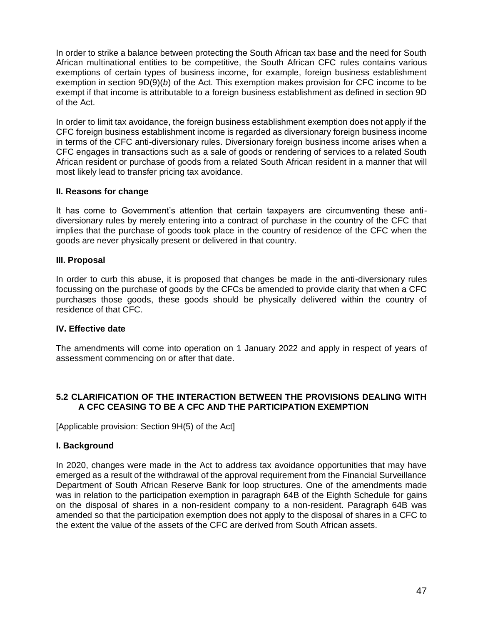In order to strike a balance between protecting the South African tax base and the need for South African multinational entities to be competitive, the South African CFC rules contains various exemptions of certain types of business income, for example, foreign business establishment exemption in section 9D(9)(*b*) of the Act. This exemption makes provision for CFC income to be exempt if that income is attributable to a foreign business establishment as defined in section 9D of the Act.

In order to limit tax avoidance, the foreign business establishment exemption does not apply if the CFC foreign business establishment income is regarded as diversionary foreign business income in terms of the CFC anti-diversionary rules. Diversionary foreign business income arises when a CFC engages in transactions such as a sale of goods or rendering of services to a related South African resident or purchase of goods from a related South African resident in a manner that will most likely lead to transfer pricing tax avoidance.

## **II. Reasons for change**

It has come to Government's attention that certain taxpayers are circumventing these antidiversionary rules by merely entering into a contract of purchase in the country of the CFC that implies that the purchase of goods took place in the country of residence of the CFC when the goods are never physically present or delivered in that country.

## **III. Proposal**

In order to curb this abuse, it is proposed that changes be made in the anti-diversionary rules focussing on the purchase of goods by the CFCs be amended to provide clarity that when a CFC purchases those goods, these goods should be physically delivered within the country of residence of that CFC.

## **IV. Effective date**

The amendments will come into operation on 1 January 2022 and apply in respect of years of assessment commencing on or after that date.

## **5.2 CLARIFICATION OF THE INTERACTION BETWEEN THE PROVISIONS DEALING WITH A CFC CEASING TO BE A CFC AND THE PARTICIPATION EXEMPTION**

[Applicable provision: Section 9H(5) of the Act]

## **I. Background**

In 2020, changes were made in the Act to address tax avoidance opportunities that may have emerged as a result of the withdrawal of the approval requirement from the Financial Surveillance Department of South African Reserve Bank for loop structures. One of the amendments made was in relation to the participation exemption in paragraph 64B of the Eighth Schedule for gains on the disposal of shares in a non-resident company to a non-resident. Paragraph 64B was amended so that the participation exemption does not apply to the disposal of shares in a CFC to the extent the value of the assets of the CFC are derived from South African assets.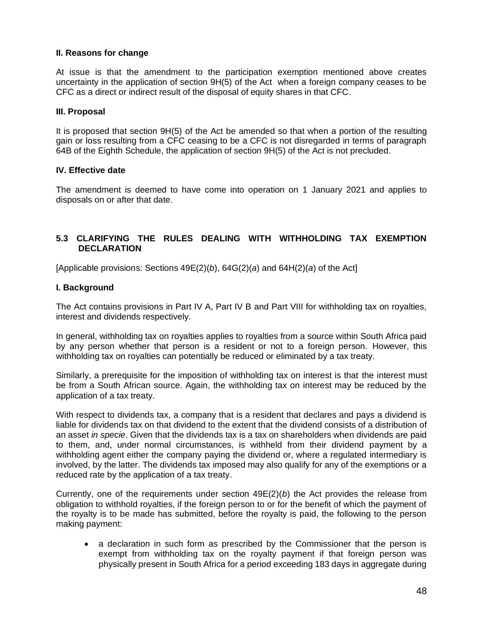## **II. Reasons for change**

At issue is that the amendment to the participation exemption mentioned above creates uncertainty in the application of section 9H(5) of the Act when a foreign company ceases to be CFC as a direct or indirect result of the disposal of equity shares in that CFC.

#### **III. Proposal**

It is proposed that section 9H(5) of the Act be amended so that when a portion of the resulting gain or loss resulting from a CFC ceasing to be a CFC is not disregarded in terms of paragraph 64B of the Eighth Schedule, the application of section 9H(5) of the Act is not precluded.

#### **IV. Effective date**

The amendment is deemed to have come into operation on 1 January 2021 and applies to disposals on or after that date.

## **5.3 CLARIFYING THE RULES DEALING WITH WITHHOLDING TAX EXEMPTION DECLARATION**

[Applicable provisions: Sections 49E(2)(*b*), 64G(2)(*a*) and 64H(2)(*a*) of the Act]

#### **I. Background**

The Act contains provisions in Part IV A, Part IV B and Part VIII for withholding tax on royalties, interest and dividends respectively.

In general, withholding tax on royalties applies to royalties from a source within South Africa paid by any person whether that person is a resident or not to a foreign person. However, this withholding tax on royalties can potentially be reduced or eliminated by a tax treaty.

Similarly, a prerequisite for the imposition of withholding tax on interest is that the interest must be from a South African source. Again, the withholding tax on interest may be reduced by the application of a tax treaty.

With respect to dividends tax, a company that is a resident that declares and pays a dividend is liable for dividends tax on that dividend to the extent that the dividend consists of a distribution of an asset *in specie*. Given that the dividends tax is a tax on shareholders when dividends are paid to them, and, under normal circumstances, is withheld from their dividend payment by a withholding agent either the company paying the dividend or, where a regulated intermediary is involved, by the latter. The dividends tax imposed may also qualify for any of the exemptions or a reduced rate by the application of a tax treaty.

Currently, one of the requirements under section 49E(2)(*b*) the Act provides the release from obligation to withhold royalties, if the foreign person to or for the benefit of which the payment of the royalty is to be made has submitted, before the royalty is paid, the following to the person making payment:

• a declaration in such form as prescribed by the Commissioner that the person is exempt from withholding tax on the royalty payment if that foreign person was physically present in South Africa for a period exceeding 183 days in aggregate during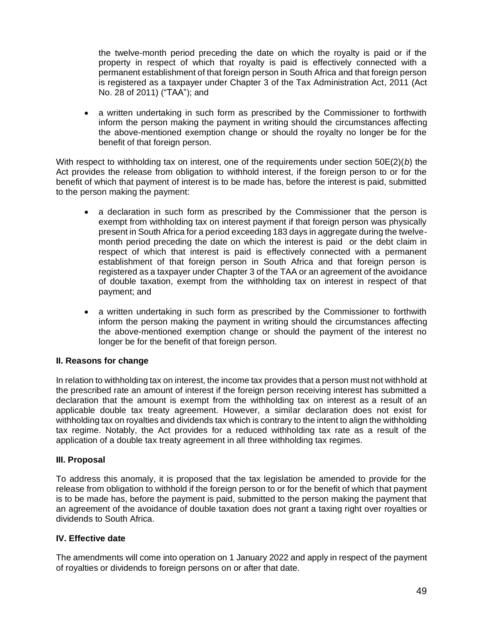the twelve-month period preceding the date on which the royalty is paid or if the property in respect of which that royalty is paid is effectively connected with a permanent establishment of that foreign person in South Africa and that foreign person is registered as a taxpayer under Chapter 3 of the Tax Administration Act, 2011 (Act No. 28 of 2011) ("TAA"); and

• a written undertaking in such form as prescribed by the Commissioner to forthwith inform the person making the payment in writing should the circumstances affecting the above-mentioned exemption change or should the royalty no longer be for the benefit of that foreign person.

With respect to withholding tax on interest, one of the requirements under section 50E(2)(*b*) the Act provides the release from obligation to withhold interest, if the foreign person to or for the benefit of which that payment of interest is to be made has, before the interest is paid, submitted to the person making the payment:

- a declaration in such form as prescribed by the Commissioner that the person is exempt from withholding tax on interest payment if that foreign person was physically present in South Africa for a period exceeding 183 days in aggregate during the twelvemonth period preceding the date on which the interest is paid or the debt claim in respect of which that interest is paid is effectively connected with a permanent establishment of that foreign person in South Africa and that foreign person is registered as a taxpayer under Chapter 3 of the TAA or an agreement of the avoidance of double taxation, exempt from the withholding tax on interest in respect of that payment; and
- a written undertaking in such form as prescribed by the Commissioner to forthwith inform the person making the payment in writing should the circumstances affecting the above-mentioned exemption change or should the payment of the interest no longer be for the benefit of that foreign person.

## **II. Reasons for change**

In relation to withholding tax on interest, the income tax provides that a person must not withhold at the prescribed rate an amount of interest if the foreign person receiving interest has submitted a declaration that the amount is exempt from the withholding tax on interest as a result of an applicable double tax treaty agreement. However, a similar declaration does not exist for withholding tax on royalties and dividends tax which is contrary to the intent to align the withholding tax regime. Notably, the Act provides for a reduced withholding tax rate as a result of the application of a double tax treaty agreement in all three withholding tax regimes.

## **III. Proposal**

To address this anomaly, it is proposed that the tax legislation be amended to provide for the release from obligation to withhold if the foreign person to or for the benefit of which that payment is to be made has, before the payment is paid, submitted to the person making the payment that an agreement of the avoidance of double taxation does not grant a taxing right over royalties or dividends to South Africa.

## **IV. Effective date**

The amendments will come into operation on 1 January 2022 and apply in respect of the payment of royalties or dividends to foreign persons on or after that date.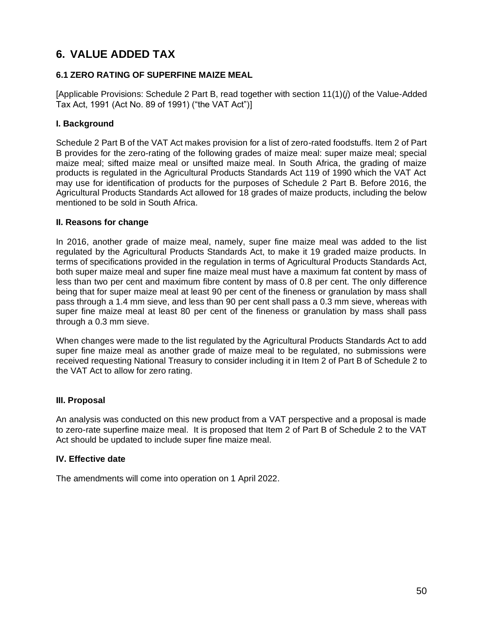# **6. VALUE ADDED TAX**

## **6.1 ZERO RATING OF SUPERFINE MAIZE MEAL**

[Applicable Provisions: Schedule 2 Part B, read together with section 11(1)(*j*) of the Value-Added Tax Act, 1991 (Act No. 89 of 1991) ("the VAT Act")]

## **I. Background**

Schedule 2 Part B of the VAT Act makes provision for a list of zero-rated foodstuffs. Item 2 of Part B provides for the zero-rating of the following grades of maize meal: super maize meal; special maize meal; sifted maize meal or unsifted maize meal. In South Africa, the grading of maize products is regulated in the Agricultural Products Standards Act 119 of 1990 which the VAT Act may use for identification of products for the purposes of Schedule 2 Part B. Before 2016, the Agricultural Products Standards Act allowed for 18 grades of maize products, including the below mentioned to be sold in South Africa.

#### **II. Reasons for change**

In 2016, another grade of maize meal, namely, super fine maize meal was added to the list regulated by the Agricultural Products Standards Act, to make it 19 graded maize products. In terms of specifications provided in the regulation in terms of Agricultural Products Standards Act, both super maize meal and super fine maize meal must have a maximum fat content by mass of less than two per cent and maximum fibre content by mass of 0.8 per cent. The only difference being that for super maize meal at least 90 per cent of the fineness or granulation by mass shall pass through a 1.4 mm sieve, and less than 90 per cent shall pass a 0.3 mm sieve, whereas with super fine maize meal at least 80 per cent of the fineness or granulation by mass shall pass through a 0.3 mm sieve.

When changes were made to the list regulated by the Agricultural Products Standards Act to add super fine maize meal as another grade of maize meal to be regulated, no submissions were received requesting National Treasury to consider including it in Item 2 of Part B of Schedule 2 to the VAT Act to allow for zero rating.

## **III. Proposal**

An analysis was conducted on this new product from a VAT perspective and a proposal is made to zero-rate superfine maize meal. It is proposed that Item 2 of Part B of Schedule 2 to the VAT Act should be updated to include super fine maize meal.

## **IV. Effective date**

The amendments will come into operation on 1 April 2022.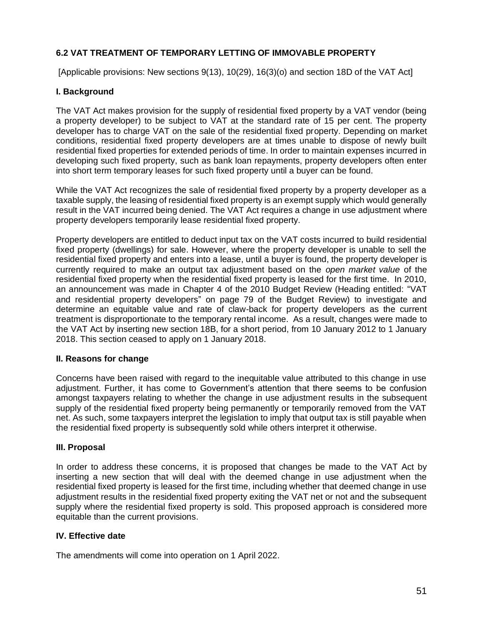# **6.2 VAT TREATMENT OF TEMPORARY LETTING OF IMMOVABLE PROPERTY**

[Applicable provisions: New sections 9(13), 10(29), 16(3)(o) and section 18D of the VAT Act]

## **I. Background**

The VAT Act makes provision for the supply of residential fixed property by a VAT vendor (being a property developer) to be subject to VAT at the standard rate of 15 per cent. The property developer has to charge VAT on the sale of the residential fixed property. Depending on market conditions, residential fixed property developers are at times unable to dispose of newly built residential fixed properties for extended periods of time. In order to maintain expenses incurred in developing such fixed property, such as bank loan repayments, property developers often enter into short term temporary leases for such fixed property until a buyer can be found.

While the VAT Act recognizes the sale of residential fixed property by a property developer as a taxable supply, the leasing of residential fixed property is an exempt supply which would generally result in the VAT incurred being denied. The VAT Act requires a change in use adjustment where property developers temporarily lease residential fixed property.

Property developers are entitled to deduct input tax on the VAT costs incurred to build residential fixed property (dwellings) for sale. However, where the property developer is unable to sell the residential fixed property and enters into a lease, until a buyer is found, the property developer is currently required to make an output tax adjustment based on the *open market value* of the residential fixed property when the residential fixed property is leased for the first time. In 2010, an announcement was made in Chapter 4 of the 2010 Budget Review (Heading entitled: "VAT and residential property developers" on page 79 of the Budget Review) to investigate and determine an equitable value and rate of claw-back for property developers as the current treatment is disproportionate to the temporary rental income. As a result, changes were made to the VAT Act by inserting new section 18B, for a short period, from 10 January 2012 to 1 January 2018. This section ceased to apply on 1 January 2018.

## **II. Reasons for change**

Concerns have been raised with regard to the inequitable value attributed to this change in use adjustment. Further, it has come to Government's attention that there seems to be confusion amongst taxpayers relating to whether the change in use adjustment results in the subsequent supply of the residential fixed property being permanently or temporarily removed from the VAT net. As such, some taxpayers interpret the legislation to imply that output tax is still payable when the residential fixed property is subsequently sold while others interpret it otherwise.

## **III. Proposal**

In order to address these concerns, it is proposed that changes be made to the VAT Act by inserting a new section that will deal with the deemed change in use adjustment when the residential fixed property is leased for the first time, including whether that deemed change in use adjustment results in the residential fixed property exiting the VAT net or not and the subsequent supply where the residential fixed property is sold. This proposed approach is considered more equitable than the current provisions.

## **IV. Effective date**

The amendments will come into operation on 1 April 2022.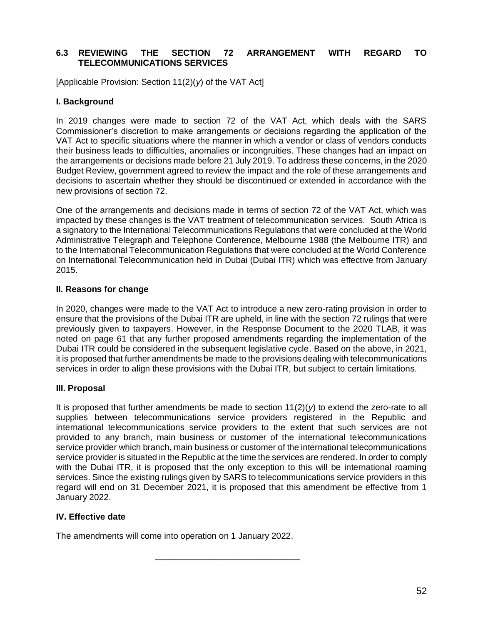## **6.3 REVIEWING THE SECTION 72 ARRANGEMENT WITH REGARD TO TELECOMMUNICATIONS SERVICES**

[Applicable Provision: Section 11(2)(*y*) of the VAT Act]

### **I. Background**

In 2019 changes were made to section 72 of the VAT Act, which deals with the SARS Commissioner's discretion to make arrangements or decisions regarding the application of the VAT Act to specific situations where the manner in which a vendor or class of vendors conducts their business leads to difficulties, anomalies or incongruities. These changes had an impact on the arrangements or decisions made before 21 July 2019. To address these concerns, in the 2020 Budget Review, government agreed to review the impact and the role of these arrangements and decisions to ascertain whether they should be discontinued or extended in accordance with the new provisions of section 72.

One of the arrangements and decisions made in terms of section 72 of the VAT Act, which was impacted by these changes is the VAT treatment of telecommunication services. South Africa is a signatory to the International Telecommunications Regulations that were concluded at the World Administrative Telegraph and Telephone Conference, Melbourne 1988 (the Melbourne ITR) and to the International Telecommunication Regulations that were concluded at the World Conference on International Telecommunication held in Dubai (Dubai ITR) which was effective from January 2015.

#### **II. Reasons for change**

In 2020, changes were made to the VAT Act to introduce a new zero-rating provision in order to ensure that the provisions of the Dubai ITR are upheld, in line with the section 72 rulings that were previously given to taxpayers. However, in the Response Document to the 2020 TLAB, it was noted on page 61 that any further proposed amendments regarding the implementation of the Dubai ITR could be considered in the subsequent legislative cycle. Based on the above, in 2021, it is proposed that further amendments be made to the provisions dealing with telecommunications services in order to align these provisions with the Dubai ITR, but subject to certain limitations.

## **III. Proposal**

It is proposed that further amendments be made to section  $11(2)(y)$  to extend the zero-rate to all supplies between telecommunications service providers registered in the Republic and international telecommunications service providers to the extent that such services are not provided to any branch, main business or customer of the international telecommunications service provider which branch, main business or customer of the international telecommunications service provider is situated in the Republic at the time the services are rendered. In order to comply with the Dubai ITR, it is proposed that the only exception to this will be international roaming services. Since the existing rulings given by SARS to telecommunications service providers in this regard will end on 31 December 2021, it is proposed that this amendment be effective from 1 January 2022.

\_\_\_\_\_\_\_\_\_\_\_\_\_\_\_\_\_\_\_\_\_\_\_\_\_\_\_\_\_\_

## **IV. Effective date**

The amendments will come into operation on 1 January 2022.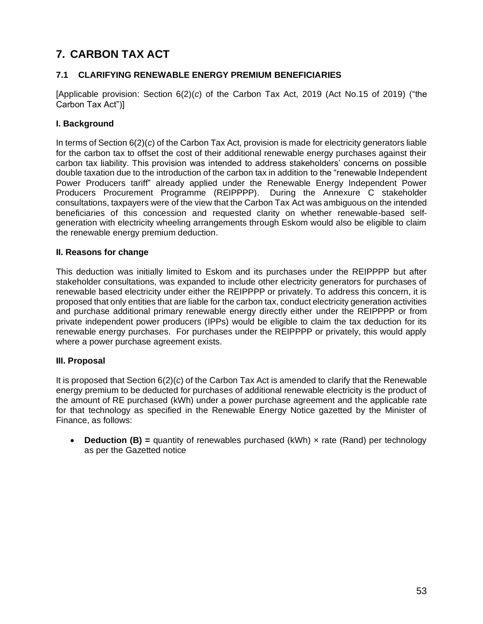# **7. CARBON TAX ACT**

# **7.1 CLARIFYING RENEWABLE ENERGY PREMIUM BENEFICIARIES**

[Applicable provision: Section 6(2)(*c*) of the Carbon Tax Act, 2019 (Act No.15 of 2019) ("the Carbon Tax Act")]

## **I. Background**

In terms of Section 6(2)(*c*) of the Carbon Tax Act, provision is made for electricity generators liable for the carbon tax to offset the cost of their additional renewable energy purchases against their carbon tax liability. This provision was intended to address stakeholders' concerns on possible double taxation due to the introduction of the carbon tax in addition to the "renewable Independent Power Producers tariff" already applied under the Renewable Energy Independent Power Producers Procurement Programme (REIPPPP). During the Annexure C stakeholder consultations, taxpayers were of the view that the Carbon Tax Act was ambiguous on the intended beneficiaries of this concession and requested clarity on whether renewable-based selfgeneration with electricity wheeling arrangements through Eskom would also be eligible to claim the renewable energy premium deduction.

## **II. Reasons for change**

This deduction was initially limited to Eskom and its purchases under the REIPPPP but after stakeholder consultations, was expanded to include other electricity generators for purchases of renewable based electricity under either the REIPPPP or privately. To address this concern, it is proposed that only entities that are liable for the carbon tax, conduct electricity generation activities and purchase additional primary renewable energy directly either under the REIPPPP or from private independent power producers (IPPs) would be eligible to claim the tax deduction for its renewable energy purchases. For purchases under the REIPPPP or privately, this would apply where a power purchase agreement exists.

## **III. Proposal**

It is proposed that Section 6(2)(*c*) of the Carbon Tax Act is amended to clarify that the Renewable energy premium to be deducted for purchases of additional renewable electricity is the product of the amount of RE purchased (kWh) under a power purchase agreement and the applicable rate for that technology as specified in the Renewable Energy Notice gazetted by the Minister of Finance, as follows:

• **Deduction (B)** = quantity of renewables purchased (kWh) x rate (Rand) per technology as per the Gazetted notice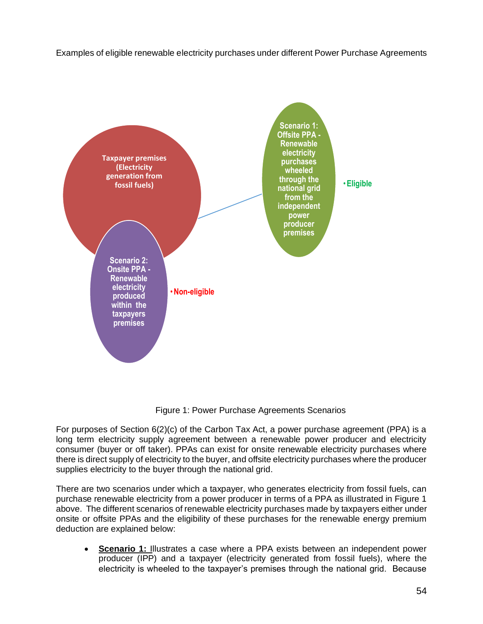Examples of eligible renewable electricity purchases under different Power Purchase Agreements



Figure 1: Power Purchase Agreements Scenarios

For purposes of Section 6(2)(c) of the Carbon Tax Act, a power purchase agreement (PPA) is a long term electricity supply agreement between a renewable power producer and electricity consumer (buyer or off taker). PPAs can exist for onsite renewable electricity purchases where there is direct supply of electricity to the buyer, and offsite electricity purchases where the producer supplies electricity to the buyer through the national grid.

There are two scenarios under which a taxpayer, who generates electricity from fossil fuels, can purchase renewable electricity from a power producer in terms of a PPA as illustrated in Figure 1 above. The different scenarios of renewable electricity purchases made by taxpayers either under onsite or offsite PPAs and the eligibility of these purchases for the renewable energy premium deduction are explained below:

• **Scenario 1:** Illustrates a case where a PPA exists between an independent power producer (IPP) and a taxpayer (electricity generated from fossil fuels), where the electricity is wheeled to the taxpayer's premises through the national grid. Because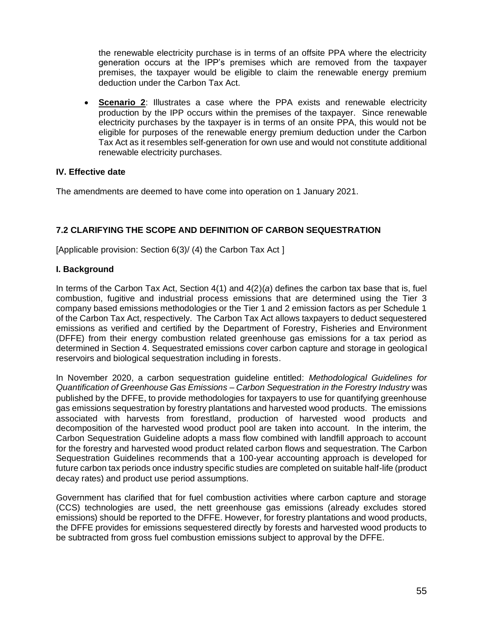the renewable electricity purchase is in terms of an offsite PPA where the electricity generation occurs at the IPP's premises which are removed from the taxpayer premises, the taxpayer would be eligible to claim the renewable energy premium deduction under the Carbon Tax Act.

• **Scenario 2**: Illustrates a case where the PPA exists and renewable electricity production by the IPP occurs within the premises of the taxpayer. Since renewable electricity purchases by the taxpayer is in terms of an onsite PPA, this would not be eligible for purposes of the renewable energy premium deduction under the Carbon Tax Act as it resembles self-generation for own use and would not constitute additional renewable electricity purchases.

## **IV. Effective date**

The amendments are deemed to have come into operation on 1 January 2021.

# **7.2 CLARIFYING THE SCOPE AND DEFINITION OF CARBON SEQUESTRATION**

[Applicable provision: Section 6(3)/ (4) the Carbon Tax Act ]

## **I. Background**

In terms of the Carbon Tax Act, Section 4(1) and 4(2)(*a*) defines the carbon tax base that is, fuel combustion, fugitive and industrial process emissions that are determined using the Tier 3 company based emissions methodologies or the Tier 1 and 2 emission factors as per Schedule 1 of the Carbon Tax Act, respectively. The Carbon Tax Act allows taxpayers to deduct sequestered emissions as verified and certified by the Department of Forestry, Fisheries and Environment (DFFE) from their energy combustion related greenhouse gas emissions for a tax period as determined in Section 4. Sequestrated emissions cover carbon capture and storage in geological reservoirs and biological sequestration including in forests.

In November 2020, a carbon sequestration guideline entitled: *Methodological Guidelines for Quantification of Greenhouse Gas Emissions – Carbon Sequestration in the Forestry Industry* was published by the DFFE, to provide methodologies for taxpayers to use for quantifying greenhouse gas emissions sequestration by forestry plantations and harvested wood products. The emissions associated with harvests from forestland, production of harvested wood products and decomposition of the harvested wood product pool are taken into account. In the interim, the Carbon Sequestration Guideline adopts a mass flow combined with landfill approach to account for the forestry and harvested wood product related carbon flows and sequestration. The Carbon Sequestration Guidelines recommends that a 100-year accounting approach is developed for future carbon tax periods once industry specific studies are completed on suitable half-life (product decay rates) and product use period assumptions.

Government has clarified that for fuel combustion activities where carbon capture and storage (CCS) technologies are used, the nett greenhouse gas emissions (already excludes stored emissions) should be reported to the DFFE. However, for forestry plantations and wood products, the DFFE provides for emissions sequestered directly by forests and harvested wood products to be subtracted from gross fuel combustion emissions subject to approval by the DFFE.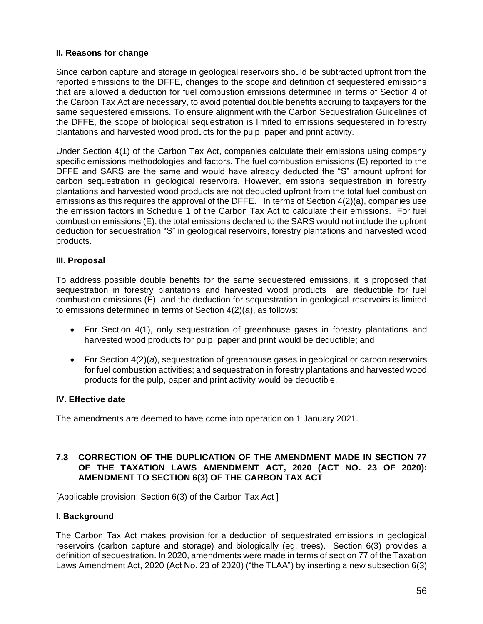## **II. Reasons for change**

Since carbon capture and storage in geological reservoirs should be subtracted upfront from the reported emissions to the DFFE, changes to the scope and definition of sequestered emissions that are allowed a deduction for fuel combustion emissions determined in terms of Section 4 of the Carbon Tax Act are necessary, to avoid potential double benefits accruing to taxpayers for the same sequestered emissions. To ensure alignment with the Carbon Sequestration Guidelines of the DFFE, the scope of biological sequestration is limited to emissions sequestered in forestry plantations and harvested wood products for the pulp, paper and print activity.

Under Section 4(1) of the Carbon Tax Act, companies calculate their emissions using company specific emissions methodologies and factors. The fuel combustion emissions (E) reported to the DFFE and SARS are the same and would have already deducted the "S" amount upfront for carbon sequestration in geological reservoirs. However, emissions sequestration in forestry plantations and harvested wood products are not deducted upfront from the total fuel combustion emissions as this requires the approval of the DFFE. In terms of Section 4(2)(a), companies use the emission factors in Schedule 1 of the Carbon Tax Act to calculate their emissions. For fuel combustion emissions (E), the total emissions declared to the SARS would not include the upfront deduction for sequestration "S" in geological reservoirs, forestry plantations and harvested wood products.

## **III. Proposal**

To address possible double benefits for the same sequestered emissions, it is proposed that sequestration in forestry plantations and harvested wood products are deductible for fuel combustion emissions (E), and the deduction for sequestration in geological reservoirs is limited to emissions determined in terms of Section 4(2)(*a*), as follows:

- For Section 4(1), only sequestration of greenhouse gases in forestry plantations and harvested wood products for pulp, paper and print would be deductible; and
- For Section 4(2)(*a*), sequestration of greenhouse gases in geological or carbon reservoirs for fuel combustion activities; and sequestration in forestry plantations and harvested wood products for the pulp, paper and print activity would be deductible.

## **IV. Effective date**

The amendments are deemed to have come into operation on 1 January 2021.

#### **7.3 CORRECTION OF THE DUPLICATION OF THE AMENDMENT MADE IN SECTION 77 OF THE TAXATION LAWS AMENDMENT ACT, 2020 (ACT NO. 23 OF 2020): AMENDMENT TO SECTION 6(3) OF THE CARBON TAX ACT**

[Applicable provision: Section 6(3) of the Carbon Tax Act ]

## **I. Background**

The Carbon Tax Act makes provision for a deduction of sequestrated emissions in geological reservoirs (carbon capture and storage) and biologically (eg. trees). Section 6(3) provides a definition of sequestration. In 2020, amendments were made in terms of section 77 of the Taxation Laws Amendment Act, 2020 (Act No. 23 of 2020) ("the TLAA") by inserting a new subsection 6(3)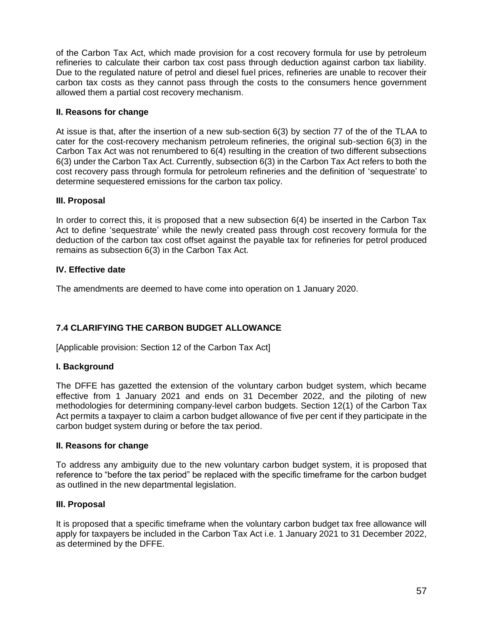of the Carbon Tax Act, which made provision for a cost recovery formula for use by petroleum refineries to calculate their carbon tax cost pass through deduction against carbon tax liability. Due to the regulated nature of petrol and diesel fuel prices, refineries are unable to recover their carbon tax costs as they cannot pass through the costs to the consumers hence government allowed them a partial cost recovery mechanism.

## **II. Reasons for change**

At issue is that, after the insertion of a new sub-section 6(3) by section 77 of the of the TLAA to cater for the cost-recovery mechanism petroleum refineries, the original sub-section 6(3) in the Carbon Tax Act was not renumbered to 6(4) resulting in the creation of two different subsections 6(3) under the Carbon Tax Act. Currently, subsection 6(3) in the Carbon Tax Act refers to both the cost recovery pass through formula for petroleum refineries and the definition of 'sequestrate' to determine sequestered emissions for the carbon tax policy.

## **III. Proposal**

In order to correct this, it is proposed that a new subsection 6(4) be inserted in the Carbon Tax Act to define 'sequestrate' while the newly created pass through cost recovery formula for the deduction of the carbon tax cost offset against the payable tax for refineries for petrol produced remains as subsection 6(3) in the Carbon Tax Act.

## **IV. Effective date**

The amendments are deemed to have come into operation on 1 January 2020.

# **7.4 CLARIFYING THE CARBON BUDGET ALLOWANCE**

[Applicable provision: Section 12 of the Carbon Tax Act]

## **I. Background**

The DFFE has gazetted the extension of the voluntary carbon budget system, which became effective from 1 January 2021 and ends on 31 December 2022, and the piloting of new methodologies for determining company‐level carbon budgets. Section 12(1) of the Carbon Tax Act permits a taxpayer to claim a carbon budget allowance of five per cent if they participate in the carbon budget system during or before the tax period.

## **II. Reasons for change**

To address any ambiguity due to the new voluntary carbon budget system, it is proposed that reference to "before the tax period" be replaced with the specific timeframe for the carbon budget as outlined in the new departmental legislation.

## **III. Proposal**

It is proposed that a specific timeframe when the voluntary carbon budget tax free allowance will apply for taxpayers be included in the Carbon Tax Act i.e. 1 January 2021 to 31 December 2022, as determined by the DFFE.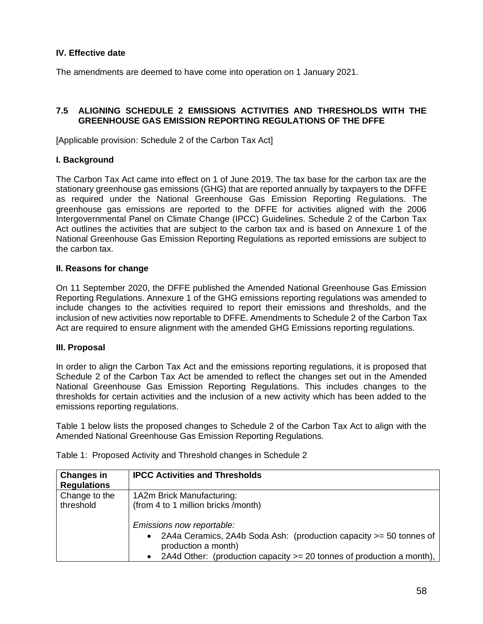## **IV. Effective date**

The amendments are deemed to have come into operation on 1 January 2021.

## **7.5 ALIGNING SCHEDULE 2 EMISSIONS ACTIVITIES AND THRESHOLDS WITH THE GREENHOUSE GAS EMISSION REPORTING REGULATIONS OF THE DFFE**

[Applicable provision: Schedule 2 of the Carbon Tax Act]

#### **I. Background**

The Carbon Tax Act came into effect on 1 of June 2019. The tax base for the carbon tax are the stationary greenhouse gas emissions (GHG) that are reported annually by taxpayers to the DFFE as required under the National Greenhouse Gas Emission Reporting Regulations. The greenhouse gas emissions are reported to the DFFE for activities aligned with the 2006 Intergovernmental Panel on Climate Change (IPCC) Guidelines. Schedule 2 of the Carbon Tax Act outlines the activities that are subject to the carbon tax and is based on Annexure 1 of the National Greenhouse Gas Emission Reporting Regulations as reported emissions are subject to the carbon tax.

#### **II. Reasons for change**

On 11 September 2020, the DFFE published the Amended National Greenhouse Gas Emission Reporting Regulations. Annexure 1 of the GHG emissions reporting regulations was amended to include changes to the activities required to report their emissions and thresholds, and the inclusion of new activities now reportable to DFFE. Amendments to Schedule 2 of the Carbon Tax Act are required to ensure alignment with the amended GHG Emissions reporting regulations.

#### **III. Proposal**

In order to align the Carbon Tax Act and the emissions reporting regulations, it is proposed that Schedule 2 of the Carbon Tax Act be amended to reflect the changes set out in the Amended National Greenhouse Gas Emission Reporting Regulations. This includes changes to the thresholds for certain activities and the inclusion of a new activity which has been added to the emissions reporting regulations.

Table 1 below lists the proposed changes to Schedule 2 of the Carbon Tax Act to align with the Amended National Greenhouse Gas Emission Reporting Regulations.

| <b>Changes in</b>  | <b>IPCC Activities and Thresholds</b>                                                                                                                                                                          |
|--------------------|----------------------------------------------------------------------------------------------------------------------------------------------------------------------------------------------------------------|
| <b>Regulations</b> |                                                                                                                                                                                                                |
| Change to the      | 1A2m Brick Manufacturing:                                                                                                                                                                                      |
| threshold          | (from 4 to 1 million bricks /month)                                                                                                                                                                            |
|                    | Emissions now reportable:<br>2A4a Ceramics, 2A4b Soda Ash: (production capacity >= 50 tonnes of<br>$\bullet$<br>production a month)<br>2A4d Other: (production capacity $>=$ 20 tonnes of production a month), |

Table 1: Proposed Activity and Threshold changes in Schedule 2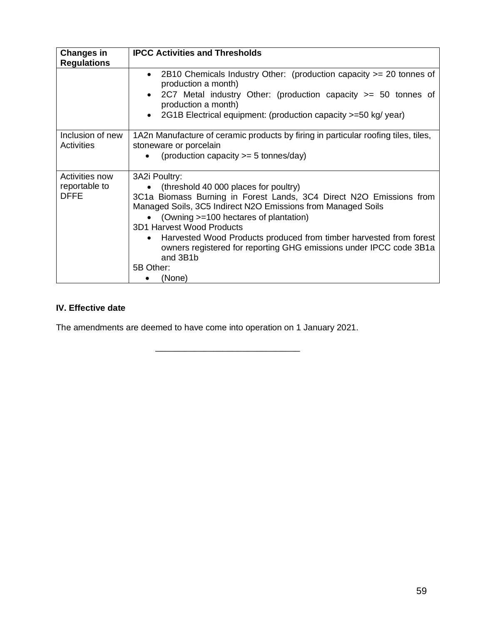| <b>Changes in</b><br><b>Regulations</b>        | <b>IPCC Activities and Thresholds</b>                                                                                                                                                                                                                                                                                                                                                                                                                          |
|------------------------------------------------|----------------------------------------------------------------------------------------------------------------------------------------------------------------------------------------------------------------------------------------------------------------------------------------------------------------------------------------------------------------------------------------------------------------------------------------------------------------|
|                                                | 2B10 Chemicals Industry Other: (production capacity >= 20 tonnes of<br>$\bullet$<br>production a month)<br>2C7 Metal industry Other: (production capacity >= 50 tonnes of<br>production a month)<br>2G1B Electrical equipment: (production capacity >=50 kg/ year)                                                                                                                                                                                             |
| Inclusion of new<br>Activities                 | 1A2n Manufacture of ceramic products by firing in particular roofing tiles, tiles,<br>stoneware or porcelain<br>(production capacity $>= 5$ tonnes/day)                                                                                                                                                                                                                                                                                                        |
| Activities now<br>reportable to<br><b>DFFE</b> | 3A2i Poultry:<br>(threshold 40 000 places for poultry)<br>3C1a Biomass Burning in Forest Lands, 3C4 Direct N2O Emissions from<br>Managed Soils, 3C5 Indirect N2O Emissions from Managed Soils<br>(Owning >=100 hectares of plantation)<br><b>3D1 Harvest Wood Products</b><br>Harvested Wood Products produced from timber harvested from forest<br>٠<br>owners registered for reporting GHG emissions under IPCC code 3B1a<br>and 3B1b<br>5B Other:<br>(None) |

# **IV. Effective date**

The amendments are deemed to have come into operation on 1 January 2021.

\_\_\_\_\_\_\_\_\_\_\_\_\_\_\_\_\_\_\_\_\_\_\_\_\_\_\_\_\_\_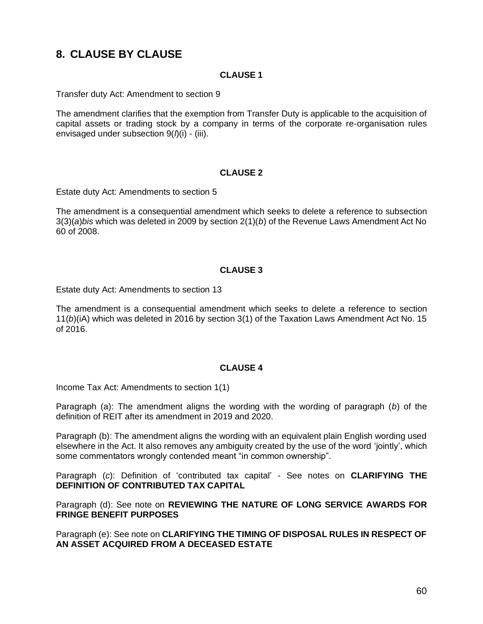# **8. CLAUSE BY CLAUSE**

## **CLAUSE 1**

Transfer duty Act: Amendment to section 9

The amendment clarifies that the exemption from Transfer Duty is applicable to the acquisition of capital assets or trading stock by a company in terms of the corporate re-organisation rules envisaged under subsection 9(*l*)(i) - (iii).

#### **CLAUSE 2**

Estate duty Act: Amendments to section 5

The amendment is a consequential amendment which seeks to delete a reference to subsection 3(3)(*a*)*bis* which was deleted in 2009 by section 2(1)(*b*) of the Revenue Laws Amendment Act No 60 of 2008.

#### **CLAUSE 3**

Estate duty Act: Amendments to section 13

The amendment is a consequential amendment which seeks to delete a reference to section 11(*b*)(iA) which was deleted in 2016 by section 3(1) of the Taxation Laws Amendment Act No. 15 of 2016.

## **CLAUSE 4**

Income Tax Act: Amendments to section 1(1)

Paragraph (a): The amendment aligns the wording with the wording of paragraph (*b*) of the definition of REIT after its amendment in 2019 and 2020.

Paragraph (b): The amendment aligns the wording with an equivalent plain English wording used elsewhere in the Act. It also removes any ambiguity created by the use of the word 'jointly', which some commentators wrongly contended meant "in common ownership".

Paragraph (*c*): Definition of 'contributed tax capital' - See notes on **CLARIFYING THE DEFINITION OF CONTRIBUTED TAX CAPITAL**

Paragraph (d): See note on **REVIEWING THE NATURE OF LONG SERVICE AWARDS FOR FRINGE BENEFIT PURPOSES**

Paragraph (e): See note on **CLARIFYING THE TIMING OF DISPOSAL RULES IN RESPECT OF AN ASSET ACQUIRED FROM A DECEASED ESTATE**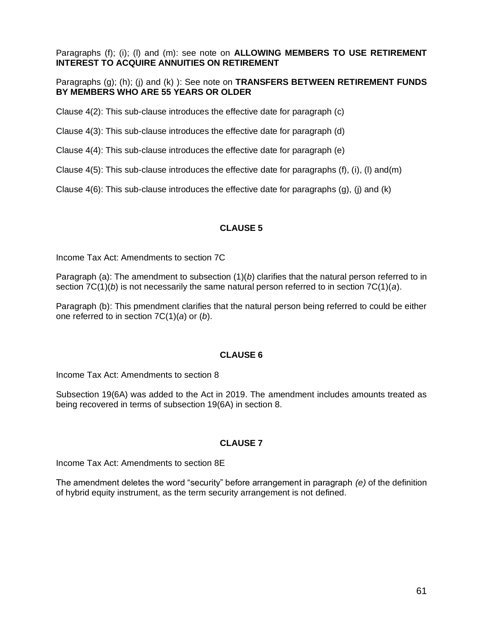Paragraphs (f); (i); (l) and (m): see note on **ALLOWING MEMBERS TO USE RETIREMENT INTEREST TO ACQUIRE ANNUITIES ON RETIREMENT**

Paragraphs (g); (h); (j) and (k) ): See note on **TRANSFERS BETWEEN RETIREMENT FUNDS BY MEMBERS WHO ARE 55 YEARS OR OLDER**

Clause 4(2): This sub-clause introduces the effective date for paragraph (c)

Clause 4(3): This sub-clause introduces the effective date for paragraph (d)

Clause 4(4): This sub-clause introduces the effective date for paragraph (e)

Clause 4(5): This sub-clause introduces the effective date for paragraphs (f), (i), (l) and(m)

Clause  $4(6)$ : This sub-clause introduces the effective date for paragraphs  $(q)$ , (j) and  $(k)$ 

## **CLAUSE 5**

Income Tax Act: Amendments to section 7C

Paragraph (a): The amendment to subsection (1)(*b*) clarifies that the natural person referred to in section 7C(1)(*b*) is not necessarily the same natural person referred to in section 7C(1)(*a*).

Paragraph (b): This pmendment clarifies that the natural person being referred to could be either one referred to in section 7C(1)(*a*) or (*b*).

## **CLAUSE 6**

Income Tax Act: Amendments to section 8

Subsection 19(6A) was added to the Act in 2019. The amendment includes amounts treated as being recovered in terms of subsection 19(6A) in section 8.

## **CLAUSE 7**

Income Tax Act: Amendments to section 8E

The amendment deletes the word "security" before arrangement in paragraph *(e)* of the definition of hybrid equity instrument, as the term security arrangement is not defined.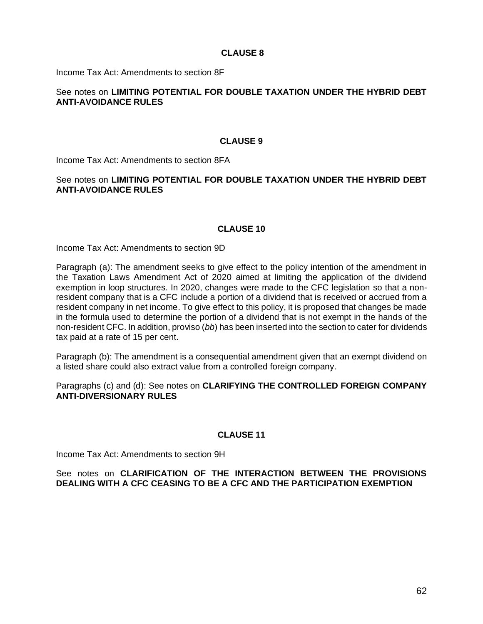Income Tax Act: Amendments to section 8F

## See notes on **LIMITING POTENTIAL FOR DOUBLE TAXATION UNDER THE HYBRID DEBT ANTI-AVOIDANCE RULES**

#### **CLAUSE 9**

Income Tax Act: Amendments to section 8FA

### See notes on **LIMITING POTENTIAL FOR DOUBLE TAXATION UNDER THE HYBRID DEBT ANTI-AVOIDANCE RULES**

## **CLAUSE 10**

Income Tax Act: Amendments to section 9D

Paragraph (a): The amendment seeks to give effect to the policy intention of the amendment in the Taxation Laws Amendment Act of 2020 aimed at limiting the application of the dividend exemption in loop structures. In 2020, changes were made to the CFC legislation so that a nonresident company that is a CFC include a portion of a dividend that is received or accrued from a resident company in net income. To give effect to this policy, it is proposed that changes be made in the formula used to determine the portion of a dividend that is not exempt in the hands of the non-resident CFC. In addition, proviso (*bb*) has been inserted into the section to cater for dividends tax paid at a rate of 15 per cent.

Paragraph (b): The amendment is a consequential amendment given that an exempt dividend on a listed share could also extract value from a controlled foreign company.

### Paragraphs (c) and (d): See notes on **CLARIFYING THE CONTROLLED FOREIGN COMPANY ANTI-DIVERSIONARY RULES**

#### **CLAUSE 11**

Income Tax Act: Amendments to section 9H

#### See notes on **CLARIFICATION OF THE INTERACTION BETWEEN THE PROVISIONS DEALING WITH A CFC CEASING TO BE A CFC AND THE PARTICIPATION EXEMPTION**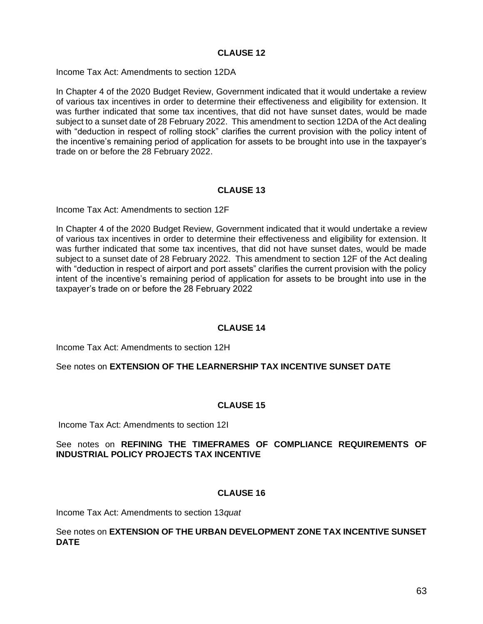Income Tax Act: Amendments to section 12DA

In Chapter 4 of the 2020 Budget Review, Government indicated that it would undertake a review of various tax incentives in order to determine their effectiveness and eligibility for extension. It was further indicated that some tax incentives, that did not have sunset dates, would be made subject to a sunset date of 28 February 2022. This amendment to section 12DA of the Act dealing with "deduction in respect of rolling stock" clarifies the current provision with the policy intent of the incentive's remaining period of application for assets to be brought into use in the taxpayer's trade on or before the 28 February 2022.

#### **CLAUSE 13**

Income Tax Act: Amendments to section 12F

In Chapter 4 of the 2020 Budget Review, Government indicated that it would undertake a review of various tax incentives in order to determine their effectiveness and eligibility for extension. It was further indicated that some tax incentives, that did not have sunset dates, would be made subject to a sunset date of 28 February 2022. This amendment to section 12F of the Act dealing with "deduction in respect of airport and port assets" clarifies the current provision with the policy intent of the incentive's remaining period of application for assets to be brought into use in the taxpayer's trade on or before the 28 February 2022

## **CLAUSE 14**

Income Tax Act: Amendments to section 12H

See notes on **EXTENSION OF THE LEARNERSHIP TAX INCENTIVE SUNSET DATE**

#### **CLAUSE 15**

Income Tax Act: Amendments to section 12I

#### See notes on **REFINING THE TIMEFRAMES OF COMPLIANCE REQUIREMENTS OF INDUSTRIAL POLICY PROJECTS TAX INCENTIVE**

#### **CLAUSE 16**

Income Tax Act: Amendments to section 13*quat*

#### See notes on **EXTENSION OF THE URBAN DEVELOPMENT ZONE TAX INCENTIVE SUNSET DATE**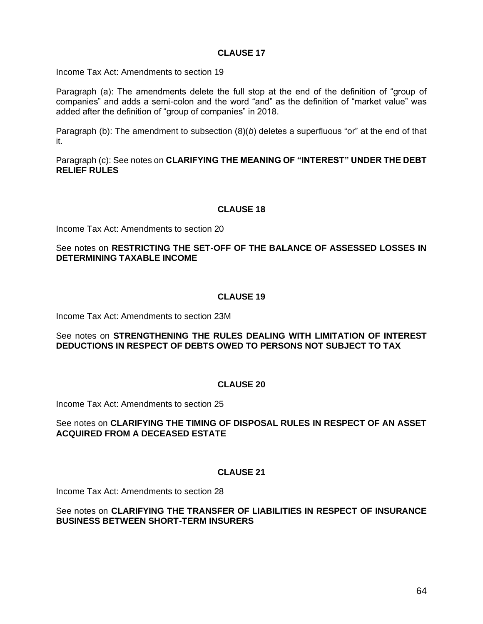Income Tax Act: Amendments to section 19

Paragraph (a): The amendments delete the full stop at the end of the definition of "group of companies" and adds a semi-colon and the word "and" as the definition of "market value" was added after the definition of "group of companies" in 2018.

Paragraph (b): The amendment to subsection (8)(*b*) deletes a superfluous "or" at the end of that it.

Paragraph (c): See notes on **CLARIFYING THE MEANING OF "INTEREST" UNDER THE DEBT RELIEF RULES** 

#### **CLAUSE 18**

Income Tax Act: Amendments to section 20

#### See notes on **RESTRICTING THE SET-OFF OF THE BALANCE OF ASSESSED LOSSES IN DETERMINING TAXABLE INCOME**

## **CLAUSE 19**

Income Tax Act: Amendments to section 23M

#### See notes on **STRENGTHENING THE RULES DEALING WITH LIMITATION OF INTEREST DEDUCTIONS IN RESPECT OF DEBTS OWED TO PERSONS NOT SUBJECT TO TAX**

#### **CLAUSE 20**

Income Tax Act: Amendments to section 25

#### See notes on **CLARIFYING THE TIMING OF DISPOSAL RULES IN RESPECT OF AN ASSET ACQUIRED FROM A DECEASED ESTATE**

#### **CLAUSE 21**

Income Tax Act: Amendments to section 28

#### See notes on **CLARIFYING THE TRANSFER OF LIABILITIES IN RESPECT OF INSURANCE BUSINESS BETWEEN SHORT-TERM INSURERS**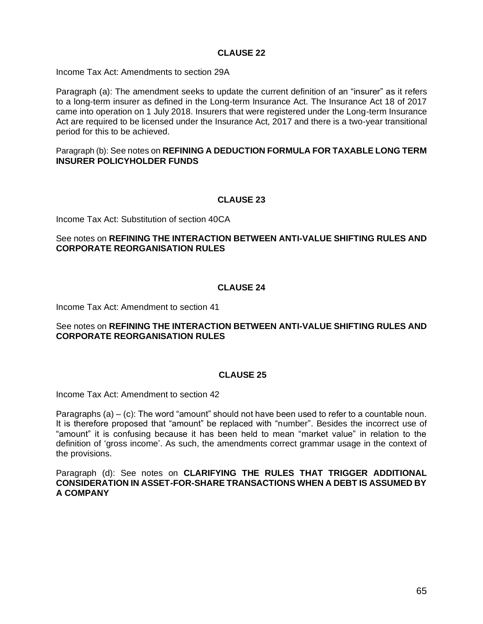Income Tax Act: Amendments to section 29A

Paragraph (a): The amendment seeks to update the current definition of an "insurer" as it refers to a long-term insurer as defined in the Long-term Insurance Act. The Insurance Act 18 of 2017 came into operation on 1 July 2018. Insurers that were registered under the Long-term Insurance Act are required to be licensed under the Insurance Act, 2017 and there is a two-year transitional period for this to be achieved.

#### Paragraph (b): See notes on **REFINING A DEDUCTION FORMULA FOR TAXABLE LONG TERM INSURER POLICYHOLDER FUNDS**

#### **CLAUSE 23**

Income Tax Act: Substitution of section 40CA

## See notes on **REFINING THE INTERACTION BETWEEN ANTI-VALUE SHIFTING RULES AND CORPORATE REORGANISATION RULES**

#### **CLAUSE 24**

Income Tax Act: Amendment to section 41

#### See notes on **REFINING THE INTERACTION BETWEEN ANTI-VALUE SHIFTING RULES AND CORPORATE REORGANISATION RULES**

#### **CLAUSE 25**

Income Tax Act: Amendment to section 42

Paragraphs (a) – (c): The word "amount" should not have been used to refer to a countable noun. It is therefore proposed that "amount" be replaced with "number". Besides the incorrect use of "amount" it is confusing because it has been held to mean "market value" in relation to the definition of 'gross income'. As such, the amendments correct grammar usage in the context of the provisions.

Paragraph (d): See notes on **CLARIFYING THE RULES THAT TRIGGER ADDITIONAL CONSIDERATION IN ASSET-FOR-SHARE TRANSACTIONS WHEN A DEBT IS ASSUMED BY A COMPANY**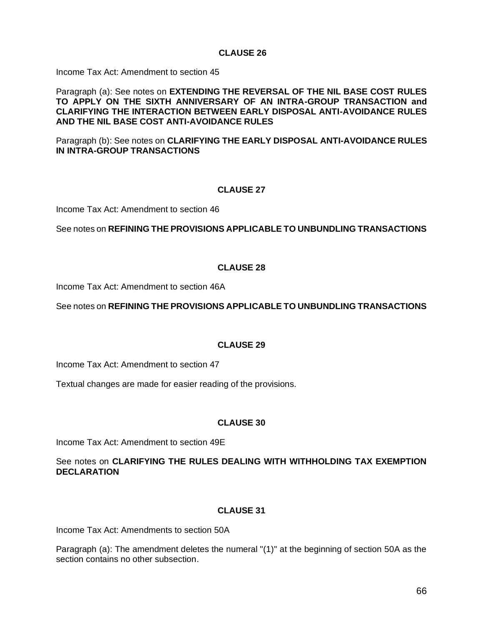Income Tax Act: Amendment to section 45

Paragraph (a): See notes on **EXTENDING THE REVERSAL OF THE NIL BASE COST RULES TO APPLY ON THE SIXTH ANNIVERSARY OF AN INTRA-GROUP TRANSACTION and CLARIFYING THE INTERACTION BETWEEN EARLY DISPOSAL ANTI-AVOIDANCE RULES AND THE NIL BASE COST ANTI-AVOIDANCE RULES** 

Paragraph (b): See notes on **CLARIFYING THE EARLY DISPOSAL ANTI-AVOIDANCE RULES IN INTRA-GROUP TRANSACTIONS**

## **CLAUSE 27**

Income Tax Act: Amendment to section 46

See notes on **REFINING THE PROVISIONS APPLICABLE TO UNBUNDLING TRANSACTIONS** 

## **CLAUSE 28**

Income Tax Act: Amendment to section 46A

See notes on **REFINING THE PROVISIONS APPLICABLE TO UNBUNDLING TRANSACTIONS**

## **CLAUSE 29**

Income Tax Act: Amendment to section 47

Textual changes are made for easier reading of the provisions.

## **CLAUSE 30**

Income Tax Act: Amendment to section 49E

See notes on **CLARIFYING THE RULES DEALING WITH WITHHOLDING TAX EXEMPTION DECLARATION**

## **CLAUSE 31**

Income Tax Act: Amendments to section 50A

Paragraph (a): The amendment deletes the numeral "(1)" at the beginning of section 50A as the section contains no other subsection.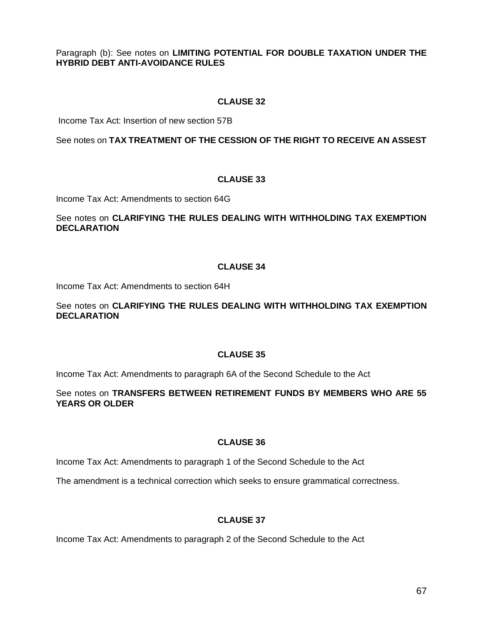Paragraph (b): See notes on **LIMITING POTENTIAL FOR DOUBLE TAXATION UNDER THE HYBRID DEBT ANTI-AVOIDANCE RULES**

## **CLAUSE 32**

Income Tax Act: Insertion of new section 57B

See notes on **TAX TREATMENT OF THE CESSION OF THE RIGHT TO RECEIVE AN ASSEST**

## **CLAUSE 33**

Income Tax Act: Amendments to section 64G

## See notes on **CLARIFYING THE RULES DEALING WITH WITHHOLDING TAX EXEMPTION DECLARATION**

## **CLAUSE 34**

Income Tax Act: Amendments to section 64H

## See notes on **CLARIFYING THE RULES DEALING WITH WITHHOLDING TAX EXEMPTION DECLARATION**

## **CLAUSE 35**

Income Tax Act: Amendments to paragraph 6A of the Second Schedule to the Act

## See notes on **TRANSFERS BETWEEN RETIREMENT FUNDS BY MEMBERS WHO ARE 55 YEARS OR OLDER**

# **CLAUSE 36**

Income Tax Act: Amendments to paragraph 1 of the Second Schedule to the Act

The amendment is a technical correction which seeks to ensure grammatical correctness.

# **CLAUSE 37**

Income Tax Act: Amendments to paragraph 2 of the Second Schedule to the Act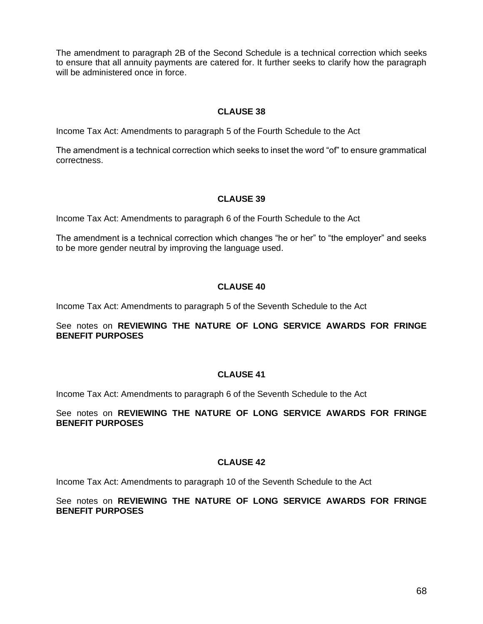The amendment to paragraph 2B of the Second Schedule is a technical correction which seeks to ensure that all annuity payments are catered for. It further seeks to clarify how the paragraph will be administered once in force.

## **CLAUSE 38**

Income Tax Act: Amendments to paragraph 5 of the Fourth Schedule to the Act

The amendment is a technical correction which seeks to inset the word "of" to ensure grammatical correctness.

## **CLAUSE 39**

Income Tax Act: Amendments to paragraph 6 of the Fourth Schedule to the Act

The amendment is a technical correction which changes "he or her" to "the employer" and seeks to be more gender neutral by improving the language used.

## **CLAUSE 40**

Income Tax Act: Amendments to paragraph 5 of the Seventh Schedule to the Act

#### See notes on **REVIEWING THE NATURE OF LONG SERVICE AWARDS FOR FRINGE BENEFIT PURPOSES**

## **CLAUSE 41**

Income Tax Act: Amendments to paragraph 6 of the Seventh Schedule to the Act

## See notes on **REVIEWING THE NATURE OF LONG SERVICE AWARDS FOR FRINGE BENEFIT PURPOSES**

## **CLAUSE 42**

Income Tax Act: Amendments to paragraph 10 of the Seventh Schedule to the Act

#### See notes on **REVIEWING THE NATURE OF LONG SERVICE AWARDS FOR FRINGE BENEFIT PURPOSES**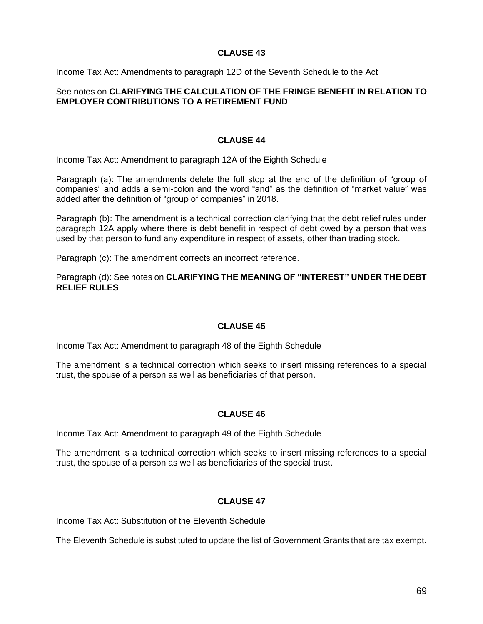Income Tax Act: Amendments to paragraph 12D of the Seventh Schedule to the Act

### See notes on **CLARIFYING THE CALCULATION OF THE FRINGE BENEFIT IN RELATION TO EMPLOYER CONTRIBUTIONS TO A RETIREMENT FUND**

## **CLAUSE 44**

Income Tax Act: Amendment to paragraph 12A of the Eighth Schedule

Paragraph (a): The amendments delete the full stop at the end of the definition of "group of companies" and adds a semi-colon and the word "and" as the definition of "market value" was added after the definition of "group of companies" in 2018.

Paragraph (b): The amendment is a technical correction clarifying that the debt relief rules under paragraph 12A apply where there is debt benefit in respect of debt owed by a person that was used by that person to fund any expenditure in respect of assets, other than trading stock.

Paragraph (c): The amendment corrects an incorrect reference.

Paragraph (d): See notes on **CLARIFYING THE MEANING OF "INTEREST" UNDER THE DEBT RELIEF RULES**

## **CLAUSE 45**

Income Tax Act: Amendment to paragraph 48 of the Eighth Schedule

The amendment is a technical correction which seeks to insert missing references to a special trust, the spouse of a person as well as beneficiaries of that person.

## **CLAUSE 46**

Income Tax Act: Amendment to paragraph 49 of the Eighth Schedule

The amendment is a technical correction which seeks to insert missing references to a special trust, the spouse of a person as well as beneficiaries of the special trust.

## **CLAUSE 47**

Income Tax Act: Substitution of the Eleventh Schedule

The Eleventh Schedule is substituted to update the list of Government Grants that are tax exempt.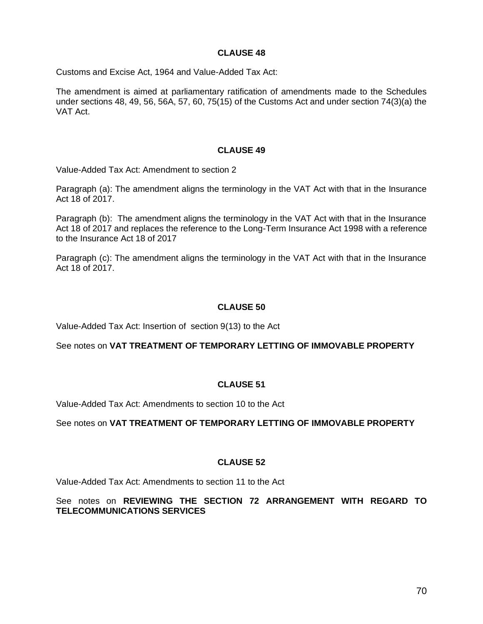Customs and Excise Act, 1964 and Value-Added Tax Act:

The amendment is aimed at parliamentary ratification of amendments made to the Schedules under sections 48, 49, 56, 56A, 57, 60, 75(15) of the Customs Act and under section 74(3)(a) the VAT Act.

#### **CLAUSE 49**

Value-Added Tax Act: Amendment to section 2

Paragraph (a): The amendment aligns the terminology in the VAT Act with that in the Insurance Act 18 of 2017.

Paragraph (b): The amendment aligns the terminology in the VAT Act with that in the Insurance Act 18 of 2017 and replaces the reference to the Long-Term Insurance Act 1998 with a reference to the Insurance Act 18 of 2017

Paragraph (c): The amendment aligns the terminology in the VAT Act with that in the Insurance Act 18 of 2017.

#### **CLAUSE 50**

Value-Added Tax Act: Insertion of section 9(13) to the Act

See notes on **VAT TREATMENT OF TEMPORARY LETTING OF IMMOVABLE PROPERTY**

## **CLAUSE 51**

Value-Added Tax Act: Amendments to section 10 to the Act

See notes on **VAT TREATMENT OF TEMPORARY LETTING OF IMMOVABLE PROPERTY**

#### **CLAUSE 52**

Value-Added Tax Act: Amendments to section 11 to the Act

#### See notes on **REVIEWING THE SECTION 72 ARRANGEMENT WITH REGARD TO TELECOMMUNICATIONS SERVICES**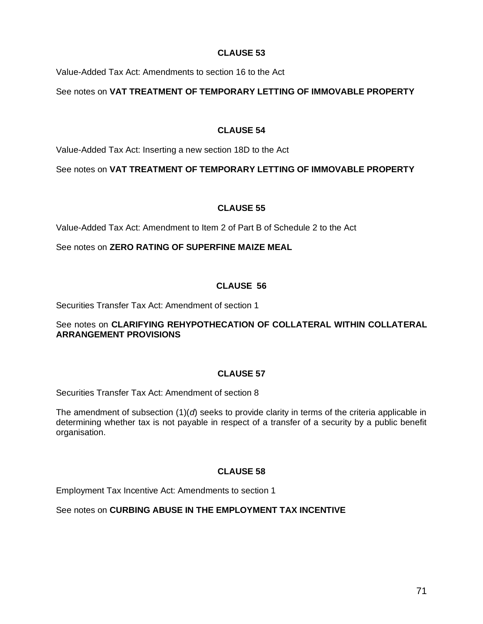Value-Added Tax Act: Amendments to section 16 to the Act

See notes on **VAT TREATMENT OF TEMPORARY LETTING OF IMMOVABLE PROPERTY**

## **CLAUSE 54**

Value-Added Tax Act: Inserting a new section 18D to the Act

See notes on **VAT TREATMENT OF TEMPORARY LETTING OF IMMOVABLE PROPERTY**

## **CLAUSE 55**

Value-Added Tax Act: Amendment to Item 2 of Part B of Schedule 2 to the Act

See notes on **ZERO RATING OF SUPERFINE MAIZE MEAL**

# **CLAUSE 56**

Securities Transfer Tax Act: Amendment of section 1

## See notes on **CLARIFYING REHYPOTHECATION OF COLLATERAL WITHIN COLLATERAL ARRANGEMENT PROVISIONS**

# **CLAUSE 57**

Securities Transfer Tax Act: Amendment of section 8

The amendment of subsection (1)(*d*) seeks to provide clarity in terms of the criteria applicable in determining whether tax is not payable in respect of a transfer of a security by a public benefit organisation.

# **CLAUSE 58**

Employment Tax Incentive Act: Amendments to section 1

See notes on **CURBING ABUSE IN THE EMPLOYMENT TAX INCENTIVE**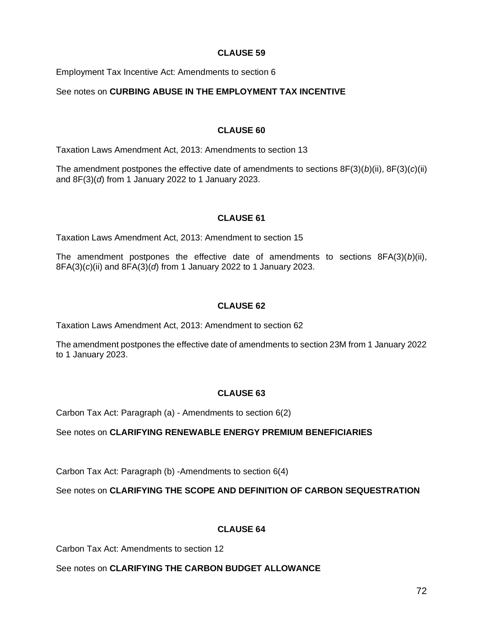Employment Tax Incentive Act: Amendments to section 6

## See notes on **CURBING ABUSE IN THE EMPLOYMENT TAX INCENTIVE**

## **CLAUSE 60**

Taxation Laws Amendment Act, 2013: Amendments to section 13

The amendment postpones the effective date of amendments to sections 8F(3)(*b*)(ii), 8F(3)(*c*)(ii) and 8F(3)(*d*) from 1 January 2022 to 1 January 2023.

## **CLAUSE 61**

Taxation Laws Amendment Act, 2013: Amendment to section 15

The amendment postpones the effective date of amendments to sections 8FA(3)(*b*)(ii), 8FA(3)(*c*)(ii) and 8FA(3)(*d*) from 1 January 2022 to 1 January 2023.

## **CLAUSE 62**

Taxation Laws Amendment Act, 2013: Amendment to section 62

The amendment postpones the effective date of amendments to section 23M from 1 January 2022 to 1 January 2023.

## **CLAUSE 63**

Carbon Tax Act: Paragraph (a) - Amendments to section 6(2)

See notes on **CLARIFYING RENEWABLE ENERGY PREMIUM BENEFICIARIES**

Carbon Tax Act: Paragraph (b) -Amendments to section 6(4)

See notes on **CLARIFYING THE SCOPE AND DEFINITION OF CARBON SEQUESTRATION**

# **CLAUSE 64**

Carbon Tax Act: Amendments to section 12

## See notes on **CLARIFYING THE CARBON BUDGET ALLOWANCE**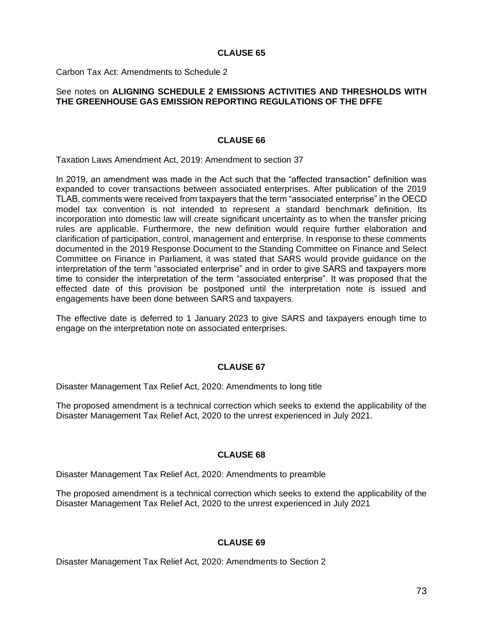### **CLAUSE 65**

Carbon Tax Act: Amendments to Schedule 2

### See notes on **ALIGNING SCHEDULE 2 EMISSIONS ACTIVITIES AND THRESHOLDS WITH THE GREENHOUSE GAS EMISSION REPORTING REGULATIONS OF THE DFFE**

#### **CLAUSE 66**

Taxation Laws Amendment Act, 2019: Amendment to section 37

In 2019, an amendment was made in the Act such that the "affected transaction" definition was expanded to cover transactions between associated enterprises. After publication of the 2019 TLAB, comments were received from taxpayers that the term "associated enterprise" in the OECD model tax convention is not intended to represent a standard benchmark definition. Its incorporation into domestic law will create significant uncertainty as to when the transfer pricing rules are applicable. Furthermore, the new definition would require further elaboration and clarification of participation, control, management and enterprise. In response to these comments documented in the 2019 Response Document to the Standing Committee on Finance and Select Committee on Finance in Parliament, it was stated that SARS would provide guidance on the interpretation of the term "associated enterprise" and in order to give SARS and taxpayers more time to consider the interpretation of the term "associated enterprise". It was proposed that the effected date of this provision be postponed until the interpretation note is issued and engagements have been done between SARS and taxpayers.

The effective date is deferred to 1 January 2023 to give SARS and taxpayers enough time to engage on the interpretation note on associated enterprises.

# **CLAUSE 67**

Disaster Management Tax Relief Act, 2020: Amendments to long title

The proposed amendment is a technical correction which seeks to extend the applicability of the Disaster Management Tax Relief Act, 2020 to the unrest experienced in July 2021.

### **CLAUSE 68**

Disaster Management Tax Relief Act, 2020: Amendments to preamble

The proposed amendment is a technical correction which seeks to extend the applicability of the Disaster Management Tax Relief Act, 2020 to the unrest experienced in July 2021

# **CLAUSE 69**

Disaster Management Tax Relief Act, 2020: Amendments to Section 2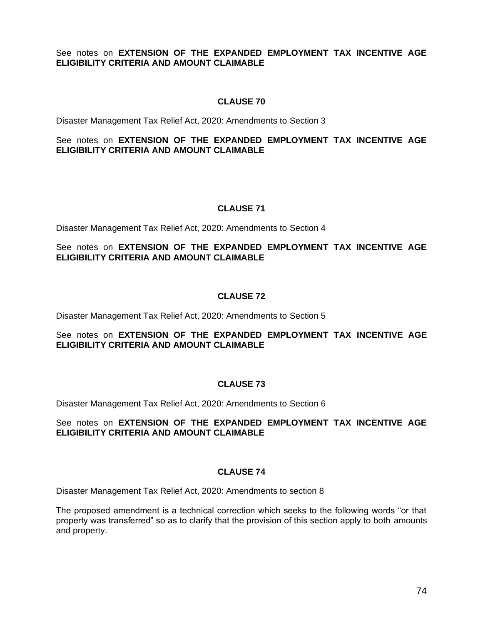# See notes on **EXTENSION OF THE EXPANDED EMPLOYMENT TAX INCENTIVE AGE ELIGIBILITY CRITERIA AND AMOUNT CLAIMABLE**

# **CLAUSE 70**

Disaster Management Tax Relief Act, 2020: Amendments to Section 3

# See notes on **EXTENSION OF THE EXPANDED EMPLOYMENT TAX INCENTIVE AGE ELIGIBILITY CRITERIA AND AMOUNT CLAIMABLE**

### **CLAUSE 71**

Disaster Management Tax Relief Act, 2020: Amendments to Section 4

# See notes on **EXTENSION OF THE EXPANDED EMPLOYMENT TAX INCENTIVE AGE ELIGIBILITY CRITERIA AND AMOUNT CLAIMABLE**

### **CLAUSE 72**

Disaster Management Tax Relief Act, 2020: Amendments to Section 5

### See notes on **EXTENSION OF THE EXPANDED EMPLOYMENT TAX INCENTIVE AGE ELIGIBILITY CRITERIA AND AMOUNT CLAIMABLE**

#### **CLAUSE 73**

Disaster Management Tax Relief Act, 2020: Amendments to Section 6

### See notes on **EXTENSION OF THE EXPANDED EMPLOYMENT TAX INCENTIVE AGE ELIGIBILITY CRITERIA AND AMOUNT CLAIMABLE**

#### **CLAUSE 74**

Disaster Management Tax Relief Act, 2020: Amendments to section 8

The proposed amendment is a technical correction which seeks to the following words "or that property was transferred" so as to clarify that the provision of this section apply to both amounts and property.